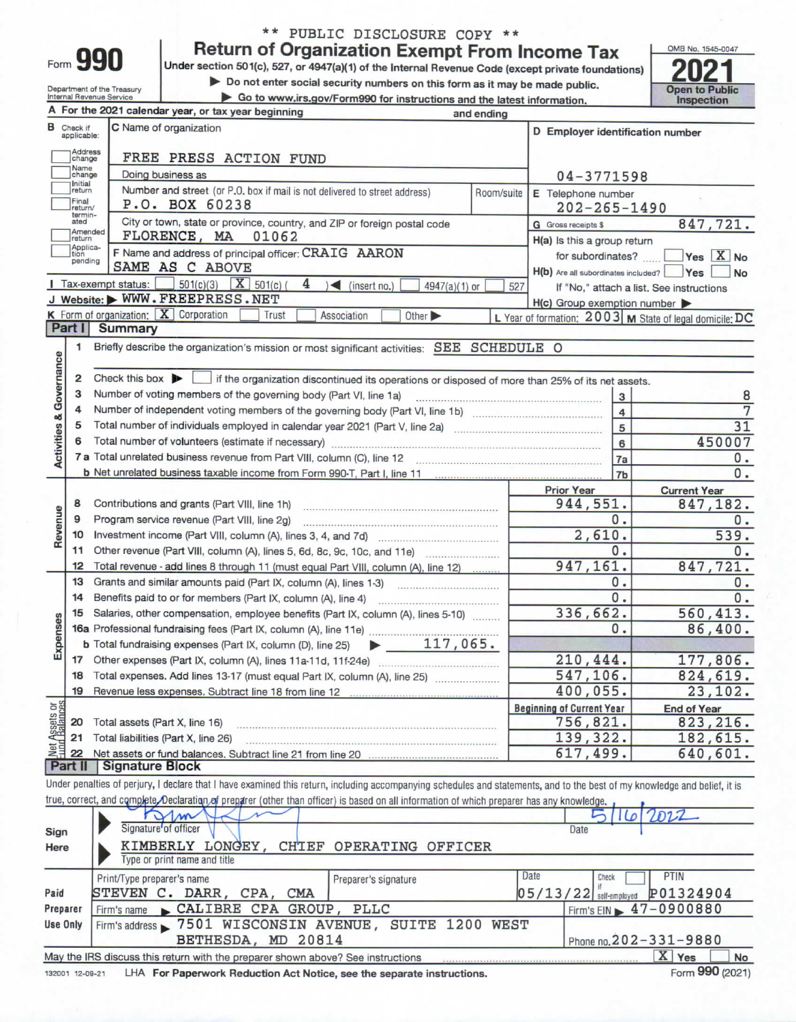| ۱rm |  |  |
|-----|--|--|
| ĩ   |  |  |

Department of the Treasury<br>Internal Revenue Service

## \*\* PUBLIC DISCLOSURE COPY \*\*

**Return of Organization Exempt From Income Tax** 

Under section 501(c), 527, or 4947(a)(1) of the Internal Revenue Code (except private foundations)

Do not enter social security numbers on this form as it may be made public.

Go to www.irs.gov/Form990 for instructions and the latest information.



|                                    |                                  | A For the 2021 calendar year, or tax year beginning                                                                                                                        | and ending |                                        |                                                         |  |  |  |  |
|------------------------------------|----------------------------------|----------------------------------------------------------------------------------------------------------------------------------------------------------------------------|------------|----------------------------------------|---------------------------------------------------------|--|--|--|--|
|                                    | <b>B</b> Check if<br>applicable: | C Name of organization                                                                                                                                                     |            | D Employer identification number       |                                                         |  |  |  |  |
|                                    | Address<br>change<br>Name        | FREE PRESS ACTION FUND                                                                                                                                                     |            |                                        |                                                         |  |  |  |  |
|                                    | change                           | Doing business as                                                                                                                                                          |            | 04-3771598                             |                                                         |  |  |  |  |
|                                    | Initial<br>return                | Number and street (or P.O. box if mail is not delivered to street address)                                                                                                 | Room/suite | E Telephone number                     |                                                         |  |  |  |  |
|                                    | Final<br>return/                 | P.O. BOX 60238                                                                                                                                                             |            | $202 - 265 - 1490$                     |                                                         |  |  |  |  |
|                                    | termin-<br>ated                  | City or town, state or province, country, and ZIP or foreign postal code                                                                                                   |            | 847,721.<br><b>G</b> Gross receipts \$ |                                                         |  |  |  |  |
|                                    | Amended<br>return                | FLORENCE, MA<br>01062                                                                                                                                                      |            | H(a) Is this a group return            |                                                         |  |  |  |  |
|                                    | Applica-<br>tion<br>pending      | for subordinates?                                                                                                                                                          | Yes X No   |                                        |                                                         |  |  |  |  |
|                                    |                                  | SAME AS C ABOVE                                                                                                                                                            |            | H(b) Are all subordinates included?    | Yes<br>No                                               |  |  |  |  |
|                                    |                                  | $501(c)(3)$ $X$ $501(c)$ (<br>Tax-exempt status:<br>4<br>$\leq$ (insert no.)<br>4947(a)(1) or                                                                              | 527        |                                        | If "No," attach a list. See instructions                |  |  |  |  |
|                                    |                                  | J Website: WWW.FREEPRESS.NET                                                                                                                                               |            | H(c) Group exemption number            |                                                         |  |  |  |  |
|                                    |                                  | K Form of organization: $X$ Corporation<br>Trust<br>Association<br>Other >                                                                                                 |            |                                        | L Year of formation: 2003 M State of legal domicile: DC |  |  |  |  |
|                                    | Part I                           | <b>Summary</b>                                                                                                                                                             |            |                                        |                                                         |  |  |  |  |
|                                    | 1                                | Briefly describe the organization's mission or most significant activities: SEE SCHEDULE O                                                                                 |            |                                        |                                                         |  |  |  |  |
| <b>Activities &amp; Governance</b> |                                  |                                                                                                                                                                            |            |                                        |                                                         |  |  |  |  |
|                                    | 2                                | Check this box $\blacktriangleright$   if the organization discontinued its operations or disposed of more than 25% of its net assets.                                     |            |                                        |                                                         |  |  |  |  |
|                                    | 3                                | Number of voting members of the governing body (Part VI, line 1a)                                                                                                          |            | 3                                      | 8                                                       |  |  |  |  |
|                                    | 4                                |                                                                                                                                                                            |            | $\overline{4}$                         | 7                                                       |  |  |  |  |
|                                    | 5                                |                                                                                                                                                                            |            | $\overline{5}$                         | 31                                                      |  |  |  |  |
|                                    | 6                                |                                                                                                                                                                            |            | 6                                      | 450007                                                  |  |  |  |  |
|                                    |                                  |                                                                                                                                                                            |            | 7a                                     | 0.                                                      |  |  |  |  |
|                                    |                                  |                                                                                                                                                                            |            | 7b                                     | 0.                                                      |  |  |  |  |
|                                    | 8                                |                                                                                                                                                                            |            | <b>Prior Year</b><br>944,551.          | <b>Current Year</b><br>847,182.                         |  |  |  |  |
| Revenue                            | 9                                | Program service revenue (Part VIII, line 2g)                                                                                                                               |            |                                        | Ο.                                                      |  |  |  |  |
|                                    | 10                               |                                                                                                                                                                            |            | 0.<br>2,610.                           | 539.                                                    |  |  |  |  |
|                                    | 11                               |                                                                                                                                                                            |            | 0.                                     | $\mathbf{0}$ .                                          |  |  |  |  |
|                                    | 12                               | Total revenue - add lines 8 through 11 (must equal Part VIII, column (A), line 12)                                                                                         |            | 947,161.                               | 847,721.                                                |  |  |  |  |
|                                    | 13                               |                                                                                                                                                                            |            | $\overline{0}$ .                       | 0.                                                      |  |  |  |  |
|                                    | 14                               | Benefits paid to or for members (Part IX, column (A), line 4)                                                                                                              |            | $\overline{0}$ .                       | 0.                                                      |  |  |  |  |
|                                    | 15                               | Salaries, other compensation, employee benefits (Part IX, column (A), lines 5-10)                                                                                          |            | 336,662.                               | 560,413.                                                |  |  |  |  |
| Expenses                           |                                  |                                                                                                                                                                            |            | 0.                                     | 86,400.                                                 |  |  |  |  |
|                                    |                                  | $\blacktriangleright$ 117,065.<br>b Total fundraising expenses (Part IX, column (D), line 25)                                                                              |            |                                        |                                                         |  |  |  |  |
|                                    | 17                               |                                                                                                                                                                            |            | 210,444.                               | 177,806.                                                |  |  |  |  |
|                                    | 18                               | Total expenses. Add lines 13-17 (must equal Part IX, column (A), line 25)                                                                                                  |            | 547,106.                               | 824,619.                                                |  |  |  |  |
|                                    | 19                               | Revenue less expenses. Subtract line 18 from line 12                                                                                                                       |            | 400,055.                               | 23,102.                                                 |  |  |  |  |
| Net Assets or                      |                                  |                                                                                                                                                                            |            | <b>Beginning of Current Year</b>       | <b>End of Year</b>                                      |  |  |  |  |
|                                    | 20                               | Total assets (Part X, line 16)                                                                                                                                             |            | 756,821.                               | 823,216.                                                |  |  |  |  |
|                                    | 21                               | Total liabilities (Part X, line 26)                                                                                                                                        |            | 139,322.                               | 182,615.                                                |  |  |  |  |
|                                    | 22                               | Net assets or fund balances. Subtract line 21 from line 20                                                                                                                 |            | 617,499.                               | 640,601.                                                |  |  |  |  |
|                                    | Part II                          | <b>Signature Block</b>                                                                                                                                                     |            |                                        |                                                         |  |  |  |  |
|                                    |                                  | Under penalties of perjury, I declare that I have examined this return, including accompanying schedules and statements, and to the best of my knowledge and belief, it is |            |                                        |                                                         |  |  |  |  |
|                                    |                                  | true, correct, and complete. Declaration of preparer (other than officer) is based on all information of which preparer has any knowledge.                                 |            |                                        |                                                         |  |  |  |  |
|                                    |                                  | $\mathcal{M}$                                                                                                                                                              |            | 16                                     | 2022                                                    |  |  |  |  |
| Sign                               |                                  | Signature of officer                                                                                                                                                       |            | Date                                   |                                                         |  |  |  |  |

| Here                                                                                                         | KIMBERLY LONGEY, CHIEF OPERATING OFFICER                |                      |      |                                  |  |  |  |  |
|--------------------------------------------------------------------------------------------------------------|---------------------------------------------------------|----------------------|------|----------------------------------|--|--|--|--|
|                                                                                                              | Type or print name and title                            |                      |      |                                  |  |  |  |  |
|                                                                                                              | Print/Type preparer's name                              | Preparer's signature | Date | PTIN<br>Check                    |  |  |  |  |
| Paid                                                                                                         | STEVEN C. DARR, CPA,<br>CMA                             |                      |      | 05/13/22 self-employed P01324904 |  |  |  |  |
| Preparer                                                                                                     | Firm's name CALIBRE CPA GROUP, PLLC                     |                      |      | Firm's EIN 17-0900880            |  |  |  |  |
| Use Only                                                                                                     | Firm's address > 7501 WISCONSIN AVENUE, SUITE 1200 WEST |                      |      |                                  |  |  |  |  |
|                                                                                                              | BETHESDA, MD 20814                                      |                      |      | Phone no. 202-331-9880           |  |  |  |  |
| X Yes<br>May the IRS discuss this return with the preparer shown above? See instructions<br>No               |                                                         |                      |      |                                  |  |  |  |  |
| Form 990 (2021)<br>LHA For Paperwork Reduction Act Notice, see the separate instructions.<br>132001 12-09-21 |                                                         |                      |      |                                  |  |  |  |  |

132001 12-09-21 LHA For Paperwork Reduction Act Notice, see the separate instructions.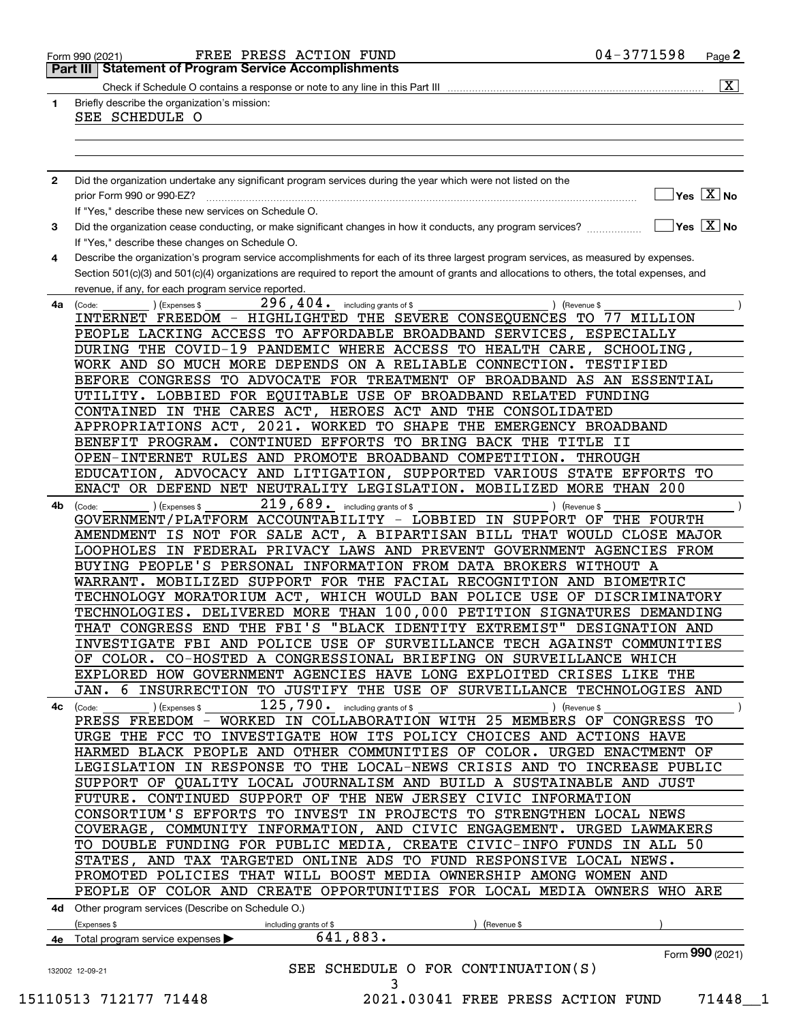| 1            | Briefly describe the organization's mission:                                                                                                                                                        |           | $\overline{\mathbf{x}}$                    |
|--------------|-----------------------------------------------------------------------------------------------------------------------------------------------------------------------------------------------------|-----------|--------------------------------------------|
|              | SEE SCHEDULE O                                                                                                                                                                                      |           |                                            |
|              |                                                                                                                                                                                                     |           |                                            |
|              |                                                                                                                                                                                                     |           |                                            |
| $\mathbf{2}$ | Did the organization undertake any significant program services during the year which were not listed on the                                                                                        |           |                                            |
|              |                                                                                                                                                                                                     |           | $\overline{\ }$ Yes $\overline{\rm{X}}$ No |
|              | If "Yes," describe these new services on Schedule O.                                                                                                                                                |           |                                            |
| 3            |                                                                                                                                                                                                     |           | $\sqrt{}$ Yes $\sqrt{}$ X $\sqrt{}$ No     |
|              | If "Yes," describe these changes on Schedule O.                                                                                                                                                     |           |                                            |
| 4            | Describe the organization's program service accomplishments for each of its three largest program services, as measured by expenses.                                                                |           |                                            |
|              | Section 501(c)(3) and 501(c)(4) organizations are required to report the amount of grants and allocations to others, the total expenses, and<br>revenue, if any, for each program service reported. |           |                                            |
| 4а           | $296,404$ . including grants of \$<br>(Code:<br>(Expenses \$<br>) (Revenue \$                                                                                                                       |           |                                            |
|              | INTERNET FREEDOM - HIGHLIGHTED THE SEVERE CONSEQUENCES TO 77 MILLION                                                                                                                                |           |                                            |
|              | PEOPLE LACKING ACCESS TO AFFORDABLE BROADBAND SERVICES, ESPECIALLY                                                                                                                                  |           |                                            |
|              | DURING THE COVID-19 PANDEMIC WHERE ACCESS TO HEALTH CARE, SCHOOLING,                                                                                                                                |           |                                            |
|              | WORK AND SO MUCH MORE DEPENDS ON A RELIABLE CONNECTION.                                                                                                                                             | TESTIFIED |                                            |
|              | BEFORE CONGRESS TO ADVOCATE FOR TREATMENT OF BROADBAND AS AN ESSENTIAL                                                                                                                              |           |                                            |
|              | UTILITY. LOBBIED FOR EQUITABLE USE OF BROADBAND RELATED FUNDING                                                                                                                                     |           |                                            |
|              | CONTAINED IN THE CARES ACT, HEROES ACT AND THE CONSOLIDATED                                                                                                                                         |           |                                            |
|              | APPROPRIATIONS ACT, 2021. WORKED TO SHAPE THE EMERGENCY BROADBAND<br>BENEFIT PROGRAM. CONTINUED EFFORTS TO BRING BACK THE TITLE II                                                                  |           |                                            |
|              | OPEN-INTERNET RULES AND PROMOTE BROADBAND COMPETITION. THROUGH                                                                                                                                      |           |                                            |
|              | EDUCATION, ADVOCACY AND LITIGATION, SUPPORTED VARIOUS STATE EFFORTS TO                                                                                                                              |           |                                            |
|              | ENACT OR DEFEND NET NEUTRALITY LEGISLATION. MOBILIZED MORE THAN 200                                                                                                                                 |           |                                            |
| 4b           | 219,689. including grants of \$<br>(Code:<br>(Expenses \$<br>) (Revenue \$                                                                                                                          |           |                                            |
|              | GOVERNMENT/PLATFORM ACCOUNTABILITY - LOBBIED IN SUPPORT OF THE FOURTH                                                                                                                               |           |                                            |
|              | AMENDMENT IS NOT FOR SALE ACT, A BIPARTISAN BILL THAT WOULD CLOSE MAJOR                                                                                                                             |           |                                            |
|              | LOOPHOLES IN FEDERAL PRIVACY LAWS AND PREVENT GOVERNMENT AGENCIES FROM                                                                                                                              |           |                                            |
|              | BUYING PEOPLE'S PERSONAL INFORMATION FROM DATA BROKERS WITHOUT A                                                                                                                                    |           |                                            |
|              | WARRANT. MOBILIZED SUPPORT FOR THE FACIAL RECOGNITION AND BIOMETRIC                                                                                                                                 |           |                                            |
|              | TECHNOLOGY MORATORIUM ACT, WHICH WOULD BAN POLICE USE OF DISCRIMINATORY                                                                                                                             |           |                                            |
|              | TECHNOLOGIES. DELIVERED MORE THAN 100,000 PETITION SIGNATURES DEMANDING                                                                                                                             |           |                                            |
|              | THAT CONGRESS END THE FBI'S "BLACK IDENTITY EXTREMIST" DESIGNATION AND                                                                                                                              |           |                                            |
|              | INVESTIGATE FBI AND POLICE USE OF SURVEILLANCE TECH AGAINST COMMUNITIES<br>OF COLOR. CO-HOSTED A CONGRESSIONAL BRIEFING ON SURVEILLANCE WHICH                                                       |           |                                            |
|              | EXPLORED HOW GOVERNMENT AGENCIES HAVE LONG EXPLOITED CRISES LIKE THE                                                                                                                                |           |                                            |
|              | JAN. 6 INSURRECTION TO JUSTIFY THE USE OF SURVEILLANCE TECHNOLOGIES AND                                                                                                                             |           |                                            |
|              | 125,790. including grants of \$<br>4c (Code:<br>(Expenses \$<br>) (Revenue \$                                                                                                                       |           |                                            |
|              | PRESS FREEDOM - WORKED IN COLLABORATION WITH 25 MEMBERS OF CONGRESS TO                                                                                                                              |           |                                            |
|              | URGE THE FCC TO INVESTIGATE HOW ITS POLICY CHOICES AND ACTIONS HAVE                                                                                                                                 |           |                                            |
|              | HARMED BLACK PEOPLE AND OTHER COMMUNITIES OF COLOR. URGED ENACTMENT OF                                                                                                                              |           |                                            |
|              | LEGISLATION IN RESPONSE TO THE LOCAL-NEWS CRISIS AND TO INCREASE PUBLIC                                                                                                                             |           |                                            |
|              | SUPPORT OF QUALITY LOCAL JOURNALISM AND BUILD A SUSTAINABLE AND JUST                                                                                                                                |           |                                            |
|              | FUTURE. CONTINUED SUPPORT OF THE NEW JERSEY CIVIC INFORMATION                                                                                                                                       |           |                                            |
|              | CONSORTIUM'S EFFORTS TO INVEST IN PROJECTS TO STRENGTHEN LOCAL NEWS                                                                                                                                 |           |                                            |
|              | COVERAGE, COMMUNITY INFORMATION, AND CIVIC ENGAGEMENT. URGED LAWMAKERS                                                                                                                              |           |                                            |
|              | TO DOUBLE FUNDING FOR PUBLIC MEDIA, CREATE CIVIC-INFO FUNDS IN ALL 50<br>STATES, AND TAX TARGETED ONLINE ADS TO FUND RESPONSIVE LOCAL NEWS.                                                         |           |                                            |
|              | PROMOTED POLICIES THAT WILL BOOST MEDIA OWNERSHIP AMONG WOMEN AND                                                                                                                                   |           |                                            |
|              | PEOPLE OF COLOR AND CREATE OPPORTUNITIES FOR LOCAL MEDIA OWNERS WHO ARE                                                                                                                             |           |                                            |
|              | 4d Other program services (Describe on Schedule O.)                                                                                                                                                 |           |                                            |
|              | (Expenses \$<br>(Revenue \$<br>including grants of \$                                                                                                                                               |           |                                            |
|              | 641,883.<br>4e Total program service expenses                                                                                                                                                       |           |                                            |
|              |                                                                                                                                                                                                     |           | Form 990 (2021)                            |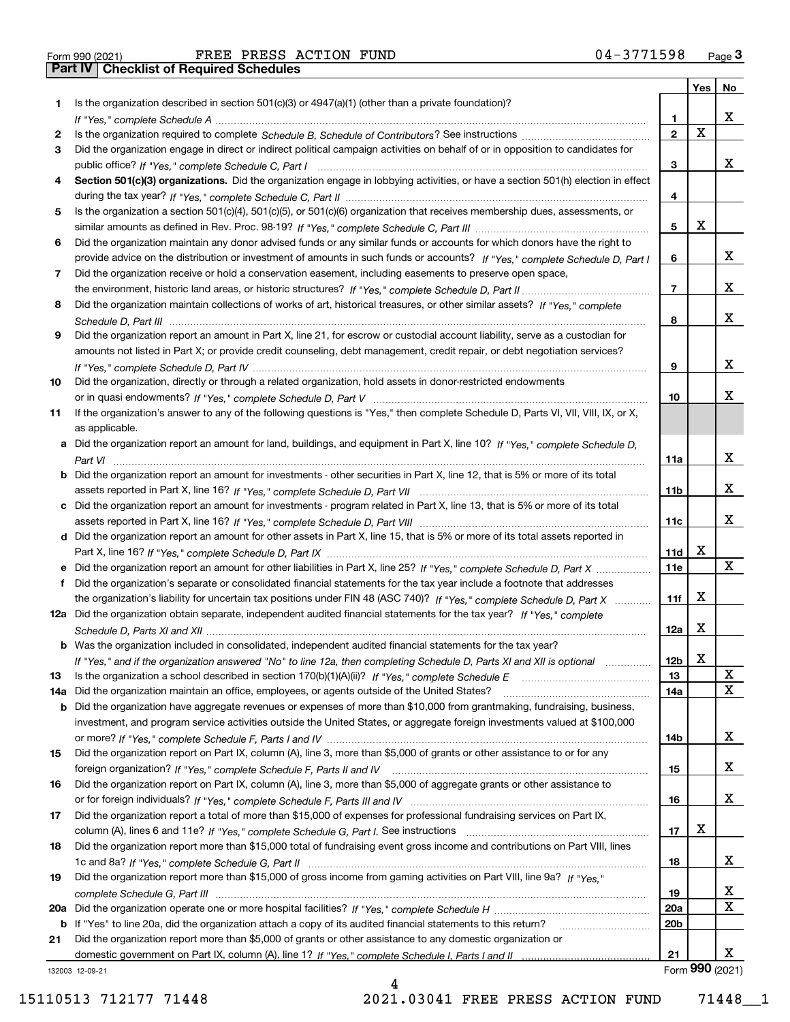|     |                                                                                                                                       |                 | Yes   No                |                 |
|-----|---------------------------------------------------------------------------------------------------------------------------------------|-----------------|-------------------------|-----------------|
| 1.  | Is the organization described in section $501(c)(3)$ or $4947(a)(1)$ (other than a private foundation)?                               |                 |                         |                 |
|     |                                                                                                                                       | 1.              |                         | x               |
| 2   |                                                                                                                                       | $\overline{2}$  | $\overline{\mathbf{x}}$ |                 |
| 3   | Did the organization engage in direct or indirect political campaign activities on behalf of or in opposition to candidates for       |                 |                         |                 |
|     |                                                                                                                                       | 3               |                         | x               |
| 4   | Section 501(c)(3) organizations. Did the organization engage in lobbying activities, or have a section 501(h) election in effect      |                 |                         |                 |
|     |                                                                                                                                       | 4               |                         |                 |
| 5   | Is the organization a section 501(c)(4), 501(c)(5), or 501(c)(6) organization that receives membership dues, assessments, or          |                 |                         |                 |
|     |                                                                                                                                       | 5               | X                       |                 |
| 6   | Did the organization maintain any donor advised funds or any similar funds or accounts for which donors have the right to             |                 |                         | x               |
|     | provide advice on the distribution or investment of amounts in such funds or accounts? If "Yes," complete Schedule D, Part I          | 6               |                         |                 |
| 7   | Did the organization receive or hold a conservation easement, including easements to preserve open space,                             | $\overline{7}$  |                         | x               |
|     |                                                                                                                                       |                 |                         |                 |
| 8   | Did the organization maintain collections of works of art, historical treasures, or other similar assets? If "Yes," complete          | 8               |                         | X               |
| 9   | Did the organization report an amount in Part X, line 21, for escrow or custodial account liability, serve as a custodian for         |                 |                         |                 |
|     | amounts not listed in Part X; or provide credit counseling, debt management, credit repair, or debt negotiation services?             |                 |                         |                 |
|     |                                                                                                                                       | 9               |                         | x               |
| 10  | Did the organization, directly or through a related organization, hold assets in donor-restricted endowments                          |                 |                         |                 |
|     |                                                                                                                                       | 10              |                         | х               |
| 11  | If the organization's answer to any of the following questions is "Yes," then complete Schedule D, Parts VI, VII, VIII, IX, or X,     |                 |                         |                 |
|     | as applicable.                                                                                                                        |                 |                         |                 |
|     | a Did the organization report an amount for land, buildings, and equipment in Part X, line 10? If "Yes." complete Schedule D.         |                 |                         |                 |
|     |                                                                                                                                       | 11a             |                         | х               |
|     | <b>b</b> Did the organization report an amount for investments - other securities in Part X, line 12, that is 5% or more of its total |                 |                         |                 |
|     |                                                                                                                                       | 11b             |                         | x               |
|     | c Did the organization report an amount for investments - program related in Part X, line 13, that is 5% or more of its total         |                 |                         |                 |
|     |                                                                                                                                       | 11c             |                         | x               |
|     | d Did the organization report an amount for other assets in Part X, line 15, that is 5% or more of its total assets reported in       |                 |                         |                 |
|     |                                                                                                                                       | 11d             | X                       |                 |
|     |                                                                                                                                       | 11e             |                         | x               |
| f   | Did the organization's separate or consolidated financial statements for the tax year include a footnote that addresses               |                 |                         |                 |
|     | the organization's liability for uncertain tax positions under FIN 48 (ASC 740)? If "Yes," complete Schedule D, Part X                | 11f             | X                       |                 |
|     | 12a Did the organization obtain separate, independent audited financial statements for the tax year? If "Yes," complete               |                 |                         |                 |
|     |                                                                                                                                       | 12a             | X                       |                 |
|     | <b>b</b> Was the organization included in consolidated, independent audited financial statements for the tax year?                    |                 |                         |                 |
|     | If "Yes," and if the organization answered "No" to line 12a, then completing Schedule D, Parts XI and XII is optional                 | 12 <sub>b</sub> | X                       |                 |
| 13  | Is the organization a school described in section $170(b)(1)(A)(ii)?$ If "Yes," complete Schedule E                                   | 13              |                         | X               |
| 14a | Did the organization maintain an office, employees, or agents outside of the United States?                                           | 14a             |                         | $\mathbf X$     |
|     | <b>b</b> Did the organization have aggregate revenues or expenses of more than \$10,000 from grantmaking, fundraising, business,      |                 |                         |                 |
|     | investment, and program service activities outside the United States, or aggregate foreign investments valued at \$100,000            |                 |                         |                 |
|     |                                                                                                                                       | 14b             |                         | X               |
| 15  | Did the organization report on Part IX, column (A), line 3, more than \$5,000 of grants or other assistance to or for any             |                 |                         |                 |
|     |                                                                                                                                       | 15              |                         | X               |
| 16  | Did the organization report on Part IX, column (A), line 3, more than \$5,000 of aggregate grants or other assistance to              |                 |                         |                 |
|     |                                                                                                                                       | 16              |                         | X               |
| 17  | Did the organization report a total of more than \$15,000 of expenses for professional fundraising services on Part IX,               |                 |                         |                 |
|     |                                                                                                                                       | 17              | х                       |                 |
| 18  | Did the organization report more than \$15,000 total of fundraising event gross income and contributions on Part VIII, lines          |                 |                         |                 |
|     |                                                                                                                                       | 18              |                         | X               |
| 19  | Did the organization report more than \$15,000 of gross income from gaming activities on Part VIII, line 9a? If "Yes."                |                 |                         |                 |
|     |                                                                                                                                       | 19              |                         | x               |
|     |                                                                                                                                       | 20a             |                         | $\mathbf X$     |
|     | b If "Yes" to line 20a, did the organization attach a copy of its audited financial statements to this return?                        | 20 <sub>b</sub> |                         |                 |
| 21  | Did the organization report more than \$5,000 of grants or other assistance to any domestic organization or                           |                 |                         |                 |
|     |                                                                                                                                       | 21              |                         | x               |
|     | 132003 12-09-21                                                                                                                       |                 |                         | Form 990 (2021) |

132003 12-09-21

15110513 712177 71448 2021.03041 FREE PRESS ACTION FUND 71448\_\_1

4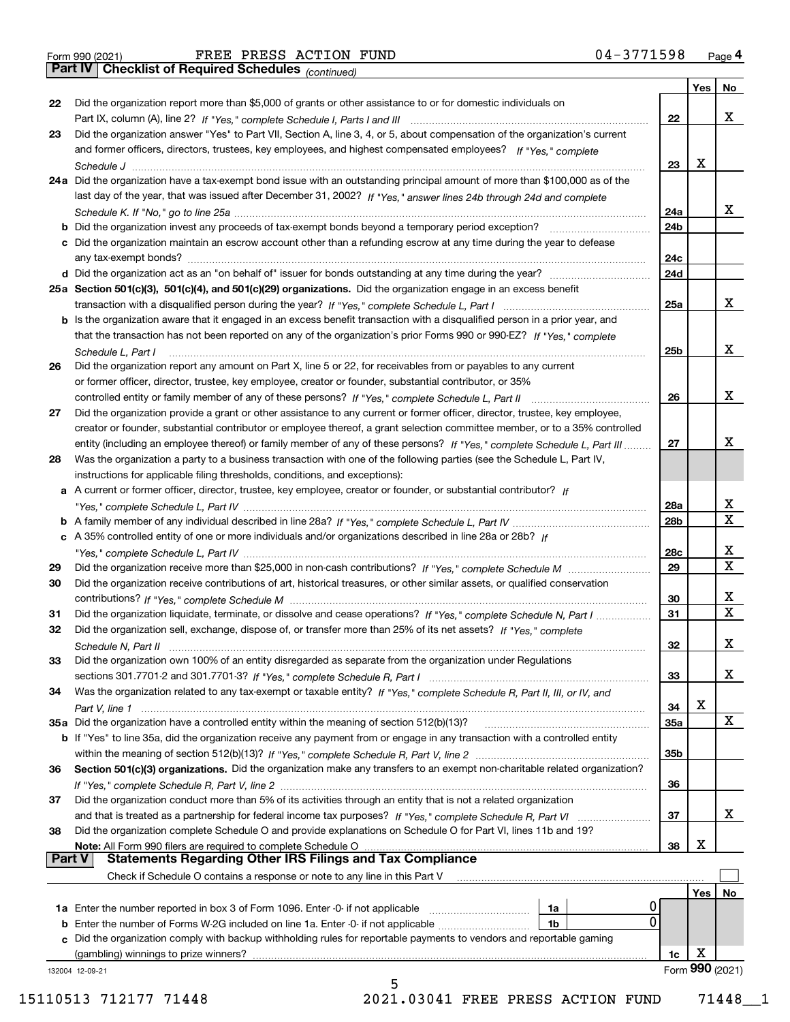*(continued)*

|               |                                                                                                                              |                 | Yes | No              |
|---------------|------------------------------------------------------------------------------------------------------------------------------|-----------------|-----|-----------------|
| 22            | Did the organization report more than \$5,000 of grants or other assistance to or for domestic individuals on                |                 |     |                 |
|               |                                                                                                                              | 22              |     | x               |
| 23            | Did the organization answer "Yes" to Part VII, Section A, line 3, 4, or 5, about compensation of the organization's current  |                 |     |                 |
|               | and former officers, directors, trustees, key employees, and highest compensated employees? If "Yes," complete               |                 |     |                 |
|               |                                                                                                                              | 23              | x   |                 |
|               | 24a Did the organization have a tax-exempt bond issue with an outstanding principal amount of more than \$100,000 as of the  |                 |     |                 |
|               | last day of the year, that was issued after December 31, 2002? If "Yes," answer lines 24b through 24d and complete           |                 |     |                 |
|               |                                                                                                                              | 24a             |     | x               |
|               | <b>b</b> Did the organization invest any proceeds of tax-exempt bonds beyond a temporary period exception?                   | 24b             |     |                 |
|               | c Did the organization maintain an escrow account other than a refunding escrow at any time during the year to defease       |                 |     |                 |
|               |                                                                                                                              | 24c             |     |                 |
|               |                                                                                                                              | 24d             |     |                 |
|               | 25a Section 501(c)(3), 501(c)(4), and 501(c)(29) organizations. Did the organization engage in an excess benefit             |                 |     |                 |
|               |                                                                                                                              | 25a             |     | x               |
|               | b Is the organization aware that it engaged in an excess benefit transaction with a disqualified person in a prior year, and |                 |     |                 |
|               | that the transaction has not been reported on any of the organization's prior Forms 990 or 990-EZ? If "Yes." complete        |                 |     |                 |
|               | Schedule L. Part I                                                                                                           | 25 <sub>b</sub> |     | х               |
| 26            | Did the organization report any amount on Part X, line 5 or 22, for receivables from or payables to any current              |                 |     |                 |
|               | or former officer, director, trustee, key employee, creator or founder, substantial contributor, or 35%                      |                 |     |                 |
|               |                                                                                                                              | 26              |     | х               |
| 27            | Did the organization provide a grant or other assistance to any current or former officer, director, trustee, key employee,  |                 |     |                 |
|               | creator or founder, substantial contributor or employee thereof, a grant selection committee member, or to a 35% controlled  |                 |     |                 |
|               | entity (including an employee thereof) or family member of any of these persons? If "Yes," complete Schedule L, Part III     | 27              |     | х               |
| 28            | Was the organization a party to a business transaction with one of the following parties (see the Schedule L, Part IV,       |                 |     |                 |
|               | instructions for applicable filing thresholds, conditions, and exceptions):                                                  |                 |     |                 |
|               | a A current or former officer, director, trustee, key employee, creator or founder, or substantial contributor? If           |                 |     |                 |
|               |                                                                                                                              | 28a             |     | x               |
|               |                                                                                                                              | 28 <sub>b</sub> |     | $\mathbf X$     |
|               | c A 35% controlled entity of one or more individuals and/or organizations described in line 28a or 28b? If                   |                 |     |                 |
|               |                                                                                                                              | 28c             |     | х               |
| 29            |                                                                                                                              | 29              |     | $\mathbf X$     |
| 30            | Did the organization receive contributions of art, historical treasures, or other similar assets, or qualified conservation  |                 |     |                 |
|               |                                                                                                                              | 30              |     | x               |
| 31            | Did the organization liquidate, terminate, or dissolve and cease operations? If "Yes," complete Schedule N, Part I           | 31              |     | $\mathbf X$     |
| 32            | Did the organization sell, exchange, dispose of, or transfer more than 25% of its net assets? If "Yes." complete             |                 |     |                 |
|               | Schedule N, Part II                                                                                                          | 32              |     | х               |
| 33            | Did the organization own 100% of an entity disregarded as separate from the organization under Regulations                   |                 |     |                 |
|               |                                                                                                                              | 33              |     | х               |
| 34            | Was the organization related to any tax-exempt or taxable entity? If "Yes," complete Schedule R, Part II, III, or IV, and    |                 |     |                 |
|               |                                                                                                                              | 34              | х   |                 |
|               | 35a Did the organization have a controlled entity within the meaning of section 512(b)(13)?                                  | <b>35a</b>      |     | X               |
|               | b If "Yes" to line 35a, did the organization receive any payment from or engage in any transaction with a controlled entity  |                 |     |                 |
|               |                                                                                                                              | 35b             |     |                 |
| 36            | Section 501(c)(3) organizations. Did the organization make any transfers to an exempt non-charitable related organization?   |                 |     |                 |
|               |                                                                                                                              | 36              |     |                 |
| 37            | Did the organization conduct more than 5% of its activities through an entity that is not a related organization             |                 |     |                 |
|               |                                                                                                                              | 37              |     | x               |
| 38            | Did the organization complete Schedule O and provide explanations on Schedule O for Part VI, lines 11b and 19?               |                 |     |                 |
|               | Note: All Form 990 filers are required to complete Schedule O                                                                | 38              | х   |                 |
| <b>Part V</b> | <b>Statements Regarding Other IRS Filings and Tax Compliance</b>                                                             |                 |     |                 |
|               | Check if Schedule O contains a response or note to any line in this Part V                                                   |                 |     |                 |
|               |                                                                                                                              |                 | Yes | No.             |
|               | 1a Enter the number reported in box 3 of Form 1096. Enter -0- if not applicable<br>1a<br>0                                   |                 |     |                 |
|               | <b>b</b> Enter the number of Forms W-2G included on line 1a. Enter -0- if not applicable<br>1b                               |                 |     |                 |
|               | c Did the organization comply with backup withholding rules for reportable payments to vendors and reportable gaming         |                 |     |                 |
|               | (gambling) winnings to prize winners?                                                                                        | 1c              | х   | Form 990 (2021) |
|               | 132004 12-09-21<br>5                                                                                                         |                 |     |                 |
|               |                                                                                                                              |                 |     |                 |

 <sup>15110513 712177 71448 2021.03041</sup> FREE PRESS ACTION FUND 71448\_\_1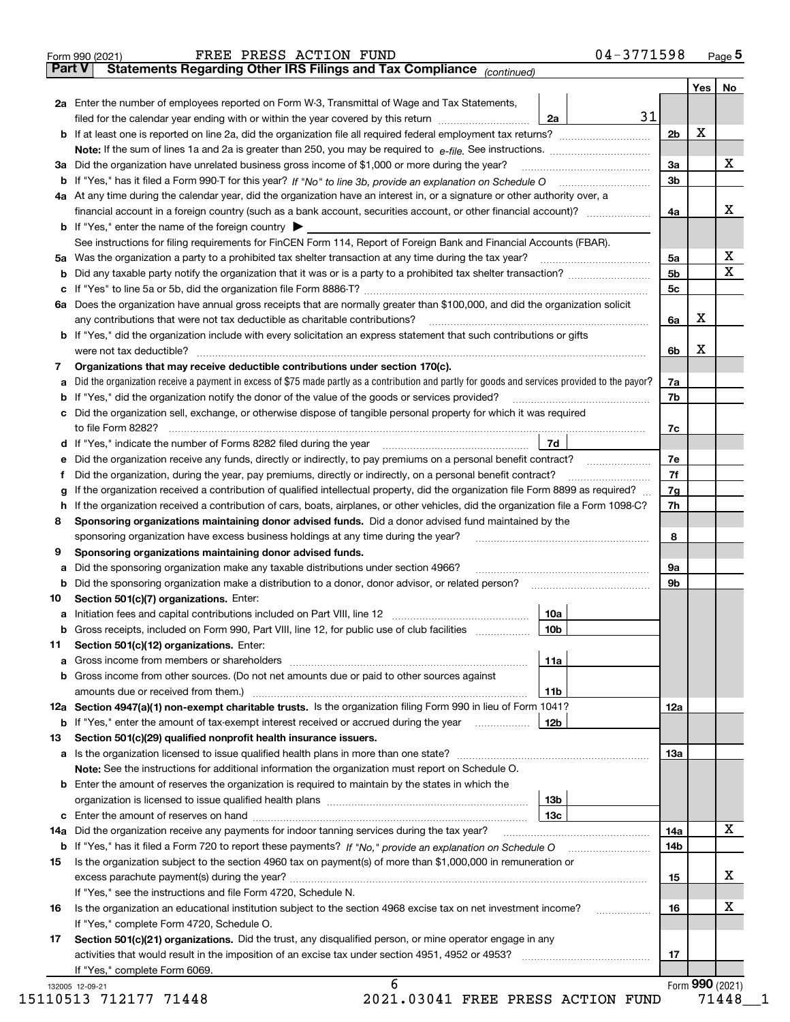|    | Part V<br>Statements Regarding Other IRS Filings and Tax Compliance (continued)                                                                 |                 |    |                |     |                         |
|----|-------------------------------------------------------------------------------------------------------------------------------------------------|-----------------|----|----------------|-----|-------------------------|
|    |                                                                                                                                                 |                 |    |                | Yes | No                      |
|    | 2a Enter the number of employees reported on Form W-3, Transmittal of Wage and Tax Statements,                                                  |                 | 31 |                |     |                         |
|    | filed for the calendar year ending with or within the year covered by this return                                                               | 2a              |    |                |     |                         |
|    |                                                                                                                                                 |                 |    | 2 <sub>b</sub> | х   |                         |
|    |                                                                                                                                                 |                 |    |                |     |                         |
|    | 3a Did the organization have unrelated business gross income of \$1,000 or more during the year?                                                |                 |    | 3a             |     | X                       |
|    |                                                                                                                                                 |                 |    | 3 <sub>b</sub> |     |                         |
|    | 4a At any time during the calendar year, did the organization have an interest in, or a signature or other authority over, a                    |                 |    |                |     |                         |
|    | financial account in a foreign country (such as a bank account, securities account, or other financial account)?                                |                 |    | 4a             |     | х                       |
|    | <b>b</b> If "Yes," enter the name of the foreign country $\blacktriangleright$                                                                  |                 |    |                |     |                         |
|    | See instructions for filing requirements for FinCEN Form 114, Report of Foreign Bank and Financial Accounts (FBAR).                             |                 |    |                |     |                         |
|    |                                                                                                                                                 |                 |    | 5a             |     | х                       |
| b  |                                                                                                                                                 |                 |    | 5b             |     | $\overline{\mathbf{X}}$ |
| c  |                                                                                                                                                 |                 |    | 5c             |     |                         |
|    | 6a Does the organization have annual gross receipts that are normally greater than \$100,000, and did the organization solicit                  |                 |    |                |     |                         |
|    | any contributions that were not tax deductible as charitable contributions?                                                                     |                 |    | 6a             | х   |                         |
|    | <b>b</b> If "Yes," did the organization include with every solicitation an express statement that such contributions or gifts                   |                 |    |                |     |                         |
|    |                                                                                                                                                 |                 |    | 6b             | x   |                         |
| 7  | Organizations that may receive deductible contributions under section 170(c).                                                                   |                 |    |                |     |                         |
| а  | Did the organization receive a payment in excess of \$75 made partly as a contribution and partly for goods and services provided to the payor? |                 |    | 7a             |     |                         |
| b  | If "Yes," did the organization notify the donor of the value of the goods or services provided?                                                 |                 |    | 7b             |     |                         |
|    | c Did the organization sell, exchange, or otherwise dispose of tangible personal property for which it was required                             |                 |    |                |     |                         |
|    |                                                                                                                                                 |                 |    | 7c             |     |                         |
|    | d If "Yes," indicate the number of Forms 8282 filed during the year [11] [11] No. 2010 [12] Henry Manuscones (                                  | 7d              |    |                |     |                         |
| е  | Did the organization receive any funds, directly or indirectly, to pay premiums on a personal benefit contract?                                 |                 |    | 7e             |     |                         |
| f  | Did the organization, during the year, pay premiums, directly or indirectly, on a personal benefit contract?                                    |                 |    | 7f             |     |                         |
| g  | If the organization received a contribution of qualified intellectual property, did the organization file Form 8899 as required?                |                 |    | 7g             |     |                         |
| h  | If the organization received a contribution of cars, boats, airplanes, or other vehicles, did the organization file a Form 1098-C?              |                 |    | 7h             |     |                         |
| 8  | Sponsoring organizations maintaining donor advised funds. Did a donor advised fund maintained by the                                            |                 |    |                |     |                         |
|    |                                                                                                                                                 |                 |    | 8              |     |                         |
|    | sponsoring organization have excess business holdings at any time during the year?                                                              |                 |    |                |     |                         |
| 9  | Sponsoring organizations maintaining donor advised funds.                                                                                       |                 |    |                |     |                         |
| а  | Did the sponsoring organization make any taxable distributions under section 4966?                                                              |                 |    | 9а             |     |                         |
| b  | Did the sponsoring organization make a distribution to a donor, donor advisor, or related person? [[[[[[[[[[[                                   |                 |    | 9b             |     |                         |
| 10 | Section 501(c)(7) organizations. Enter:                                                                                                         |                 |    |                |     |                         |
|    |                                                                                                                                                 | 10a<br> 10b     |    |                |     |                         |
|    | Gross receipts, included on Form 990, Part VIII, line 12, for public use of club facilities                                                     |                 |    |                |     |                         |
| 11 | Section 501(c)(12) organizations. Enter:                                                                                                        |                 |    |                |     |                         |
|    |                                                                                                                                                 | 11a             |    |                |     |                         |
|    | b Gross income from other sources. (Do not net amounts due or paid to other sources against                                                     |                 |    |                |     |                         |
|    |                                                                                                                                                 | 11b             |    |                |     |                         |
|    | 12a Section 4947(a)(1) non-exempt charitable trusts. Is the organization filing Form 990 in lieu of Form 1041?                                  |                 |    | 12a            |     |                         |
|    | <b>b</b> If "Yes," enter the amount of tax-exempt interest received or accrued during the year                                                  | <b>12b</b>      |    |                |     |                         |
| 13 | Section 501(c)(29) qualified nonprofit health insurance issuers.                                                                                |                 |    |                |     |                         |
|    | <b>a</b> Is the organization licensed to issue qualified health plans in more than one state?                                                   |                 |    | 13а            |     |                         |
|    | Note: See the instructions for additional information the organization must report on Schedule O.                                               |                 |    |                |     |                         |
|    | <b>b</b> Enter the amount of reserves the organization is required to maintain by the states in which the                                       |                 |    |                |     |                         |
|    |                                                                                                                                                 | 13 <sub>b</sub> |    |                |     |                         |
|    |                                                                                                                                                 | 13с             |    |                |     |                         |
|    | 14a Did the organization receive any payments for indoor tanning services during the tax year?                                                  |                 |    | 14a            |     | X                       |
|    |                                                                                                                                                 |                 |    | 14b            |     |                         |
| 15 | Is the organization subject to the section 4960 tax on payment(s) of more than \$1,000,000 in remuneration or                                   |                 |    |                |     |                         |
|    |                                                                                                                                                 |                 |    | 15             |     | x                       |
|    | If "Yes," see the instructions and file Form 4720, Schedule N.                                                                                  |                 |    |                |     |                         |
| 16 | Is the organization an educational institution subject to the section 4968 excise tax on net investment income?                                 |                 |    | 16             |     | х                       |
|    | If "Yes," complete Form 4720, Schedule O.                                                                                                       |                 |    |                |     |                         |
| 17 | Section 501(c)(21) organizations. Did the trust, any disqualified person, or mine operator engage in any                                        |                 |    |                |     |                         |
|    |                                                                                                                                                 |                 |    | 17             |     |                         |
|    | If "Yes," complete Form 6069.                                                                                                                   |                 |    |                |     |                         |
|    |                                                                                                                                                 |                 |    |                |     |                         |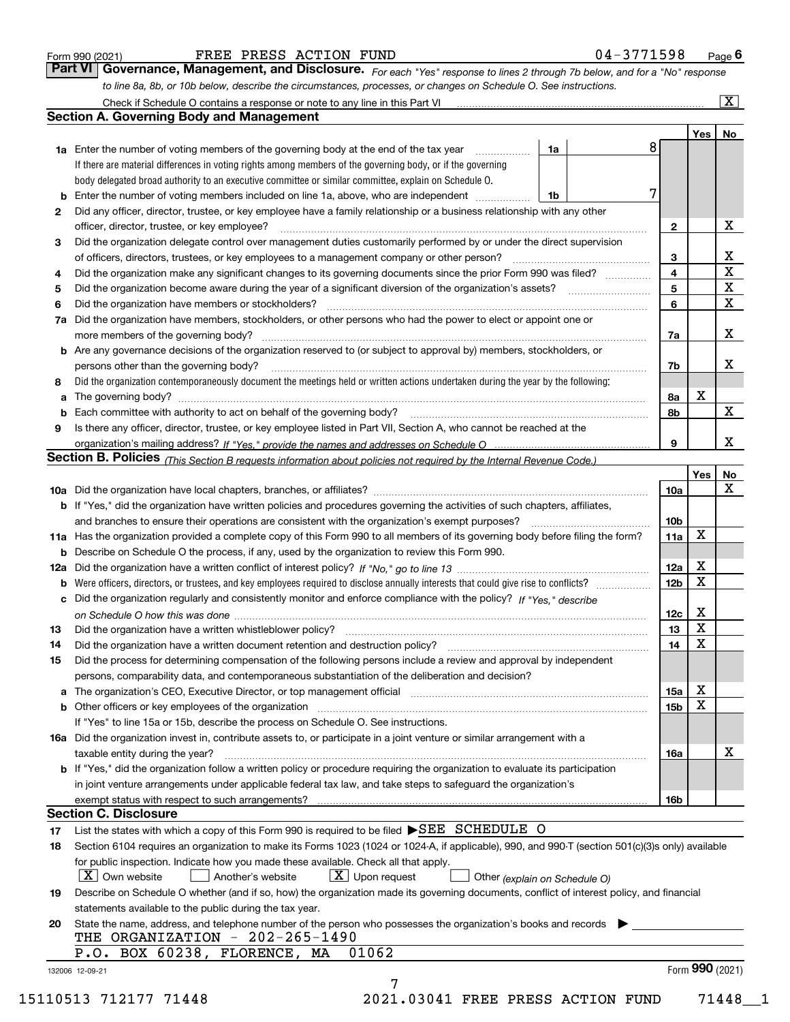|  | Form 990 (2021) |
|--|-----------------|
|  |                 |

#### FREE PRESS ACTION FUND 0

| 14-3771598<br>Page |
|--------------------|
|--------------------|

*For each "Yes" response to lines 2 through 7b below, and for a "No" response to line 8a, 8b, or 10b below, describe the circumstances, processes, or changes on Schedule O. See instructions.* Form 990 (2021) **FORE PRESS ACTION FUND** 04-3771598 Page 6<br>**Part VI Governance, Management, and Disclosure.** For each "Yes" response to lines 2 through 7b below, and for a "No" response

|                                                                                                                      |                                                                                                                                                                            |                               | 8 |                         | Yes             | No                      |
|----------------------------------------------------------------------------------------------------------------------|----------------------------------------------------------------------------------------------------------------------------------------------------------------------------|-------------------------------|---|-------------------------|-----------------|-------------------------|
|                                                                                                                      | <b>1a</b> Enter the number of voting members of the governing body at the end of the tax year                                                                              | 1a                            |   |                         |                 |                         |
|                                                                                                                      | If there are material differences in voting rights among members of the governing body, or if the governing                                                                |                               |   |                         |                 |                         |
|                                                                                                                      | body delegated broad authority to an executive committee or similar committee, explain on Schedule O.                                                                      |                               | 7 |                         |                 |                         |
|                                                                                                                      |                                                                                                                                                                            | 1b                            |   |                         |                 |                         |
| $\mathbf{2}$                                                                                                         | Did any officer, director, trustee, or key employee have a family relationship or a business relationship with any other                                                   |                               |   |                         |                 | X                       |
|                                                                                                                      | officer, director, trustee, or key employee?                                                                                                                               |                               |   | $\mathbf{2}$            |                 |                         |
| 3                                                                                                                    | Did the organization delegate control over management duties customarily performed by or under the direct supervision                                                      |                               |   |                         |                 | X                       |
|                                                                                                                      |                                                                                                                                                                            |                               |   | 3                       |                 | $\overline{\mathbf{x}}$ |
| 4                                                                                                                    | Did the organization make any significant changes to its governing documents since the prior Form 990 was filed?                                                           |                               |   | $\overline{\mathbf{4}}$ |                 | $\mathbf X$             |
| 5                                                                                                                    |                                                                                                                                                                            |                               |   | 5                       |                 | $\mathbf x$             |
| 6                                                                                                                    | Did the organization have members or stockholders?                                                                                                                         |                               |   | 6                       |                 |                         |
|                                                                                                                      | 7a Did the organization have members, stockholders, or other persons who had the power to elect or appoint one or                                                          |                               |   |                         |                 |                         |
|                                                                                                                      |                                                                                                                                                                            |                               |   | 7a                      |                 | x                       |
|                                                                                                                      | <b>b</b> Are any governance decisions of the organization reserved to (or subject to approval by) members, stockholders, or                                                |                               |   |                         |                 |                         |
|                                                                                                                      | persons other than the governing body?                                                                                                                                     |                               |   | 7b                      |                 | х                       |
| 8                                                                                                                    | Did the organization contemporaneously document the meetings held or written actions undertaken during the year by the following:                                          |                               |   |                         |                 |                         |
| a                                                                                                                    |                                                                                                                                                                            |                               |   | 8a                      | X               |                         |
|                                                                                                                      |                                                                                                                                                                            |                               |   | 8b                      |                 | $\mathbf{X}$            |
| 9                                                                                                                    | Is there any officer, director, trustee, or key employee listed in Part VII, Section A, who cannot be reached at the                                                       |                               |   |                         |                 |                         |
|                                                                                                                      |                                                                                                                                                                            |                               |   | 9                       |                 | x                       |
|                                                                                                                      | Section B. Policies (This Section B requests information about policies not required by the Internal Revenue Code.)                                                        |                               |   |                         |                 |                         |
|                                                                                                                      |                                                                                                                                                                            |                               |   |                         | Yes             | No                      |
|                                                                                                                      |                                                                                                                                                                            |                               |   | 10a                     |                 | X                       |
|                                                                                                                      | <b>b</b> If "Yes," did the organization have written policies and procedures governing the activities of such chapters, affiliates,                                        |                               |   |                         |                 |                         |
|                                                                                                                      |                                                                                                                                                                            |                               |   | 10 <sub>b</sub>         |                 |                         |
|                                                                                                                      | 11a Has the organization provided a complete copy of this Form 990 to all members of its governing body before filing the form?                                            |                               |   | 11a                     | X               |                         |
|                                                                                                                      | <b>b</b> Describe on Schedule O the process, if any, used by the organization to review this Form 990.                                                                     |                               |   |                         |                 |                         |
|                                                                                                                      |                                                                                                                                                                            |                               |   | 12a                     | X               |                         |
| b                                                                                                                    |                                                                                                                                                                            |                               |   | 12b                     | X               |                         |
|                                                                                                                      | c Did the organization regularly and consistently monitor and enforce compliance with the policy? If "Yes," describe                                                       |                               |   |                         |                 |                         |
|                                                                                                                      |                                                                                                                                                                            |                               |   | 12c                     | х               |                         |
| 13                                                                                                                   |                                                                                                                                                                            |                               |   | 13                      | X               |                         |
| 14                                                                                                                   | Did the organization have a written document retention and destruction policy? manufactured and the organization have a written document retention and destruction policy? |                               |   | 14                      | X               |                         |
| 15                                                                                                                   | Did the process for determining compensation of the following persons include a review and approval by independent                                                         |                               |   |                         |                 |                         |
|                                                                                                                      | persons, comparability data, and contemporaneous substantiation of the deliberation and decision?                                                                          |                               |   |                         |                 |                         |
|                                                                                                                      |                                                                                                                                                                            |                               |   | 15a                     | X               |                         |
|                                                                                                                      |                                                                                                                                                                            |                               |   | 15b                     | X               |                         |
|                                                                                                                      | If "Yes" to line 15a or 15b, describe the process on Schedule O. See instructions.                                                                                         |                               |   |                         |                 |                         |
|                                                                                                                      | 16a Did the organization invest in, contribute assets to, or participate in a joint venture or similar arrangement with a                                                  |                               |   |                         |                 |                         |
|                                                                                                                      | taxable entity during the year?                                                                                                                                            |                               |   | 16a                     |                 | X                       |
|                                                                                                                      | b If "Yes," did the organization follow a written policy or procedure requiring the organization to evaluate its participation                                             |                               |   |                         |                 |                         |
|                                                                                                                      | in joint venture arrangements under applicable federal tax law, and take steps to safeguard the organization's                                                             |                               |   |                         |                 |                         |
|                                                                                                                      | exempt status with respect to such arrangements?                                                                                                                           |                               |   | 16b                     |                 |                         |
|                                                                                                                      | <b>Section C. Disclosure</b>                                                                                                                                               |                               |   |                         |                 |                         |
| 17                                                                                                                   | List the states with which a copy of this Form 990 is required to be filed SEE SCHEDULE O                                                                                  |                               |   |                         |                 |                         |
| 18                                                                                                                   | Section 6104 requires an organization to make its Forms 1023 (1024 or 1024-A, if applicable), 990, and 990-T (section 501(c)(3)s only) available                           |                               |   |                         |                 |                         |
|                                                                                                                      | for public inspection. Indicate how you made these available. Check all that apply.                                                                                        |                               |   |                         |                 |                         |
|                                                                                                                      | X   Own website<br>$X$ Upon request<br>  Another's website                                                                                                                 | Other (explain on Schedule O) |   |                         |                 |                         |
| 19                                                                                                                   | Describe on Schedule O whether (and if so, how) the organization made its governing documents, conflict of interest policy, and financial                                  |                               |   |                         |                 |                         |
|                                                                                                                      | statements available to the public during the tax year.                                                                                                                    |                               |   |                         |                 |                         |
| State the name, address, and telephone number of the person who possesses the organization's books and records<br>20 |                                                                                                                                                                            |                               |   |                         |                 |                         |
| THE ORGANIZATION - 202-265-1490                                                                                      |                                                                                                                                                                            |                               |   |                         |                 |                         |
|                                                                                                                      | 01062<br>P.O. BOX 60238, FLORENCE, MA                                                                                                                                      |                               |   |                         |                 |                         |
| 132006 12-09-21                                                                                                      |                                                                                                                                                                            |                               |   |                         | Form 990 (2021) |                         |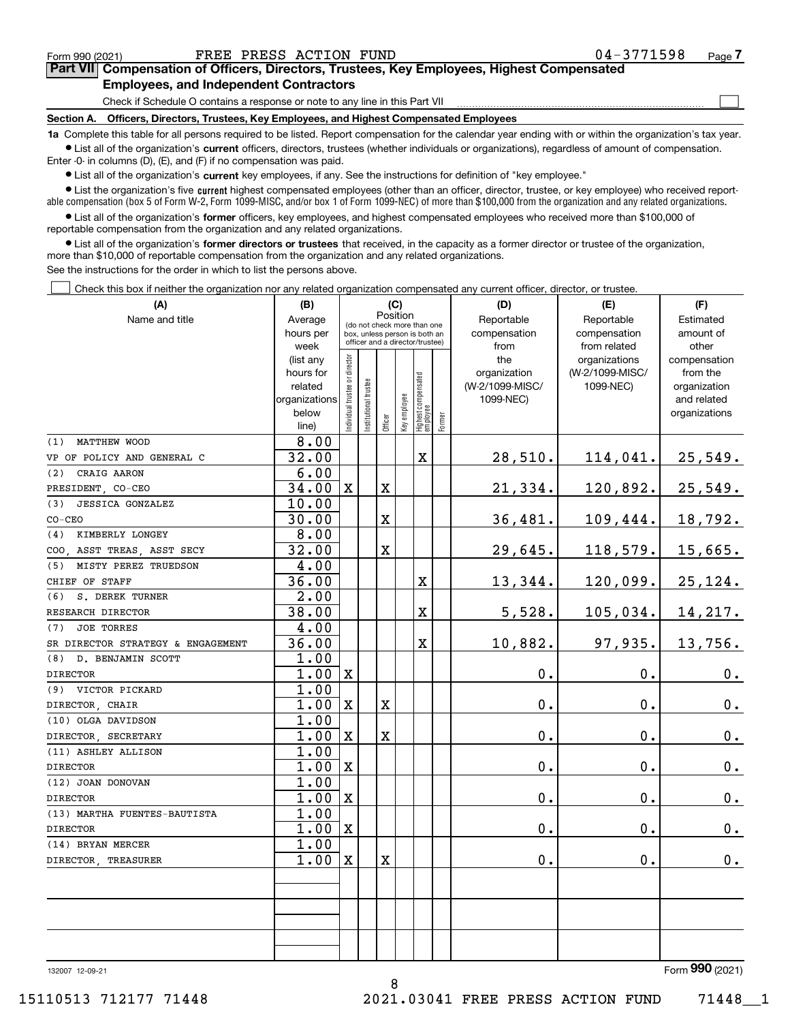|  | Form 990 (2021) |
|--|-----------------|
|  |                 |

 $\mathcal{L}^{\text{max}}$ 

## **7Part VII Compensation of Officers, Directors, Trustees, Key Employees, Highest Compensated Employees, and Independent Contractors**

Check if Schedule O contains a response or note to any line in this Part VII

**Section A. Officers, Directors, Trustees, Key Employees, and Highest Compensated Employees**

**1a**  Complete this table for all persons required to be listed. Report compensation for the calendar year ending with or within the organization's tax year. **•** List all of the organization's current officers, directors, trustees (whether individuals or organizations), regardless of amount of compensation.

Enter -0- in columns (D), (E), and (F) if no compensation was paid.

 $\bullet$  List all of the organization's  $\sf current$  key employees, if any. See the instructions for definition of "key employee."

**•** List the organization's five current highest compensated employees (other than an officer, director, trustee, or key employee) who received reportable compensation (box 5 of Form W-2, Form 1099-MISC, and/or box 1 of Form 1099-NEC) of more than \$100,000 from the organization and any related organizations.

**•** List all of the organization's former officers, key employees, and highest compensated employees who received more than \$100,000 of reportable compensation from the organization and any related organizations.

**former directors or trustees**  ¥ List all of the organization's that received, in the capacity as a former director or trustee of the organization, more than \$10,000 of reportable compensation from the organization and any related organizations.

See the instructions for the order in which to list the persons above.

Check this box if neither the organization nor any related organization compensated any current officer, director, or trustee.  $\mathcal{L}^{\text{max}}$ 

| (A)                                           | (B)            |                               |                                         |                    | (C)          |                                   |           | (D)             | (E)             | (F)           |
|-----------------------------------------------|----------------|-------------------------------|-----------------------------------------|--------------------|--------------|-----------------------------------|-----------|-----------------|-----------------|---------------|
| Name and title                                | Average        |                               | Position<br>(do not check more than one |                    | Reportable   | Reportable                        | Estimated |                 |                 |               |
|                                               | hours per      |                               |                                         |                    |              | box, unless person is both an     |           | compensation    | compensation    | amount of     |
|                                               | week           |                               |                                         |                    |              | officer and a director/trustee)   |           | from            | from related    | other         |
|                                               | (list any      |                               |                                         |                    |              |                                   |           | the             | organizations   | compensation  |
|                                               | hours for      |                               |                                         |                    |              |                                   |           | organization    | (W-2/1099-MISC/ | from the      |
|                                               | related        |                               |                                         |                    |              |                                   |           | (W-2/1099-MISC/ | 1099-NEC)       | organization  |
|                                               | organizations  |                               |                                         |                    |              |                                   |           | 1099-NEC)       |                 | and related   |
|                                               | below<br>line) | ndividual trustee or director | nstitutional trustee                    | Officer            | Key employee | Highest compensated<br>  employee | Former    |                 |                 | organizations |
| MATTHEW WOOD<br>(1)                           | 8.00           |                               |                                         |                    |              |                                   |           |                 |                 |               |
| VP OF POLICY AND GENERAL C                    | 32.00          |                               |                                         |                    |              | $\mathbf x$                       |           | 28,510.         | 114,041.        | 25,549.       |
| CRAIG AARON<br>(2)                            | 6.00           |                               |                                         |                    |              |                                   |           |                 |                 |               |
| PRESIDENT, CO-CEO                             | 34.00          | $\mathbf x$                   |                                         | X                  |              |                                   |           | 21,334.         | 120,892.        | 25,549.       |
| <b>JESSICA GONZALEZ</b><br>(3)                | 10.00          |                               |                                         |                    |              |                                   |           |                 |                 |               |
| $CO-CEO$                                      | 30.00          |                               |                                         | X                  |              |                                   |           | 36,481.         | 109,444.        | 18,792.       |
| KIMBERLY LONGEY<br>(4)                        | 8.00           |                               |                                         |                    |              |                                   |           |                 |                 |               |
| COO, ASST TREAS, ASST SECY                    | 32.00          |                               |                                         | X                  |              |                                   |           | 29,645.         | 118,579.        | 15,665.       |
| MISTY PEREZ TRUEDSON<br>(5)                   | 4.00           |                               |                                         |                    |              |                                   |           |                 |                 |               |
| CHIEF OF STAFF                                | 36.00          |                               |                                         |                    |              | $\overline{\mathbf{X}}$           |           | 13,344.         | 120,099.        | 25, 124.      |
| S. DEREK TURNER<br>(6)                        | 2.00<br>38.00  |                               |                                         |                    |              | $\mathbf X$                       |           |                 |                 |               |
| RESEARCH DIRECTOR<br><b>JOE TORRES</b><br>(7) | 4.00           |                               |                                         |                    |              |                                   |           | 5,528.          | 105,034.        | 14,217.       |
| SR DIRECTOR STRATEGY & ENGAGEMENT             | 36.00          |                               |                                         |                    |              | $\mathbf x$                       |           | 10,882.         | 97,935.         | 13,756.       |
| D. BENJAMIN SCOTT<br>(8)                      | 1.00           |                               |                                         |                    |              |                                   |           |                 |                 |               |
| <b>DIRECTOR</b>                               | 1.00           | $\mathbf x$                   |                                         |                    |              |                                   |           | 0.              | $\mathbf 0$ .   | 0.            |
| VICTOR PICKARD<br>(9)                         | 1.00           |                               |                                         |                    |              |                                   |           |                 |                 |               |
| DIRECTOR, CHAIR                               | 1.00           | X                             |                                         | $\bar{\mathbf{X}}$ |              |                                   |           | 0.              | $\mathbf 0$ .   | $0_{.}$       |
| (10) OLGA DAVIDSON                            | 1.00           |                               |                                         |                    |              |                                   |           |                 |                 |               |
| DIRECTOR SECRETARY                            | 1.00           | X                             |                                         | X                  |              |                                   |           | 0.              | $\mathbf 0$ .   | $0_{.}$       |
| (11) ASHLEY ALLISON                           | 1.00           |                               |                                         |                    |              |                                   |           |                 |                 |               |
| <b>DIRECTOR</b>                               | 1.00           | $\mathbf X$                   |                                         |                    |              |                                   |           | 0.              | $\mathbf 0$ .   | 0.            |
| (12) JOAN DONOVAN                             | 1.00           |                               |                                         |                    |              |                                   |           |                 |                 |               |
| <b>DIRECTOR</b>                               | 1.00           | $\mathbf x$                   |                                         |                    |              |                                   |           | 0.              | $\mathbf 0$ .   | 0.            |
| (13) MARTHA FUENTES-BAUTISTA                  | 1.00           |                               |                                         |                    |              |                                   |           |                 |                 |               |
| <b>DIRECTOR</b>                               | 1.00           | $\mathbf X$                   |                                         |                    |              |                                   |           | 0.              | $\mathbf 0$ .   | $0_{.}$       |
| (14) BRYAN MERCER                             | 1.00           |                               |                                         |                    |              |                                   |           |                 |                 |               |
| DIRECTOR TREASURER                            | 1.00           | $\mathbf X$                   |                                         | X                  |              |                                   |           | 0.              | $\mathbf 0$ .   | 0.            |
|                                               |                |                               |                                         |                    |              |                                   |           |                 |                 |               |
|                                               |                |                               |                                         |                    |              |                                   |           |                 |                 |               |
|                                               |                |                               |                                         |                    |              |                                   |           |                 |                 |               |
|                                               |                |                               |                                         |                    |              |                                   |           |                 |                 |               |
|                                               |                |                               |                                         |                    |              |                                   |           |                 |                 |               |

8

132007 12-09-21

Form (2021) **990**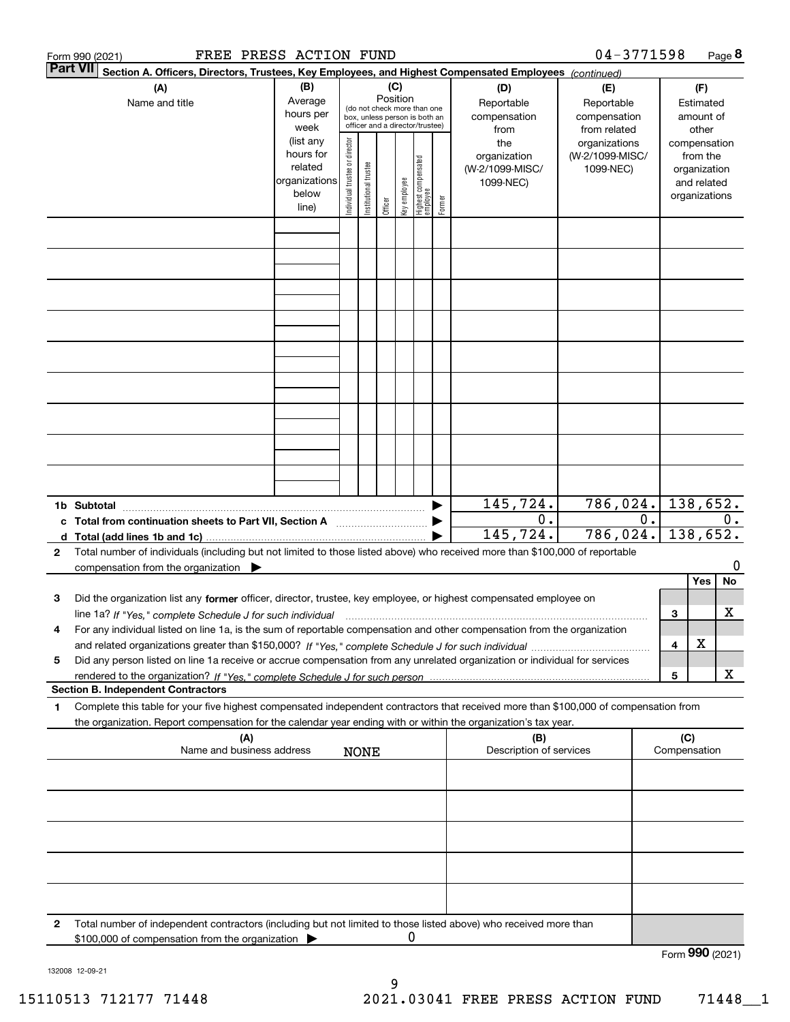|   | FREE PRESS ACTION FUND<br>Form 990 (2021)                                                                                                       |                   |                                |                       |          |              |                                                                  |                     |                     | $04 - 3771598$                   |       |                 |                          | Page 8 |
|---|-------------------------------------------------------------------------------------------------------------------------------------------------|-------------------|--------------------------------|-----------------------|----------|--------------|------------------------------------------------------------------|---------------------|---------------------|----------------------------------|-------|-----------------|--------------------------|--------|
|   | <b>Part VII</b><br>Section A. Officers, Directors, Trustees, Key Employees, and Highest Compensated Employees (continued)                       |                   |                                |                       |          |              |                                                                  |                     |                     |                                  |       |                 |                          |        |
|   | (A)                                                                                                                                             | (B)               |                                |                       | (C)      |              |                                                                  |                     | (D)                 | (E)                              |       |                 | (F)                      |        |
|   | Name and title                                                                                                                                  | Average           |                                |                       | Position |              | (do not check more than one                                      |                     | Reportable          | Reportable                       |       |                 | Estimated                |        |
|   |                                                                                                                                                 | hours per<br>week |                                |                       |          |              | box, unless person is both an<br>officer and a director/trustee) |                     | compensation        | compensation                     |       |                 | amount of                |        |
|   |                                                                                                                                                 | (list any         |                                |                       |          |              |                                                                  |                     | from                | from related                     |       |                 | other                    |        |
|   |                                                                                                                                                 | hours for         |                                |                       |          |              |                                                                  |                     | the<br>organization | organizations<br>(W-2/1099-MISC/ |       |                 | compensation<br>from the |        |
|   |                                                                                                                                                 | related           |                                |                       |          |              |                                                                  |                     | (W-2/1099-MISC/     | 1099-NEC)                        |       |                 | organization             |        |
|   |                                                                                                                                                 | organizations     |                                |                       |          |              |                                                                  |                     | 1099-NEC)           |                                  |       |                 | and related              |        |
|   |                                                                                                                                                 | below             | Individual trustee or director | Institutional trustee |          | key employee |                                                                  |                     |                     |                                  |       |                 | organizations            |        |
|   |                                                                                                                                                 | line)             |                                |                       | Officer  |              | Highest compensated<br>  employee                                | Former              |                     |                                  |       |                 |                          |        |
|   |                                                                                                                                                 |                   |                                |                       |          |              |                                                                  |                     |                     |                                  |       |                 |                          |        |
|   |                                                                                                                                                 |                   |                                |                       |          |              |                                                                  |                     |                     |                                  |       |                 |                          |        |
|   |                                                                                                                                                 |                   |                                |                       |          |              |                                                                  |                     |                     |                                  |       |                 |                          |        |
|   |                                                                                                                                                 |                   |                                |                       |          |              |                                                                  |                     |                     |                                  |       |                 |                          |        |
|   |                                                                                                                                                 |                   |                                |                       |          |              |                                                                  |                     |                     |                                  |       |                 |                          |        |
|   |                                                                                                                                                 |                   |                                |                       |          |              |                                                                  |                     |                     |                                  |       |                 |                          |        |
|   |                                                                                                                                                 |                   |                                |                       |          |              |                                                                  |                     |                     |                                  |       |                 |                          |        |
|   |                                                                                                                                                 |                   |                                |                       |          |              |                                                                  |                     |                     |                                  |       |                 |                          |        |
|   |                                                                                                                                                 |                   |                                |                       |          |              |                                                                  |                     |                     |                                  |       |                 |                          |        |
|   |                                                                                                                                                 |                   |                                |                       |          |              |                                                                  |                     |                     |                                  |       |                 |                          |        |
|   |                                                                                                                                                 |                   |                                |                       |          |              |                                                                  |                     |                     |                                  |       |                 |                          |        |
|   |                                                                                                                                                 |                   |                                |                       |          |              |                                                                  |                     |                     |                                  |       |                 |                          |        |
|   |                                                                                                                                                 |                   |                                |                       |          |              |                                                                  |                     |                     |                                  |       |                 |                          |        |
|   |                                                                                                                                                 |                   |                                |                       |          |              |                                                                  |                     |                     |                                  |       |                 |                          |        |
|   |                                                                                                                                                 |                   |                                |                       |          |              |                                                                  |                     |                     |                                  |       |                 |                          |        |
|   | 1b Subtotal                                                                                                                                     |                   |                                |                       |          |              |                                                                  |                     | 145,724.<br>0.      | 786,024.                         | $0$ . |                 | 138,652.                 | 0.     |
|   | c Total from continuation sheets to Part VII, Section A                                                                                         |                   |                                |                       |          |              |                                                                  |                     | 145, 724.           | 786,024.                         |       |                 | 138,652.                 |        |
| 2 | Total number of individuals (including but not limited to those listed above) who received more than \$100,000 of reportable                    |                   |                                |                       |          |              |                                                                  |                     |                     |                                  |       |                 |                          |        |
|   | compensation from the organization                                                                                                              |                   |                                |                       |          |              |                                                                  |                     |                     |                                  |       |                 |                          | 0      |
|   |                                                                                                                                                 |                   |                                |                       |          |              |                                                                  |                     |                     |                                  |       |                 | Yes                      | No     |
| з | Did the organization list any former officer, director, trustee, key employee, or highest compensated employee on                               |                   |                                |                       |          |              |                                                                  |                     |                     |                                  |       |                 |                          |        |
|   | line 1a? If "Yes," complete Schedule J for such individual manufactured contained and the 1a? If "Yes," complete Schedule J for such individual |                   |                                |                       |          |              |                                                                  |                     |                     |                                  |       | 3               |                          | x      |
| 4 | For any individual listed on line 1a, is the sum of reportable compensation and other compensation from the organization                        |                   |                                |                       |          |              |                                                                  |                     |                     |                                  |       |                 |                          |        |
|   |                                                                                                                                                 |                   |                                |                       |          |              |                                                                  |                     |                     |                                  |       | 4               | X                        |        |
| 5 | Did any person listed on line 1a receive or accrue compensation from any unrelated organization or individual for services                      |                   |                                |                       |          |              |                                                                  |                     |                     |                                  |       |                 |                          |        |
|   |                                                                                                                                                 |                   |                                |                       |          |              |                                                                  |                     |                     |                                  |       | 5               |                          | X      |
|   | <b>Section B. Independent Contractors</b>                                                                                                       |                   |                                |                       |          |              |                                                                  |                     |                     |                                  |       |                 |                          |        |
| 1 | Complete this table for your five highest compensated independent contractors that received more than \$100,000 of compensation from            |                   |                                |                       |          |              |                                                                  |                     |                     |                                  |       |                 |                          |        |
|   | the organization. Report compensation for the calendar year ending with or within the organization's tax year.                                  |                   |                                |                       |          |              |                                                                  |                     |                     |                                  |       |                 |                          |        |
|   | (A)<br>(B)<br>Name and business address<br>Description of services<br><b>NONE</b>                                                               |                   |                                |                       |          |              |                                                                  | (C)<br>Compensation |                     |                                  |       |                 |                          |        |
|   |                                                                                                                                                 |                   |                                |                       |          |              |                                                                  |                     |                     |                                  |       |                 |                          |        |
|   |                                                                                                                                                 |                   |                                |                       |          |              |                                                                  |                     |                     |                                  |       |                 |                          |        |
|   |                                                                                                                                                 |                   |                                |                       |          |              |                                                                  |                     |                     |                                  |       |                 |                          |        |
|   |                                                                                                                                                 |                   |                                |                       |          |              |                                                                  |                     |                     |                                  |       |                 |                          |        |
|   |                                                                                                                                                 |                   |                                |                       |          |              |                                                                  |                     |                     |                                  |       |                 |                          |        |
|   |                                                                                                                                                 |                   |                                |                       |          |              |                                                                  |                     |                     |                                  |       |                 |                          |        |
|   |                                                                                                                                                 |                   |                                |                       |          |              |                                                                  |                     |                     |                                  |       |                 |                          |        |
|   |                                                                                                                                                 |                   |                                |                       |          |              |                                                                  |                     |                     |                                  |       |                 |                          |        |
| 2 | Total number of independent contractors (including but not limited to those listed above) who received more than                                |                   |                                |                       |          |              |                                                                  |                     |                     |                                  |       |                 |                          |        |
|   | \$100,000 of compensation from the organization                                                                                                 |                   |                                |                       |          | 0            |                                                                  |                     |                     |                                  |       |                 |                          |        |
|   |                                                                                                                                                 |                   |                                |                       |          |              |                                                                  |                     |                     |                                  |       | Form 990 (2021) |                          |        |

132008 12-09-21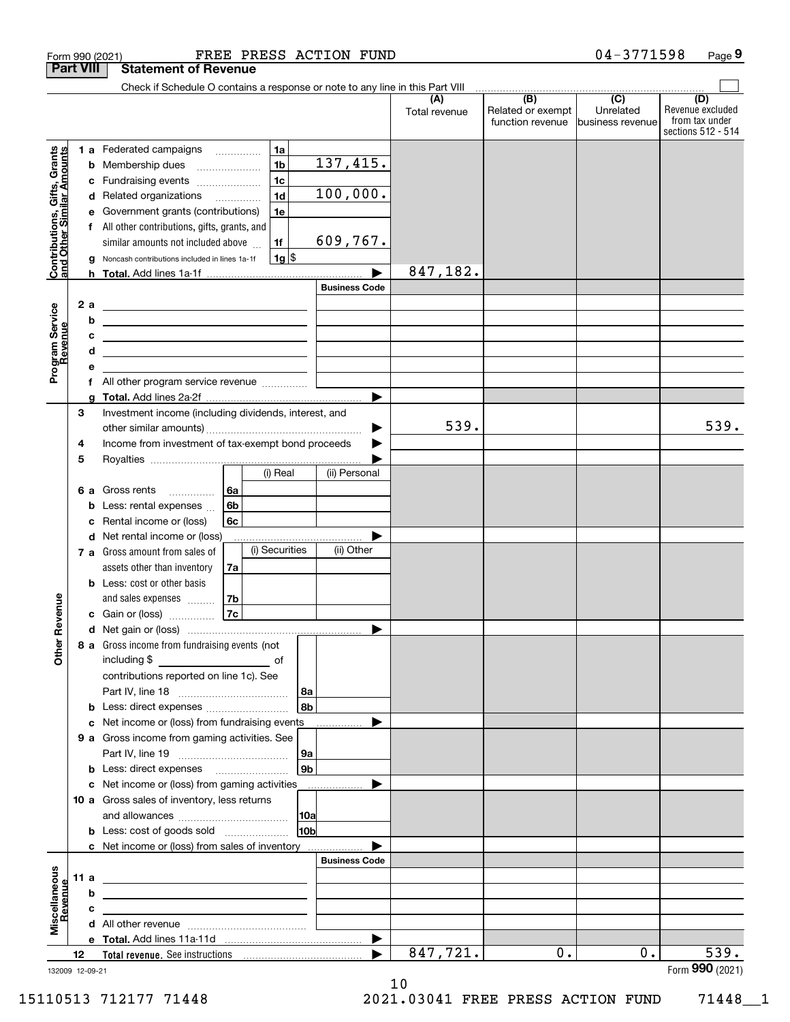|                                                           | <b>Part VIII</b> |        | Form 990 (2021)<br><b>Statement of Revenue</b>                                |                |                      | FREE PRESS ACTION FUND |                      |                                              | $04 - 3771598$                                    | Page 9                                                          |
|-----------------------------------------------------------|------------------|--------|-------------------------------------------------------------------------------|----------------|----------------------|------------------------|----------------------|----------------------------------------------|---------------------------------------------------|-----------------------------------------------------------------|
|                                                           |                  |        | Check if Schedule O contains a response or note to any line in this Part VIII |                |                      |                        |                      |                                              |                                                   |                                                                 |
|                                                           |                  |        |                                                                               |                |                      |                        | (A)<br>Total revenue | (B)<br>Related or exempt<br>function revenue | $\overline{(C)}$<br>Unrelated<br>business revenue | (D)<br>Revenue excluded<br>from tax under<br>sections 512 - 514 |
| Contributions, Gifts, Grants<br>and Other Similar Amounts |                  |        | 1 a Federated campaigns                                                       | .              | 1a<br>1 <sub>b</sub> | 137, 415.              |                      |                                              |                                                   |                                                                 |
|                                                           |                  | b<br>с | Membership dues<br>Fundraising events                                         |                | 1 <sub>c</sub>       |                        |                      |                                              |                                                   |                                                                 |
|                                                           |                  | d      | Related organizations                                                         |                | 1 <sub>d</sub>       | 100,000.               |                      |                                              |                                                   |                                                                 |
|                                                           |                  |        | e Government grants (contributions)                                           |                | 1e                   |                        |                      |                                              |                                                   |                                                                 |
|                                                           |                  |        | f All other contributions, gifts, grants, and                                 |                |                      |                        |                      |                                              |                                                   |                                                                 |
|                                                           |                  |        | similar amounts not included above                                            |                | 1f                   | 609,767.               |                      |                                              |                                                   |                                                                 |
|                                                           |                  | g      | Noncash contributions included in lines 1a-1f                                 |                | $1g$ \$              |                        |                      |                                              |                                                   |                                                                 |
|                                                           |                  |        |                                                                               |                |                      |                        | 847,182.             |                                              |                                                   |                                                                 |
|                                                           |                  |        |                                                                               |                |                      | <b>Business Code</b>   |                      |                                              |                                                   |                                                                 |
|                                                           | 2a               |        |                                                                               |                |                      |                        |                      |                                              |                                                   |                                                                 |
|                                                           |                  | b      | <u> 1989 - Johann John Stone, markin fizikar (</u>                            |                |                      |                        |                      |                                              |                                                   |                                                                 |
|                                                           |                  | c      | <u> 1989 - Johann Stein, mars an de Frankrik (f. 1989)</u>                    |                |                      |                        |                      |                                              |                                                   |                                                                 |
|                                                           |                  | d      | <u> 1989 - Johann Barbara, martxa alemaniar amerikan ba</u>                   |                |                      |                        |                      |                                              |                                                   |                                                                 |
| Program Service<br>Revenue                                |                  | е      |                                                                               |                |                      |                        |                      |                                              |                                                   |                                                                 |
|                                                           |                  |        |                                                                               |                |                      | ▶                      |                      |                                              |                                                   |                                                                 |
|                                                           | 3                |        | Investment income (including dividends, interest, and                         |                |                      |                        |                      |                                              |                                                   |                                                                 |
|                                                           |                  |        |                                                                               |                |                      | ▶                      | 539.                 |                                              |                                                   | 539.                                                            |
|                                                           | 4                |        | Income from investment of tax-exempt bond proceeds                            |                |                      | ▶                      |                      |                                              |                                                   |                                                                 |
|                                                           | 5                |        |                                                                               |                |                      |                        |                      |                                              |                                                   |                                                                 |
|                                                           |                  |        |                                                                               |                | (i) Real             | (ii) Personal          |                      |                                              |                                                   |                                                                 |
|                                                           |                  | 6а     | Gross rents<br>$\ldots \ldots \ldots$                                         | 6a             |                      |                        |                      |                                              |                                                   |                                                                 |
|                                                           |                  | b      | Less: rental expenses                                                         | 6 <sub>b</sub> |                      |                        |                      |                                              |                                                   |                                                                 |
|                                                           |                  | с      | Rental income or (loss)                                                       | 6с             |                      |                        |                      |                                              |                                                   |                                                                 |
|                                                           |                  | d      | Net rental income or (loss)<br>7 a Gross amount from sales of                 |                | (i) Securities       | ▶<br>(ii) Other        |                      |                                              |                                                   |                                                                 |
|                                                           |                  |        | assets other than inventory                                                   | 7a             |                      |                        |                      |                                              |                                                   |                                                                 |
|                                                           |                  |        | <b>b</b> Less: cost or other basis                                            |                |                      |                        |                      |                                              |                                                   |                                                                 |
|                                                           |                  |        | and sales expenses                                                            | $\frac{7b}{ }$ |                      |                        |                      |                                              |                                                   |                                                                 |
| venue                                                     |                  |        | c Gain or (loss)                                                              | 7c             |                      |                        |                      |                                              |                                                   |                                                                 |
|                                                           |                  |        |                                                                               |                |                      |                        |                      |                                              |                                                   |                                                                 |
| Other Re                                                  |                  |        | 8 a Gross income from fundraising events (not<br>including \$                 | <u>of</u> of   |                      |                        |                      |                                              |                                                   |                                                                 |
|                                                           |                  |        | contributions reported on line 1c). See                                       |                |                      |                        |                      |                                              |                                                   |                                                                 |
|                                                           |                  | b      | Less: direct expenses                                                         |                | 8a<br>l 8b           |                        |                      |                                              |                                                   |                                                                 |
|                                                           |                  | с      | Net income or (loss) from fundraising events                                  |                |                      |                        |                      |                                              |                                                   |                                                                 |
|                                                           |                  |        | 9 a Gross income from gaming activities. See                                  |                |                      |                        |                      |                                              |                                                   |                                                                 |
|                                                           |                  |        |                                                                               |                | 9a                   |                        |                      |                                              |                                                   |                                                                 |
|                                                           |                  | b      |                                                                               |                | l 9b                 |                        |                      |                                              |                                                   |                                                                 |
|                                                           |                  | с      | Net income or (loss) from gaming activities                                   |                |                      | .                      |                      |                                              |                                                   |                                                                 |
|                                                           |                  |        | 10 a Gross sales of inventory, less returns                                   |                |                      |                        |                      |                                              |                                                   |                                                                 |
|                                                           |                  |        |                                                                               |                | <b>10a</b>           |                        |                      |                                              |                                                   |                                                                 |
|                                                           |                  |        | <b>b</b> Less: cost of goods sold                                             |                | 10b                  |                        |                      |                                              |                                                   |                                                                 |
|                                                           |                  |        | c Net income or (loss) from sales of inventory                                |                |                      | <b>Business Code</b>   |                      |                                              |                                                   |                                                                 |
|                                                           | 11 a             |        |                                                                               |                |                      |                        |                      |                                              |                                                   |                                                                 |
|                                                           |                  | b      |                                                                               |                |                      |                        |                      |                                              |                                                   |                                                                 |
| evenue                                                    |                  | с      |                                                                               |                |                      |                        |                      |                                              |                                                   |                                                                 |
| Miscellaneous                                             |                  | d      |                                                                               |                |                      |                        |                      |                                              |                                                   |                                                                 |
|                                                           |                  |        |                                                                               |                |                      | ▶                      |                      |                                              |                                                   |                                                                 |
|                                                           | 12               |        |                                                                               |                |                      |                        | 847,721.             | 0.                                           | 0.                                                | 539.                                                            |
| 132009 12-09-21                                           |                  |        |                                                                               |                |                      |                        |                      |                                              |                                                   | Form 990 (2021)                                                 |

<sup>132009 12-09-21</sup>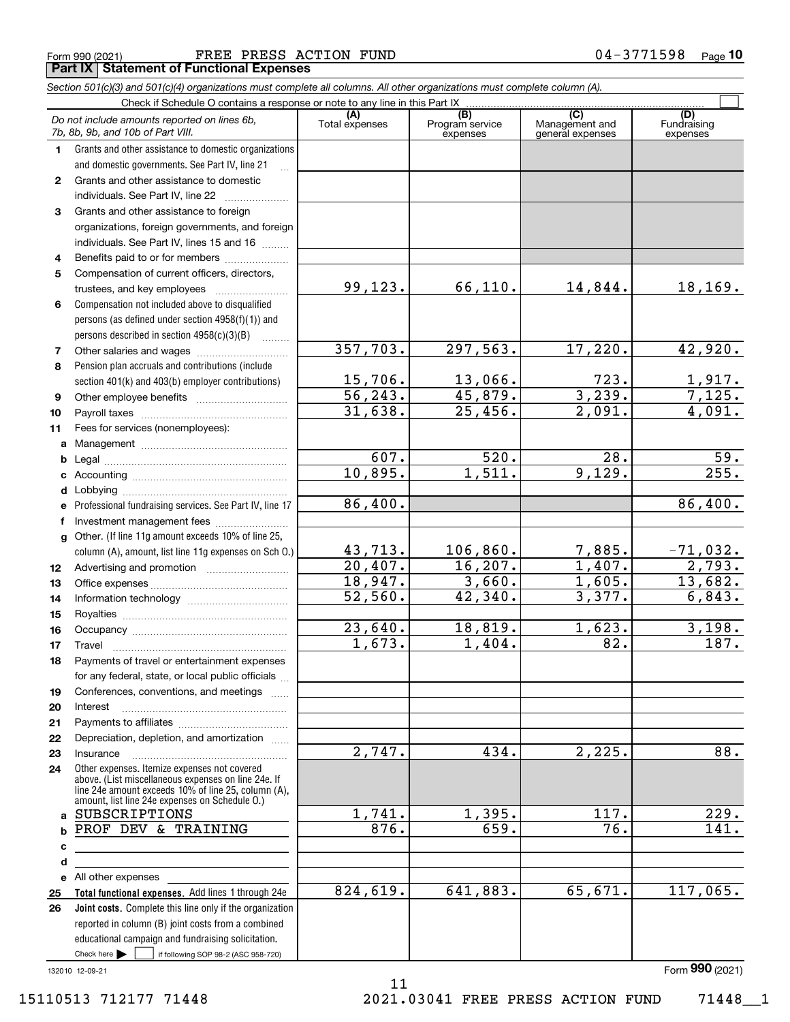|  | Form 990 (2021) |
|--|-----------------|
|  |                 |

Form 990 (2021) Page FREE PRESS ACTION FUND 04-3771598 **Part IX Statement of Functional Expenses**

|              | Section 501(c)(3) and 501(c)(4) organizations must complete all columns. All other organizations must complete column (A).                                                                                                                                          |                        |                                    |                                           |                                |  |
|--------------|---------------------------------------------------------------------------------------------------------------------------------------------------------------------------------------------------------------------------------------------------------------------|------------------------|------------------------------------|-------------------------------------------|--------------------------------|--|
|              | Check if Schedule O contains a response or note to any line in this Part IX                                                                                                                                                                                         |                        |                                    |                                           |                                |  |
|              | Do not include amounts reported on lines 6b,<br>7b, 8b, 9b, and 10b of Part VIII.                                                                                                                                                                                   | (A)<br>Total expenses  | (B)<br>Program service<br>expenses | (C)<br>Management and<br>general expenses | (D)<br>Fundraising<br>expenses |  |
| 1.           | Grants and other assistance to domestic organizations                                                                                                                                                                                                               |                        |                                    |                                           |                                |  |
|              | and domestic governments. See Part IV, line 21                                                                                                                                                                                                                      |                        |                                    |                                           |                                |  |
| $\mathbf{2}$ | Grants and other assistance to domestic                                                                                                                                                                                                                             |                        |                                    |                                           |                                |  |
|              | individuals. See Part IV, line 22<br>and a complete the complete state of the state of the state of the state of the state of the state of the state of the state of the state of the state of the state of the state of the state of the state of the state of the |                        |                                    |                                           |                                |  |
| 3            | Grants and other assistance to foreign                                                                                                                                                                                                                              |                        |                                    |                                           |                                |  |
|              | organizations, foreign governments, and foreign                                                                                                                                                                                                                     |                        |                                    |                                           |                                |  |
|              | individuals. See Part IV, lines 15 and 16                                                                                                                                                                                                                           |                        |                                    |                                           |                                |  |
| 4            | Benefits paid to or for members                                                                                                                                                                                                                                     |                        |                                    |                                           |                                |  |
| 5            | Compensation of current officers, directors,                                                                                                                                                                                                                        |                        |                                    |                                           |                                |  |
|              |                                                                                                                                                                                                                                                                     | 99,123.                | 66,110.                            | 14,844.                                   | 18, 169.                       |  |
| 6            | Compensation not included above to disqualified                                                                                                                                                                                                                     |                        |                                    |                                           |                                |  |
|              | persons (as defined under section 4958(f)(1)) and                                                                                                                                                                                                                   |                        |                                    |                                           |                                |  |
|              | persons described in section 4958(c)(3)(B)                                                                                                                                                                                                                          |                        |                                    |                                           |                                |  |
| 7            |                                                                                                                                                                                                                                                                     | 357,703.               | 297,563.                           | 17,220.                                   | 42,920.                        |  |
| 8            | Pension plan accruals and contributions (include                                                                                                                                                                                                                    |                        |                                    |                                           |                                |  |
|              | section 401(k) and 403(b) employer contributions)                                                                                                                                                                                                                   | 15,706.                | 13,066.                            | 723.                                      | $\frac{1,917.}{7,125.}$        |  |
| 9            |                                                                                                                                                                                                                                                                     | $\overline{56, 243}$ . | 45,879.                            | 3,239.                                    |                                |  |
| 10           |                                                                                                                                                                                                                                                                     | 31,638.                | 25,456.                            | 2,091.                                    | 4,091.                         |  |
| 11           | Fees for services (nonemployees):                                                                                                                                                                                                                                   |                        |                                    |                                           |                                |  |
| a            |                                                                                                                                                                                                                                                                     |                        |                                    |                                           |                                |  |
| b            |                                                                                                                                                                                                                                                                     | 607.                   | 520.                               | $\overline{28}$ .<br>9,129.               | $\frac{59}{255}$ .             |  |
|              |                                                                                                                                                                                                                                                                     | 10,895.                | 1,511.                             |                                           |                                |  |
| d            | Lobbying                                                                                                                                                                                                                                                            |                        |                                    |                                           |                                |  |
|              | Professional fundraising services. See Part IV, line 17                                                                                                                                                                                                             | 86,400.                |                                    |                                           | 86,400.                        |  |
|              | Investment management fees                                                                                                                                                                                                                                          |                        |                                    |                                           |                                |  |
| q            | Other. (If line 11g amount exceeds 10% of line 25,                                                                                                                                                                                                                  |                        |                                    |                                           |                                |  |
|              | column (A), amount, list line 11g expenses on Sch O.)                                                                                                                                                                                                               | 43,713.<br>20,407.     | 106, 860.<br>16, 207.              | 7,885.<br>1,407.                          | $\frac{-71,032.}{2,793.}$      |  |
| 12           |                                                                                                                                                                                                                                                                     | 18,947.                |                                    |                                           | 13,682.                        |  |
| 13           |                                                                                                                                                                                                                                                                     | 52,560.                | 3,660.<br>42,340.                  | 1,605.<br>3,377.                          | 6,843.                         |  |
| 14           |                                                                                                                                                                                                                                                                     |                        |                                    |                                           |                                |  |
| 15           |                                                                                                                                                                                                                                                                     | 23,640.                | 18,819.                            | 1,623.                                    | 3,198.                         |  |
| 16           |                                                                                                                                                                                                                                                                     | 1,673.                 | 1,404.                             | 82.                                       | 187.                           |  |
| 17           |                                                                                                                                                                                                                                                                     |                        |                                    |                                           |                                |  |
| 18           | Payments of travel or entertainment expenses                                                                                                                                                                                                                        |                        |                                    |                                           |                                |  |
|              | for any federal, state, or local public officials                                                                                                                                                                                                                   |                        |                                    |                                           |                                |  |
| 19           | Conferences, conventions, and meetings                                                                                                                                                                                                                              |                        |                                    |                                           |                                |  |
| 20           | Interest                                                                                                                                                                                                                                                            |                        |                                    |                                           |                                |  |
| 21<br>22     | Depreciation, depletion, and amortization                                                                                                                                                                                                                           |                        |                                    |                                           |                                |  |
| 23           | Insurance                                                                                                                                                                                                                                                           | 2,747.                 | 434.                               | 2,225.                                    | 88.                            |  |
| 24           | Other expenses. Itemize expenses not covered                                                                                                                                                                                                                        |                        |                                    |                                           |                                |  |
|              | above. (List miscellaneous expenses on line 24e. If<br>line 24e amount exceeds 10% of line 25, column (A),<br>amount, list line 24e expenses on Schedule O.)                                                                                                        |                        |                                    |                                           |                                |  |
| a            | SUBSCRIPTIONS                                                                                                                                                                                                                                                       | 1,741.                 | 1,395.                             | 117.                                      | 229.                           |  |
| b            | PROF DEV & TRAINING                                                                                                                                                                                                                                                 | 876.                   | 659.                               | 76.                                       | 141.                           |  |
| с            |                                                                                                                                                                                                                                                                     |                        |                                    |                                           |                                |  |
| d            |                                                                                                                                                                                                                                                                     |                        |                                    |                                           |                                |  |
| е            | All other expenses and the state of the state of the state of the state of the state of the state of the state                                                                                                                                                      |                        |                                    |                                           |                                |  |
| 25           | Total functional expenses. Add lines 1 through 24e                                                                                                                                                                                                                  | 824,619.               | 641,883.                           | 65,671.                                   | 117,065.                       |  |
| 26           | Joint costs. Complete this line only if the organization                                                                                                                                                                                                            |                        |                                    |                                           |                                |  |
|              | reported in column (B) joint costs from a combined                                                                                                                                                                                                                  |                        |                                    |                                           |                                |  |
|              | educational campaign and fundraising solicitation.                                                                                                                                                                                                                  |                        |                                    |                                           |                                |  |
|              | Check here $\blacktriangleright$<br>if following SOP 98-2 (ASC 958-720)                                                                                                                                                                                             |                        |                                    |                                           |                                |  |

11

132010 12-09-21

Form (2021) **990**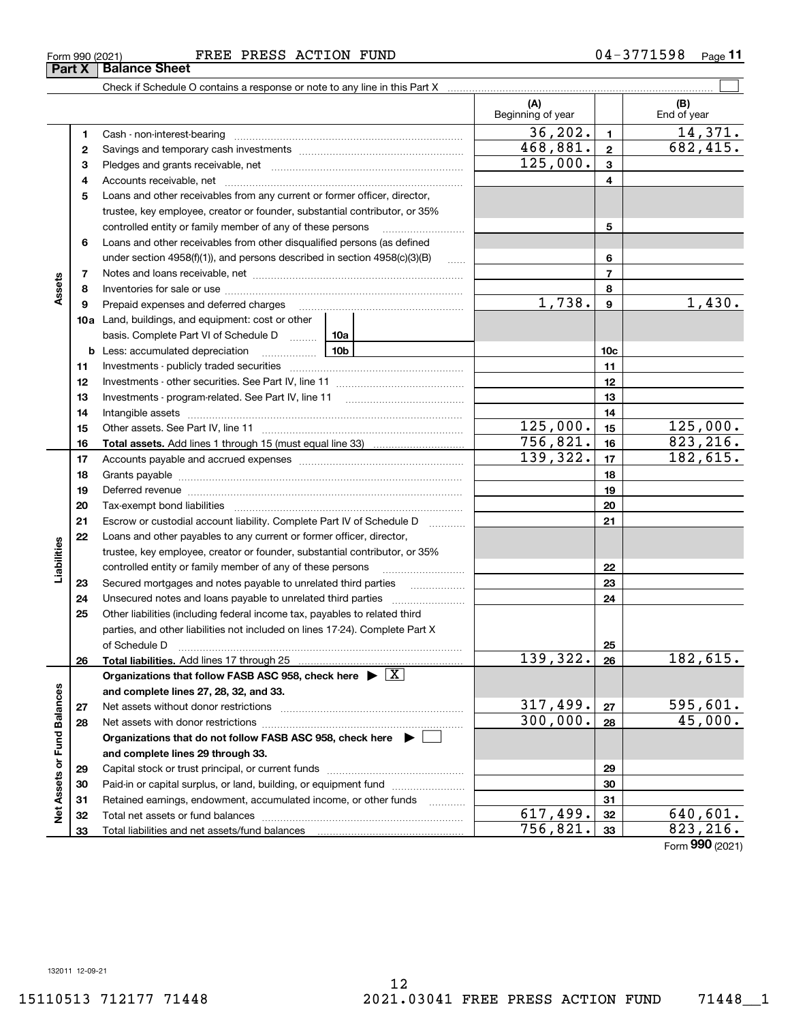#### Form 990 (2021) Page FREE PRESS ACTION FUND 04-3771598

**Part X Balance Sheet**

|                             |          |                                                                                                                                                    | (A)<br>Beginning of year |                 | (B)<br>End of year |
|-----------------------------|----------|----------------------------------------------------------------------------------------------------------------------------------------------------|--------------------------|-----------------|--------------------|
|                             | 1        | Cash - non-interest-bearing                                                                                                                        | 36, 202.                 | $\blacksquare$  | 14,371.            |
|                             | 2        |                                                                                                                                                    | 468,881.                 | $\mathbf{2}$    | 682,415.           |
|                             | 3        |                                                                                                                                                    | 125,000.                 | 3               |                    |
|                             | 4        |                                                                                                                                                    |                          | 4               |                    |
|                             | 5        | Loans and other receivables from any current or former officer, director,                                                                          |                          |                 |                    |
|                             |          | trustee, key employee, creator or founder, substantial contributor, or 35%                                                                         |                          |                 |                    |
|                             |          | controlled entity or family member of any of these persons                                                                                         |                          | 5               |                    |
|                             | 6        | Loans and other receivables from other disqualified persons (as defined                                                                            |                          |                 |                    |
|                             |          | under section $4958(f)(1)$ , and persons described in section $4958(c)(3)(B)$<br>$\sim$                                                            |                          | 6               |                    |
|                             | 7        |                                                                                                                                                    |                          | 7               |                    |
| Assets                      | 8        |                                                                                                                                                    |                          | 8               |                    |
|                             | 9        | Prepaid expenses and deferred charges [11] matter continuum matter and the Prepaid expenses and deferred charges                                   | 1,738.                   | 9               | 1,430.             |
|                             |          | 10a Land, buildings, and equipment: cost or other                                                                                                  |                          |                 |                    |
|                             |          | basis. Complete Part VI of Schedule D  10a                                                                                                         |                          |                 |                    |
|                             | b        | <u>10b</u><br>Less: accumulated depreciation                                                                                                       |                          | 10 <sub>c</sub> |                    |
|                             | 11       |                                                                                                                                                    |                          | 11              |                    |
|                             | 12       |                                                                                                                                                    |                          | 12              |                    |
|                             | 13       |                                                                                                                                                    |                          | 13              |                    |
|                             | 14       |                                                                                                                                                    |                          | 14              |                    |
|                             | 15       |                                                                                                                                                    | <u>125,000.</u>          | 15              | 125,000.           |
|                             | 16       |                                                                                                                                                    | 756,821.                 | 16              | 823, 216.          |
|                             | 17       |                                                                                                                                                    | 139,322.                 | 17              | 182,615.           |
|                             | 18       |                                                                                                                                                    |                          | 18              |                    |
|                             | 19       |                                                                                                                                                    |                          | 19              |                    |
|                             | 20       |                                                                                                                                                    |                          | 20              |                    |
|                             | 21<br>22 | Escrow or custodial account liability. Complete Part IV of Schedule D<br>1.1.1.1.1.1.1.1.1                                                         |                          | 21              |                    |
| Liabilities                 |          | Loans and other payables to any current or former officer, director,<br>trustee, key employee, creator or founder, substantial contributor, or 35% |                          |                 |                    |
|                             |          | controlled entity or family member of any of these persons                                                                                         |                          | 22              |                    |
|                             | 23       |                                                                                                                                                    |                          | 23              |                    |
|                             | 24       |                                                                                                                                                    |                          | 24              |                    |
|                             | 25       | Other liabilities (including federal income tax, payables to related third                                                                         |                          |                 |                    |
|                             |          | parties, and other liabilities not included on lines 17-24). Complete Part X                                                                       |                          |                 |                    |
|                             |          | of Schedule D                                                                                                                                      |                          | 25              |                    |
|                             | 26       |                                                                                                                                                    | 139,322.                 | 26              | 182,615.           |
|                             |          | Organizations that follow FASB ASC 958, check here $\blacktriangleright \boxed{X}$                                                                 |                          |                 |                    |
|                             |          | and complete lines 27, 28, 32, and 33.                                                                                                             |                          |                 |                    |
|                             | 27       | Net assets without donor restrictions                                                                                                              | 317,499.                 | 27              | 595,601.           |
|                             | 28       | Net assets with donor restrictions                                                                                                                 | 300,000.                 | 28              | 45,000.            |
|                             |          | Organizations that do not follow FASB ASC 958, check here $\blacktriangleright$                                                                    |                          |                 |                    |
|                             |          | and complete lines 29 through 33.                                                                                                                  |                          |                 |                    |
| Net Assets or Fund Balances | 29       |                                                                                                                                                    |                          | 29              |                    |
|                             | 30       | Paid-in or capital surplus, or land, building, or equipment fund                                                                                   |                          | 30              |                    |
|                             | 31       | Retained earnings, endowment, accumulated income, or other funds<br>1.1.1.1.1.1.1.1.1.1                                                            |                          | 31              |                    |
|                             | 32       | Total net assets or fund balances                                                                                                                  | 617,499.                 | 32              | <u>640,601.</u>    |
|                             | 33       |                                                                                                                                                    | $\overline{756}$ , 821.  | 33              | 823, 216.          |

Check if Schedule O contains a response or note to any line in this Part X

 $\mathcal{L}^{\text{max}}$ 

Form (2021) **990**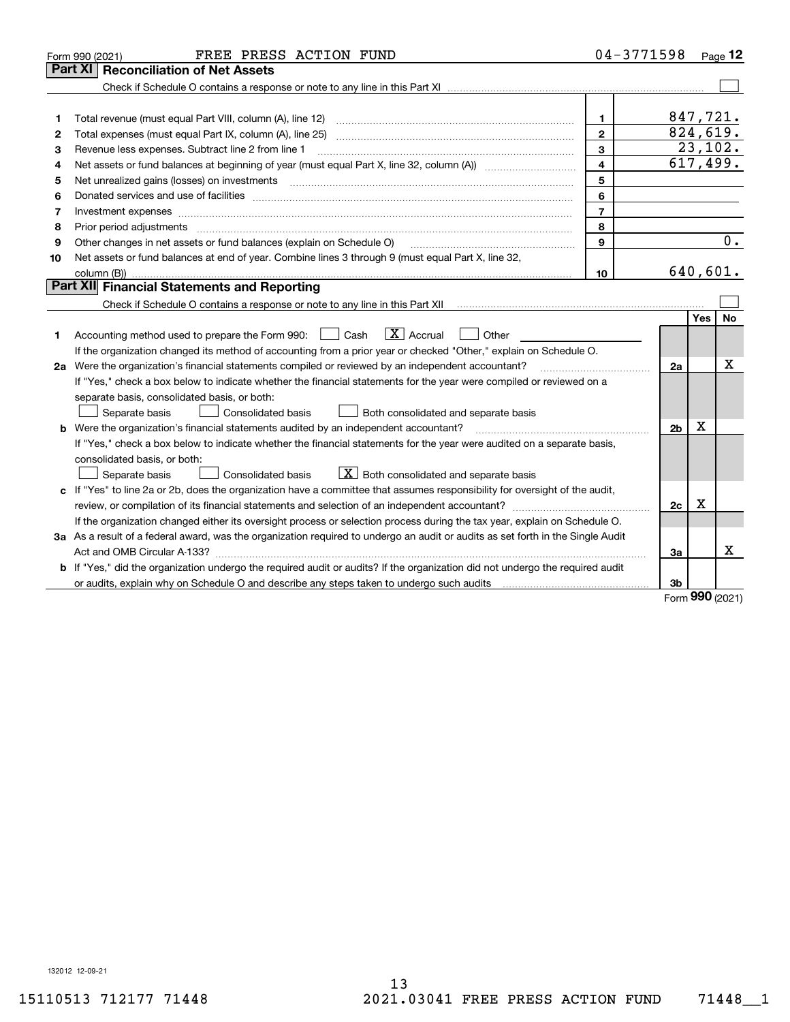| Part XI<br>847,721.<br>$\mathbf 1$<br>1<br>824,619.<br>$\overline{2}$<br>2<br>23,102.<br>3<br>Revenue less expenses. Subtract line 2 from line 1<br>3<br>617,499.<br>$\overline{4}$<br>4<br>5<br>Net unrealized gains (losses) on investments<br>5<br>6<br>6<br>$\overline{7}$<br>Investment expenses<br>7<br>8<br>Prior period adjustments<br>8<br>0.<br>$\mathbf{9}$<br>Other changes in net assets or fund balances (explain on Schedule O)<br>9<br>Net assets or fund balances at end of year. Combine lines 3 through 9 (must equal Part X, line 32,<br>10<br>640,601.<br>10<br>Part XII Financial Statements and Reporting<br>Yes<br>No<br>$\boxed{\text{X}}$ Accrual<br>Accounting method used to prepare the Form 990: <u>[</u> Cash<br>Other<br>1<br>If the organization changed its method of accounting from a prior year or checked "Other," explain on Schedule O.<br>X<br>2a Were the organization's financial statements compiled or reviewed by an independent accountant?<br>2a<br>If "Yes," check a box below to indicate whether the financial statements for the year were compiled or reviewed on a<br>separate basis, consolidated basis, or both:<br>Both consolidated and separate basis<br>Separate basis<br>Consolidated basis<br>Χ<br><b>b</b> Were the organization's financial statements audited by an independent accountant?<br>2 <sub>b</sub><br>If "Yes," check a box below to indicate whether the financial statements for the year were audited on a separate basis,<br>consolidated basis, or both:<br>$X$ Both consolidated and separate basis<br>Separate basis<br><b>Consolidated basis</b><br>c If "Yes" to line 2a or 2b, does the organization have a committee that assumes responsibility for oversight of the audit,<br>x<br>2c<br>If the organization changed either its oversight process or selection process during the tax year, explain on Schedule O.<br>3a As a result of a federal award, was the organization required to undergo an audit or audits as set forth in the Single Audit<br>Χ<br>3a<br><b>b</b> If "Yes," did the organization undergo the required audit or audits? If the organization did not undergo the required audit<br>3b | FREE PRESS ACTION FUND<br>Form 990 (2021) | 04-3771598 |  | Page 12 |
|---------------------------------------------------------------------------------------------------------------------------------------------------------------------------------------------------------------------------------------------------------------------------------------------------------------------------------------------------------------------------------------------------------------------------------------------------------------------------------------------------------------------------------------------------------------------------------------------------------------------------------------------------------------------------------------------------------------------------------------------------------------------------------------------------------------------------------------------------------------------------------------------------------------------------------------------------------------------------------------------------------------------------------------------------------------------------------------------------------------------------------------------------------------------------------------------------------------------------------------------------------------------------------------------------------------------------------------------------------------------------------------------------------------------------------------------------------------------------------------------------------------------------------------------------------------------------------------------------------------------------------------------------------------------------------------------------------------------------------------------------------------------------------------------------------------------------------------------------------------------------------------------------------------------------------------------------------------------------------------------------------------------------------------------------------------------------------------------------------------------------------------------------------------------------------------------------------|-------------------------------------------|------------|--|---------|
|                                                                                                                                                                                                                                                                                                                                                                                                                                                                                                                                                                                                                                                                                                                                                                                                                                                                                                                                                                                                                                                                                                                                                                                                                                                                                                                                                                                                                                                                                                                                                                                                                                                                                                                                                                                                                                                                                                                                                                                                                                                                                                                                                                                                         | <b>Reconciliation of Net Assets</b>       |            |  |         |
|                                                                                                                                                                                                                                                                                                                                                                                                                                                                                                                                                                                                                                                                                                                                                                                                                                                                                                                                                                                                                                                                                                                                                                                                                                                                                                                                                                                                                                                                                                                                                                                                                                                                                                                                                                                                                                                                                                                                                                                                                                                                                                                                                                                                         |                                           |            |  |         |
|                                                                                                                                                                                                                                                                                                                                                                                                                                                                                                                                                                                                                                                                                                                                                                                                                                                                                                                                                                                                                                                                                                                                                                                                                                                                                                                                                                                                                                                                                                                                                                                                                                                                                                                                                                                                                                                                                                                                                                                                                                                                                                                                                                                                         |                                           |            |  |         |
|                                                                                                                                                                                                                                                                                                                                                                                                                                                                                                                                                                                                                                                                                                                                                                                                                                                                                                                                                                                                                                                                                                                                                                                                                                                                                                                                                                                                                                                                                                                                                                                                                                                                                                                                                                                                                                                                                                                                                                                                                                                                                                                                                                                                         |                                           |            |  |         |
|                                                                                                                                                                                                                                                                                                                                                                                                                                                                                                                                                                                                                                                                                                                                                                                                                                                                                                                                                                                                                                                                                                                                                                                                                                                                                                                                                                                                                                                                                                                                                                                                                                                                                                                                                                                                                                                                                                                                                                                                                                                                                                                                                                                                         |                                           |            |  |         |
|                                                                                                                                                                                                                                                                                                                                                                                                                                                                                                                                                                                                                                                                                                                                                                                                                                                                                                                                                                                                                                                                                                                                                                                                                                                                                                                                                                                                                                                                                                                                                                                                                                                                                                                                                                                                                                                                                                                                                                                                                                                                                                                                                                                                         |                                           |            |  |         |
|                                                                                                                                                                                                                                                                                                                                                                                                                                                                                                                                                                                                                                                                                                                                                                                                                                                                                                                                                                                                                                                                                                                                                                                                                                                                                                                                                                                                                                                                                                                                                                                                                                                                                                                                                                                                                                                                                                                                                                                                                                                                                                                                                                                                         |                                           |            |  |         |
|                                                                                                                                                                                                                                                                                                                                                                                                                                                                                                                                                                                                                                                                                                                                                                                                                                                                                                                                                                                                                                                                                                                                                                                                                                                                                                                                                                                                                                                                                                                                                                                                                                                                                                                                                                                                                                                                                                                                                                                                                                                                                                                                                                                                         |                                           |            |  |         |
|                                                                                                                                                                                                                                                                                                                                                                                                                                                                                                                                                                                                                                                                                                                                                                                                                                                                                                                                                                                                                                                                                                                                                                                                                                                                                                                                                                                                                                                                                                                                                                                                                                                                                                                                                                                                                                                                                                                                                                                                                                                                                                                                                                                                         |                                           |            |  |         |
|                                                                                                                                                                                                                                                                                                                                                                                                                                                                                                                                                                                                                                                                                                                                                                                                                                                                                                                                                                                                                                                                                                                                                                                                                                                                                                                                                                                                                                                                                                                                                                                                                                                                                                                                                                                                                                                                                                                                                                                                                                                                                                                                                                                                         |                                           |            |  |         |
|                                                                                                                                                                                                                                                                                                                                                                                                                                                                                                                                                                                                                                                                                                                                                                                                                                                                                                                                                                                                                                                                                                                                                                                                                                                                                                                                                                                                                                                                                                                                                                                                                                                                                                                                                                                                                                                                                                                                                                                                                                                                                                                                                                                                         |                                           |            |  |         |
|                                                                                                                                                                                                                                                                                                                                                                                                                                                                                                                                                                                                                                                                                                                                                                                                                                                                                                                                                                                                                                                                                                                                                                                                                                                                                                                                                                                                                                                                                                                                                                                                                                                                                                                                                                                                                                                                                                                                                                                                                                                                                                                                                                                                         |                                           |            |  |         |
|                                                                                                                                                                                                                                                                                                                                                                                                                                                                                                                                                                                                                                                                                                                                                                                                                                                                                                                                                                                                                                                                                                                                                                                                                                                                                                                                                                                                                                                                                                                                                                                                                                                                                                                                                                                                                                                                                                                                                                                                                                                                                                                                                                                                         |                                           |            |  |         |
|                                                                                                                                                                                                                                                                                                                                                                                                                                                                                                                                                                                                                                                                                                                                                                                                                                                                                                                                                                                                                                                                                                                                                                                                                                                                                                                                                                                                                                                                                                                                                                                                                                                                                                                                                                                                                                                                                                                                                                                                                                                                                                                                                                                                         |                                           |            |  |         |
|                                                                                                                                                                                                                                                                                                                                                                                                                                                                                                                                                                                                                                                                                                                                                                                                                                                                                                                                                                                                                                                                                                                                                                                                                                                                                                                                                                                                                                                                                                                                                                                                                                                                                                                                                                                                                                                                                                                                                                                                                                                                                                                                                                                                         |                                           |            |  |         |
|                                                                                                                                                                                                                                                                                                                                                                                                                                                                                                                                                                                                                                                                                                                                                                                                                                                                                                                                                                                                                                                                                                                                                                                                                                                                                                                                                                                                                                                                                                                                                                                                                                                                                                                                                                                                                                                                                                                                                                                                                                                                                                                                                                                                         |                                           |            |  |         |
|                                                                                                                                                                                                                                                                                                                                                                                                                                                                                                                                                                                                                                                                                                                                                                                                                                                                                                                                                                                                                                                                                                                                                                                                                                                                                                                                                                                                                                                                                                                                                                                                                                                                                                                                                                                                                                                                                                                                                                                                                                                                                                                                                                                                         |                                           |            |  |         |
|                                                                                                                                                                                                                                                                                                                                                                                                                                                                                                                                                                                                                                                                                                                                                                                                                                                                                                                                                                                                                                                                                                                                                                                                                                                                                                                                                                                                                                                                                                                                                                                                                                                                                                                                                                                                                                                                                                                                                                                                                                                                                                                                                                                                         |                                           |            |  |         |
|                                                                                                                                                                                                                                                                                                                                                                                                                                                                                                                                                                                                                                                                                                                                                                                                                                                                                                                                                                                                                                                                                                                                                                                                                                                                                                                                                                                                                                                                                                                                                                                                                                                                                                                                                                                                                                                                                                                                                                                                                                                                                                                                                                                                         |                                           |            |  |         |
|                                                                                                                                                                                                                                                                                                                                                                                                                                                                                                                                                                                                                                                                                                                                                                                                                                                                                                                                                                                                                                                                                                                                                                                                                                                                                                                                                                                                                                                                                                                                                                                                                                                                                                                                                                                                                                                                                                                                                                                                                                                                                                                                                                                                         |                                           |            |  |         |
|                                                                                                                                                                                                                                                                                                                                                                                                                                                                                                                                                                                                                                                                                                                                                                                                                                                                                                                                                                                                                                                                                                                                                                                                                                                                                                                                                                                                                                                                                                                                                                                                                                                                                                                                                                                                                                                                                                                                                                                                                                                                                                                                                                                                         |                                           |            |  |         |
|                                                                                                                                                                                                                                                                                                                                                                                                                                                                                                                                                                                                                                                                                                                                                                                                                                                                                                                                                                                                                                                                                                                                                                                                                                                                                                                                                                                                                                                                                                                                                                                                                                                                                                                                                                                                                                                                                                                                                                                                                                                                                                                                                                                                         |                                           |            |  |         |
|                                                                                                                                                                                                                                                                                                                                                                                                                                                                                                                                                                                                                                                                                                                                                                                                                                                                                                                                                                                                                                                                                                                                                                                                                                                                                                                                                                                                                                                                                                                                                                                                                                                                                                                                                                                                                                                                                                                                                                                                                                                                                                                                                                                                         |                                           |            |  |         |
|                                                                                                                                                                                                                                                                                                                                                                                                                                                                                                                                                                                                                                                                                                                                                                                                                                                                                                                                                                                                                                                                                                                                                                                                                                                                                                                                                                                                                                                                                                                                                                                                                                                                                                                                                                                                                                                                                                                                                                                                                                                                                                                                                                                                         |                                           |            |  |         |
|                                                                                                                                                                                                                                                                                                                                                                                                                                                                                                                                                                                                                                                                                                                                                                                                                                                                                                                                                                                                                                                                                                                                                                                                                                                                                                                                                                                                                                                                                                                                                                                                                                                                                                                                                                                                                                                                                                                                                                                                                                                                                                                                                                                                         |                                           |            |  |         |
|                                                                                                                                                                                                                                                                                                                                                                                                                                                                                                                                                                                                                                                                                                                                                                                                                                                                                                                                                                                                                                                                                                                                                                                                                                                                                                                                                                                                                                                                                                                                                                                                                                                                                                                                                                                                                                                                                                                                                                                                                                                                                                                                                                                                         |                                           |            |  |         |
|                                                                                                                                                                                                                                                                                                                                                                                                                                                                                                                                                                                                                                                                                                                                                                                                                                                                                                                                                                                                                                                                                                                                                                                                                                                                                                                                                                                                                                                                                                                                                                                                                                                                                                                                                                                                                                                                                                                                                                                                                                                                                                                                                                                                         |                                           |            |  |         |
|                                                                                                                                                                                                                                                                                                                                                                                                                                                                                                                                                                                                                                                                                                                                                                                                                                                                                                                                                                                                                                                                                                                                                                                                                                                                                                                                                                                                                                                                                                                                                                                                                                                                                                                                                                                                                                                                                                                                                                                                                                                                                                                                                                                                         |                                           |            |  |         |
|                                                                                                                                                                                                                                                                                                                                                                                                                                                                                                                                                                                                                                                                                                                                                                                                                                                                                                                                                                                                                                                                                                                                                                                                                                                                                                                                                                                                                                                                                                                                                                                                                                                                                                                                                                                                                                                                                                                                                                                                                                                                                                                                                                                                         |                                           |            |  |         |
|                                                                                                                                                                                                                                                                                                                                                                                                                                                                                                                                                                                                                                                                                                                                                                                                                                                                                                                                                                                                                                                                                                                                                                                                                                                                                                                                                                                                                                                                                                                                                                                                                                                                                                                                                                                                                                                                                                                                                                                                                                                                                                                                                                                                         |                                           |            |  |         |
|                                                                                                                                                                                                                                                                                                                                                                                                                                                                                                                                                                                                                                                                                                                                                                                                                                                                                                                                                                                                                                                                                                                                                                                                                                                                                                                                                                                                                                                                                                                                                                                                                                                                                                                                                                                                                                                                                                                                                                                                                                                                                                                                                                                                         |                                           |            |  |         |
|                                                                                                                                                                                                                                                                                                                                                                                                                                                                                                                                                                                                                                                                                                                                                                                                                                                                                                                                                                                                                                                                                                                                                                                                                                                                                                                                                                                                                                                                                                                                                                                                                                                                                                                                                                                                                                                                                                                                                                                                                                                                                                                                                                                                         |                                           |            |  |         |
|                                                                                                                                                                                                                                                                                                                                                                                                                                                                                                                                                                                                                                                                                                                                                                                                                                                                                                                                                                                                                                                                                                                                                                                                                                                                                                                                                                                                                                                                                                                                                                                                                                                                                                                                                                                                                                                                                                                                                                                                                                                                                                                                                                                                         |                                           |            |  |         |
|                                                                                                                                                                                                                                                                                                                                                                                                                                                                                                                                                                                                                                                                                                                                                                                                                                                                                                                                                                                                                                                                                                                                                                                                                                                                                                                                                                                                                                                                                                                                                                                                                                                                                                                                                                                                                                                                                                                                                                                                                                                                                                                                                                                                         |                                           |            |  |         |

Form (2021) **990**

132012 12-09-21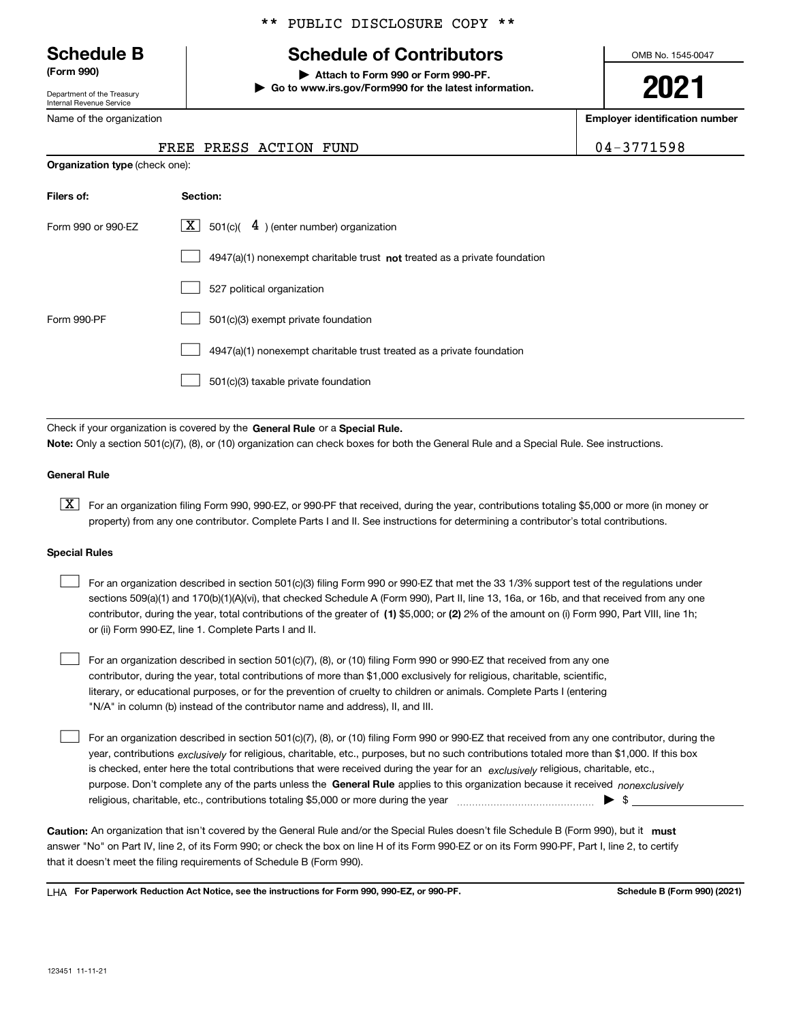Department of the Treasury Internal Revenue Service

Name

#### \*\* PUBLIC DISCLOSURE COPY \*\*

## **Schedule B Schedule of Contributors**

**(Form 990) | Attach to Form 990 or Form 990-PF. | Go to www.irs.gov/Form990 for the latest information.** OMB No. 1545-0047

**2021**

**Employer identification number**

FREE PRESS ACTION FUND  $\vert$  04-3771598

|                     | ----- |  |
|---------------------|-------|--|
| of the organization |       |  |

| <b>Organization type (check one):</b> |                                                                                    |  |  |  |  |  |
|---------------------------------------|------------------------------------------------------------------------------------|--|--|--|--|--|
| Filers of:                            | Section:                                                                           |  |  |  |  |  |
| Form 990 or 990-EZ                    | $\lfloor x \rfloor$ 501(c)( 4) (enter number) organization                         |  |  |  |  |  |
|                                       | $4947(a)(1)$ nonexempt charitable trust <b>not</b> treated as a private foundation |  |  |  |  |  |
|                                       | 527 political organization                                                         |  |  |  |  |  |
| Form 990-PF                           | 501(c)(3) exempt private foundation                                                |  |  |  |  |  |
|                                       | 4947(a)(1) nonexempt charitable trust treated as a private foundation              |  |  |  |  |  |
|                                       | 501(c)(3) taxable private foundation                                               |  |  |  |  |  |

Check if your organization is covered by the **General Rule** or a **Special Rule. Note:**  Only a section 501(c)(7), (8), or (10) organization can check boxes for both the General Rule and a Special Rule. See instructions.

#### **General Rule**

 $\boxed{\textbf{X}}$  For an organization filing Form 990, 990-EZ, or 990-PF that received, during the year, contributions totaling \$5,000 or more (in money or property) from any one contributor. Complete Parts I and II. See instructions for determining a contributor's total contributions.

#### **Special Rules**

 $\mathcal{L}^{\text{max}}$ 

| $\mathbf{1}$ | For an organization described in section 501(c)(3) filing Form 990 or 990-EZ that met the 33 1/3% support test of the regulations under       |
|--------------|-----------------------------------------------------------------------------------------------------------------------------------------------|
|              | sections 509(a)(1) and 170(b)(1)(A)(vi), that checked Schedule A (Form 990), Part II, line 13, 16a, or 16b, and that received from any one    |
|              | contributor, during the year, total contributions of the greater of (1) \$5,000; or (2) 2% of the amount on (i) Form 990, Part VIII, line 1h; |
|              | or (ii) Form 990-EZ, line 1. Complete Parts I and II.                                                                                         |

For an organization described in section 501(c)(7), (8), or (10) filing Form 990 or 990-EZ that received from any one contributor, during the year, total contributions of more than \$1,000 exclusively for religious, charitable, scientific, literary, or educational purposes, or for the prevention of cruelty to children or animals. Complete Parts I (entering "N/A" in column (b) instead of the contributor name and address), II, and III.  $\mathcal{L}^{\text{max}}$ 

purpose. Don't complete any of the parts unless the **General Rule** applies to this organization because it received *nonexclusively* year, contributions <sub>exclusively</sub> for religious, charitable, etc., purposes, but no such contributions totaled more than \$1,000. If this box is checked, enter here the total contributions that were received during the year for an  $\;$ exclusively religious, charitable, etc., For an organization described in section 501(c)(7), (8), or (10) filing Form 990 or 990-EZ that received from any one contributor, during the religious, charitable, etc., contributions totaling \$5,000 or more during the year  $\Box$ — $\Box$  =  $\Box$ 

Caution: An organization that isn't covered by the General Rule and/or the Special Rules doesn't file Schedule B (Form 990), but it **must** answer "No" on Part IV, line 2, of its Form 990; or check the box on line H of its Form 990-EZ or on its Form 990-PF, Part I, line 2, to certify that it doesn't meet the filing requirements of Schedule B (Form 990).

LHA For Paperwork Reduction Act Notice, see the instructions for Form 990, 990-EZ, or 990-PF. **In the act and Schedule B** (Form 990) (2021)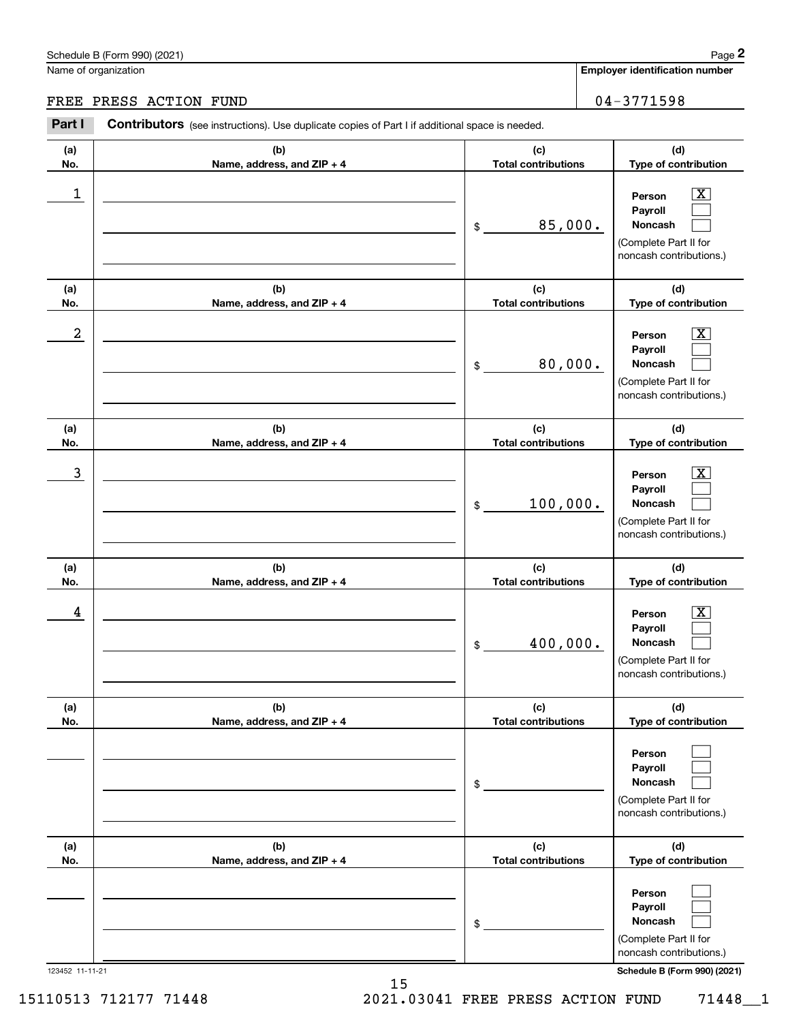**Employer identification number**

# Chedule B (Form 990) (2021)<br>
lame of organization<br> **2PART I CONTITION FUND**<br> **2Part I Contributors** (see instructions). Use duplicate copies of Part I if additional space is needed. FREE PRESS ACTION FUND | 04-3771598

| (a)<br>No.       | (b)<br>Name, address, and ZIP + 4 | (c)<br><b>Total contributions</b> | (d)<br>Type of contribution                                                                                      |
|------------------|-----------------------------------|-----------------------------------|------------------------------------------------------------------------------------------------------------------|
| $\mathbf 1$      |                                   | 85,000.<br>$\frac{1}{2}$          | $\overline{\texttt{X}}$<br>Person<br>Payroll<br>Noncash<br>(Complete Part II for<br>noncash contributions.)      |
| (a)<br>No.       | (b)<br>Name, address, and ZIP + 4 | (c)<br><b>Total contributions</b> | (d)<br>Type of contribution                                                                                      |
| $\boldsymbol{2}$ |                                   | 80,000.<br>\$                     | $\overline{\mathbf{X}}$<br>Person<br>Payroll<br>Noncash<br>(Complete Part II for<br>noncash contributions.)      |
| (a)<br>No.       | (b)<br>Name, address, and ZIP + 4 | (c)<br><b>Total contributions</b> | (d)<br>Type of contribution                                                                                      |
| 3                |                                   | 100,000.<br>$$\mathbb{S}$$        | $\overline{\mathbf{X}}$<br>Person<br>Payroll<br>Noncash<br>(Complete Part II for<br>noncash contributions.)      |
| (a)<br>No.       | (b)<br>Name, address, and ZIP + 4 | (c)<br><b>Total contributions</b> | (d)<br>Type of contribution                                                                                      |
| 4                |                                   | 400,000.<br>$$\mathbb{S}$$        | X<br>Person<br>Payroll<br>Noncash<br>(Complete Part II for<br>noncash contributions.)                            |
| (a)<br>No.       | (b)<br>Name, address, and ZIP + 4 | (c)<br><b>Total contributions</b> | (d)<br>Type of contribution                                                                                      |
|                  |                                   | $\,$                              | Person<br>Payroll<br>Noncash<br>(Complete Part II for<br>noncash contributions.)                                 |
| (a)<br>No.       | (b)<br>Name, address, and ZIP + 4 | (c)<br><b>Total contributions</b> | (d)<br>Type of contribution                                                                                      |
| 123452 11-11-21  |                                   | $\,$                              | Person<br>Payroll<br>Noncash<br>(Complete Part II for<br>noncash contributions.)<br>Schedule B (Form 990) (2021) |
|                  |                                   |                                   |                                                                                                                  |

15110513 712177 71448 2021.03041 FREE PRESS ACTION FUND 71448\_\_1

15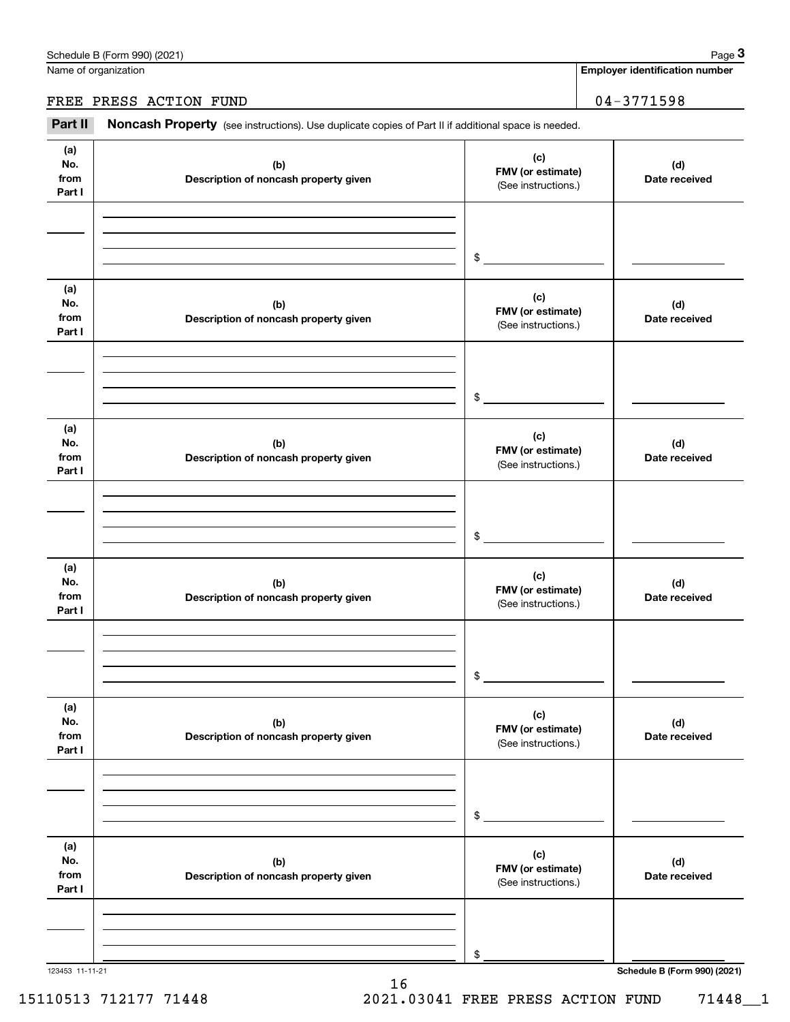Name of organization

**Employer identification number**

#### FREE PRESS ACTION FUND 04-3771598

Chedule B (Form 990) (2021)<br>
lame of organization<br> **3PART II REE PRESS ACTION FUND**<br> **Part II Noncash Property** (see instructions). Use duplicate copies of Part II if additional space is needed.

| (a)<br>No.<br>from<br>Part I | (b)<br>Description of noncash property given | (c)<br>FMV (or estimate)<br>(See instructions.) | (d)<br>Date received         |
|------------------------------|----------------------------------------------|-------------------------------------------------|------------------------------|
|                              |                                              | $\frac{1}{2}$                                   |                              |
| (a)<br>No.<br>from<br>Part I | (b)<br>Description of noncash property given | (c)<br>FMV (or estimate)<br>(See instructions.) | (d)<br>Date received         |
|                              |                                              | $\sim$                                          |                              |
| (a)<br>No.<br>from<br>Part I | (b)<br>Description of noncash property given | (c)<br>FMV (or estimate)<br>(See instructions.) | (d)<br>Date received         |
|                              |                                              | $\frac{1}{2}$                                   |                              |
| (a)<br>No.<br>from<br>Part I | (b)<br>Description of noncash property given | (c)<br>FMV (or estimate)<br>(See instructions.) | (d)<br>Date received         |
|                              |                                              | \$                                              |                              |
| (a)<br>No.<br>from<br>Part I | (b)<br>Description of noncash property given | (c)<br>FMV (or estimate)<br>(See instructions.) | (d)<br>Date received         |
|                              |                                              | $\,$                                            |                              |
| (a)<br>No.<br>from<br>Part I | (b)<br>Description of noncash property given | (c)<br>FMV (or estimate)<br>(See instructions.) | (d)<br>Date received         |
|                              |                                              | \$                                              |                              |
| 123453 11-11-21              |                                              |                                                 | Schedule B (Form 990) (2021) |

16 15110513 712177 71448 2021.03041 FREE PRESS ACTION FUND 71448\_\_1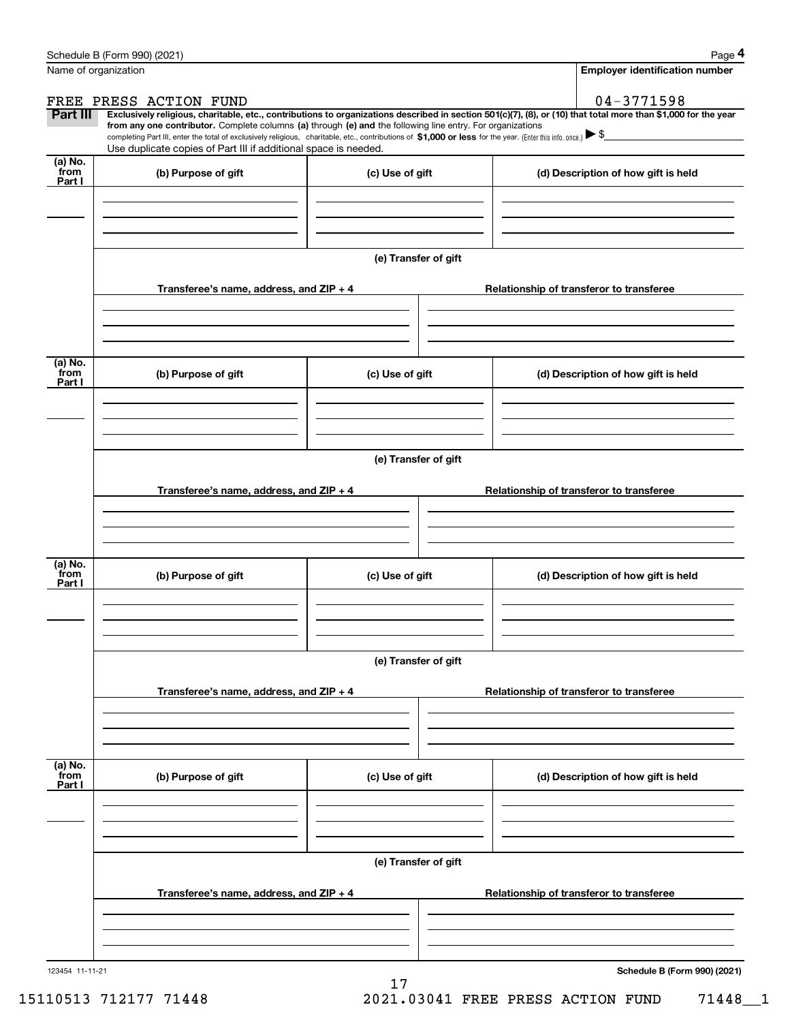|                      | Schedule B (Form 990) (2021)                                                                                                                                                      |                      | Page 4                                                                                                                                                         |  |  |  |  |  |
|----------------------|-----------------------------------------------------------------------------------------------------------------------------------------------------------------------------------|----------------------|----------------------------------------------------------------------------------------------------------------------------------------------------------------|--|--|--|--|--|
| Name of organization |                                                                                                                                                                                   |                      | <b>Employer identification number</b>                                                                                                                          |  |  |  |  |  |
|                      | FREE PRESS ACTION FUND                                                                                                                                                            |                      | $04 - 3771598$                                                                                                                                                 |  |  |  |  |  |
| Part III             | from any one contributor. Complete columns (a) through (e) and the following line entry. For organizations                                                                        |                      | Exclusively religious, charitable, etc., contributions to organizations described in section 501(c)(7), (8), or (10) that total more than \$1,000 for the year |  |  |  |  |  |
|                      | completing Part III, enter the total of exclusively religious, charitable, etc., contributions of \$1,000 or less for the year. (Enter this info. once.) $\blacktriangleright$ \$ |                      |                                                                                                                                                                |  |  |  |  |  |
| (a) No.              | Use duplicate copies of Part III if additional space is needed.                                                                                                                   |                      |                                                                                                                                                                |  |  |  |  |  |
| from<br>Part I       | (b) Purpose of gift                                                                                                                                                               | (c) Use of gift      | (d) Description of how gift is held                                                                                                                            |  |  |  |  |  |
|                      |                                                                                                                                                                                   |                      |                                                                                                                                                                |  |  |  |  |  |
|                      |                                                                                                                                                                                   |                      |                                                                                                                                                                |  |  |  |  |  |
|                      |                                                                                                                                                                                   |                      |                                                                                                                                                                |  |  |  |  |  |
|                      |                                                                                                                                                                                   | (e) Transfer of gift |                                                                                                                                                                |  |  |  |  |  |
|                      | Transferee's name, address, and ZIP + 4                                                                                                                                           |                      | Relationship of transferor to transferee                                                                                                                       |  |  |  |  |  |
|                      |                                                                                                                                                                                   |                      |                                                                                                                                                                |  |  |  |  |  |
|                      |                                                                                                                                                                                   |                      |                                                                                                                                                                |  |  |  |  |  |
|                      |                                                                                                                                                                                   |                      |                                                                                                                                                                |  |  |  |  |  |
| (a) No.<br>from      | (b) Purpose of gift                                                                                                                                                               | (c) Use of gift      | (d) Description of how gift is held                                                                                                                            |  |  |  |  |  |
| Part I               |                                                                                                                                                                                   |                      |                                                                                                                                                                |  |  |  |  |  |
|                      |                                                                                                                                                                                   |                      |                                                                                                                                                                |  |  |  |  |  |
|                      |                                                                                                                                                                                   |                      |                                                                                                                                                                |  |  |  |  |  |
|                      |                                                                                                                                                                                   | (e) Transfer of gift |                                                                                                                                                                |  |  |  |  |  |
|                      |                                                                                                                                                                                   |                      |                                                                                                                                                                |  |  |  |  |  |
|                      | Transferee's name, address, and ZIP + 4                                                                                                                                           |                      | Relationship of transferor to transferee                                                                                                                       |  |  |  |  |  |
|                      |                                                                                                                                                                                   |                      |                                                                                                                                                                |  |  |  |  |  |
|                      |                                                                                                                                                                                   |                      |                                                                                                                                                                |  |  |  |  |  |
| (a) No.              |                                                                                                                                                                                   |                      |                                                                                                                                                                |  |  |  |  |  |
| from<br>Part I       | (b) Purpose of gift                                                                                                                                                               | (c) Use of gift      | (d) Description of how gift is held                                                                                                                            |  |  |  |  |  |
|                      |                                                                                                                                                                                   |                      |                                                                                                                                                                |  |  |  |  |  |
|                      |                                                                                                                                                                                   |                      |                                                                                                                                                                |  |  |  |  |  |
|                      |                                                                                                                                                                                   |                      |                                                                                                                                                                |  |  |  |  |  |
|                      |                                                                                                                                                                                   | (e) Transfer of gift |                                                                                                                                                                |  |  |  |  |  |
|                      | Transferee's name, address, and $ZIP + 4$                                                                                                                                         |                      | Relationship of transferor to transferee                                                                                                                       |  |  |  |  |  |
|                      |                                                                                                                                                                                   |                      |                                                                                                                                                                |  |  |  |  |  |
|                      |                                                                                                                                                                                   |                      |                                                                                                                                                                |  |  |  |  |  |
|                      |                                                                                                                                                                                   |                      |                                                                                                                                                                |  |  |  |  |  |
| (a) No.<br>from      | (b) Purpose of gift                                                                                                                                                               | (c) Use of gift      | (d) Description of how gift is held                                                                                                                            |  |  |  |  |  |
| Part I               |                                                                                                                                                                                   |                      |                                                                                                                                                                |  |  |  |  |  |
|                      |                                                                                                                                                                                   |                      |                                                                                                                                                                |  |  |  |  |  |
|                      |                                                                                                                                                                                   |                      |                                                                                                                                                                |  |  |  |  |  |
|                      | (e) Transfer of gift                                                                                                                                                              |                      |                                                                                                                                                                |  |  |  |  |  |
|                      |                                                                                                                                                                                   |                      |                                                                                                                                                                |  |  |  |  |  |
|                      | Transferee's name, address, and $ZIP + 4$                                                                                                                                         |                      | Relationship of transferor to transferee                                                                                                                       |  |  |  |  |  |
|                      |                                                                                                                                                                                   |                      |                                                                                                                                                                |  |  |  |  |  |
|                      |                                                                                                                                                                                   |                      |                                                                                                                                                                |  |  |  |  |  |
|                      |                                                                                                                                                                                   |                      |                                                                                                                                                                |  |  |  |  |  |

17

**Schedule B (Form 990) (2021)**

15110513 712177 71448 2021.03041 FREE PRESS ACTION FUND 71448\_\_1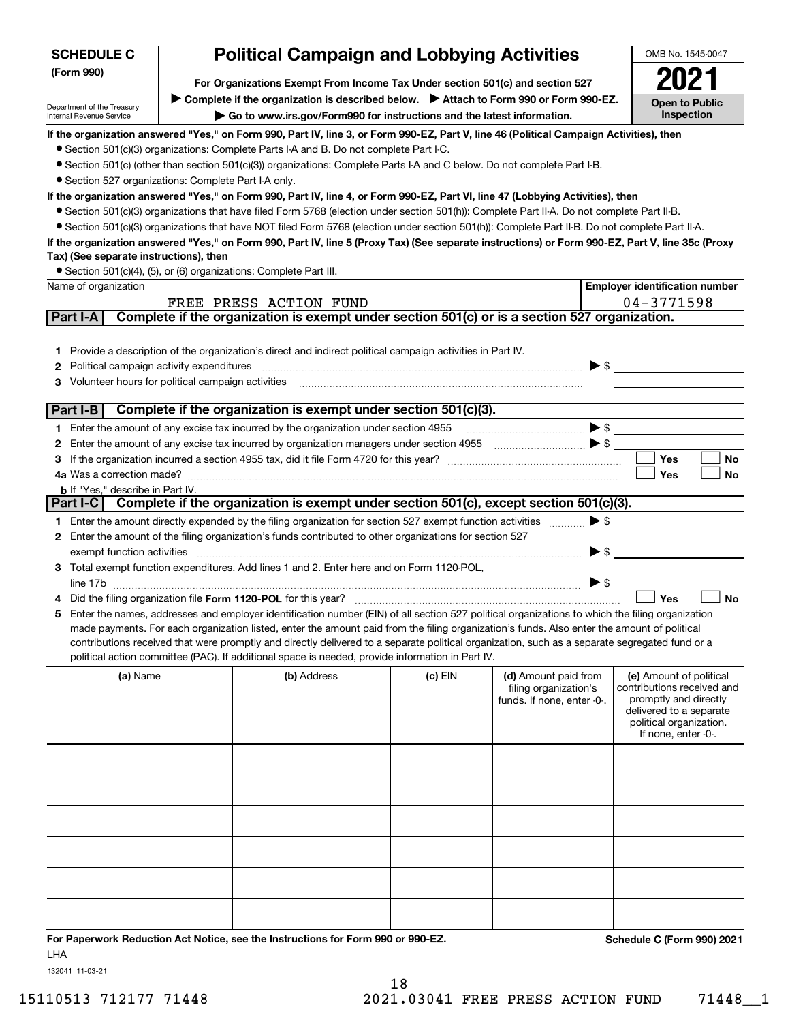| <b>SCHEDULE C</b>                                                  | <b>Political Campaign and Lobbying Activities</b>                                                                                                                                                                                                                                             |                                                                               |                                                                                                                                                                                                                                                                                                                                                     |                          | OMB No. 1545-0047                                  |  |  |
|--------------------------------------------------------------------|-----------------------------------------------------------------------------------------------------------------------------------------------------------------------------------------------------------------------------------------------------------------------------------------------|-------------------------------------------------------------------------------|-----------------------------------------------------------------------------------------------------------------------------------------------------------------------------------------------------------------------------------------------------------------------------------------------------------------------------------------------------|--------------------------|----------------------------------------------------|--|--|
| (Form 990)                                                         |                                                                                                                                                                                                                                                                                               | For Organizations Exempt From Income Tax Under section 501(c) and section 527 |                                                                                                                                                                                                                                                                                                                                                     |                          |                                                    |  |  |
|                                                                    | ▶ Complete if the organization is described below. ▶ Attach to Form 990 or Form 990-EZ.                                                                                                                                                                                                       |                                                                               |                                                                                                                                                                                                                                                                                                                                                     |                          |                                                    |  |  |
| Department of the Treasury<br>Internal Revenue Service             | Go to www.irs.gov/Form990 for instructions and the latest information.                                                                                                                                                                                                                        |                                                                               |                                                                                                                                                                                                                                                                                                                                                     |                          | <b>Open to Public</b><br>Inspection                |  |  |
|                                                                    | If the organization answered "Yes," on Form 990, Part IV, line 3, or Form 990-EZ, Part V, line 46 (Political Campaign Activities), then                                                                                                                                                       |                                                                               |                                                                                                                                                                                                                                                                                                                                                     |                          |                                                    |  |  |
|                                                                    | • Section 501(c)(3) organizations: Complete Parts I-A and B. Do not complete Part I-C.                                                                                                                                                                                                        |                                                                               |                                                                                                                                                                                                                                                                                                                                                     |                          |                                                    |  |  |
|                                                                    | • Section 501(c) (other than section 501(c)(3)) organizations: Complete Parts I-A and C below. Do not complete Part I-B.                                                                                                                                                                      |                                                                               |                                                                                                                                                                                                                                                                                                                                                     |                          |                                                    |  |  |
| • Section 527 organizations: Complete Part I-A only.               |                                                                                                                                                                                                                                                                                               |                                                                               |                                                                                                                                                                                                                                                                                                                                                     |                          |                                                    |  |  |
|                                                                    | If the organization answered "Yes," on Form 990, Part IV, line 4, or Form 990-EZ, Part VI, line 47 (Lobbying Activities), then                                                                                                                                                                |                                                                               |                                                                                                                                                                                                                                                                                                                                                     |                          |                                                    |  |  |
|                                                                    | • Section 501(c)(3) organizations that have filed Form 5768 (election under section 501(h)): Complete Part II-A. Do not complete Part II-B.                                                                                                                                                   |                                                                               |                                                                                                                                                                                                                                                                                                                                                     |                          |                                                    |  |  |
|                                                                    | • Section 501(c)(3) organizations that have NOT filed Form 5768 (election under section 501(h)): Complete Part II-B. Do not complete Part II-A.                                                                                                                                               |                                                                               |                                                                                                                                                                                                                                                                                                                                                     |                          |                                                    |  |  |
| Tax) (See separate instructions), then                             | If the organization answered "Yes," on Form 990, Part IV, line 5 (Proxy Tax) (See separate instructions) or Form 990-EZ, Part V, line 35c (Proxy                                                                                                                                              |                                                                               |                                                                                                                                                                                                                                                                                                                                                     |                          |                                                    |  |  |
| • Section 501(c)(4), (5), or (6) organizations: Complete Part III. |                                                                                                                                                                                                                                                                                               |                                                                               |                                                                                                                                                                                                                                                                                                                                                     |                          |                                                    |  |  |
| Name of organization                                               |                                                                                                                                                                                                                                                                                               |                                                                               |                                                                                                                                                                                                                                                                                                                                                     |                          | <b>Employer identification number</b>              |  |  |
|                                                                    | FREE PRESS ACTION FUND                                                                                                                                                                                                                                                                        |                                                                               |                                                                                                                                                                                                                                                                                                                                                     |                          | 04-3771598                                         |  |  |
| Part I-A                                                           | Complete if the organization is exempt under section 501(c) or is a section 527 organization.                                                                                                                                                                                                 |                                                                               |                                                                                                                                                                                                                                                                                                                                                     |                          |                                                    |  |  |
|                                                                    |                                                                                                                                                                                                                                                                                               |                                                                               |                                                                                                                                                                                                                                                                                                                                                     |                          |                                                    |  |  |
|                                                                    | 1 Provide a description of the organization's direct and indirect political campaign activities in Part IV.                                                                                                                                                                                   |                                                                               |                                                                                                                                                                                                                                                                                                                                                     |                          |                                                    |  |  |
| Political campaign activity expenditures<br>2                      |                                                                                                                                                                                                                                                                                               |                                                                               |                                                                                                                                                                                                                                                                                                                                                     | $\blacktriangleright$ \$ |                                                    |  |  |
| Volunteer hours for political campaign activities<br>з             |                                                                                                                                                                                                                                                                                               |                                                                               |                                                                                                                                                                                                                                                                                                                                                     |                          |                                                    |  |  |
|                                                                    |                                                                                                                                                                                                                                                                                               |                                                                               |                                                                                                                                                                                                                                                                                                                                                     |                          |                                                    |  |  |
| Part I-B                                                           | Complete if the organization is exempt under section 501(c)(3).                                                                                                                                                                                                                               |                                                                               |                                                                                                                                                                                                                                                                                                                                                     | $\blacktriangleright$ \$ |                                                    |  |  |
|                                                                    | 1 Enter the amount of any excise tax incurred by the organization under section 4955<br>Enter the amount of any excise tax incurred by organization managers under section 4955                                                                                                               |                                                                               |                                                                                                                                                                                                                                                                                                                                                     |                          |                                                    |  |  |
| 2<br>3                                                             |                                                                                                                                                                                                                                                                                               |                                                                               | $\begin{picture}(20,10) \put(0,0){\line(1,0){10}} \put(15,0){\line(1,0){10}} \put(15,0){\line(1,0){10}} \put(15,0){\line(1,0){10}} \put(15,0){\line(1,0){10}} \put(15,0){\line(1,0){10}} \put(15,0){\line(1,0){10}} \put(15,0){\line(1,0){10}} \put(15,0){\line(1,0){10}} \put(15,0){\line(1,0){10}} \put(15,0){\line(1,0){10}} \put(15,0){\line(1$ |                          | Yes<br>No                                          |  |  |
| 4a Was a correction made?                                          |                                                                                                                                                                                                                                                                                               |                                                                               |                                                                                                                                                                                                                                                                                                                                                     |                          | Yes<br>No                                          |  |  |
| <b>b</b> If "Yes," describe in Part IV.                            |                                                                                                                                                                                                                                                                                               |                                                                               |                                                                                                                                                                                                                                                                                                                                                     |                          |                                                    |  |  |
| Part I-C                                                           | Complete if the organization is exempt under section 501(c), except section 501(c)(3).                                                                                                                                                                                                        |                                                                               |                                                                                                                                                                                                                                                                                                                                                     |                          |                                                    |  |  |
|                                                                    | 1 Enter the amount directly expended by the filing organization for section 527 exempt function activities                                                                                                                                                                                    |                                                                               |                                                                                                                                                                                                                                                                                                                                                     | $\blacktriangleright$ \$ |                                                    |  |  |
|                                                                    | 2 Enter the amount of the filing organization's funds contributed to other organizations for section 527                                                                                                                                                                                      |                                                                               |                                                                                                                                                                                                                                                                                                                                                     |                          |                                                    |  |  |
| exempt function activities                                         |                                                                                                                                                                                                                                                                                               |                                                                               |                                                                                                                                                                                                                                                                                                                                                     | $\blacktriangleright$ \$ |                                                    |  |  |
|                                                                    | 3 Total exempt function expenditures. Add lines 1 and 2. Enter here and on Form 1120-POL,                                                                                                                                                                                                     |                                                                               |                                                                                                                                                                                                                                                                                                                                                     |                          |                                                    |  |  |
| line 17b                                                           |                                                                                                                                                                                                                                                                                               |                                                                               |                                                                                                                                                                                                                                                                                                                                                     | $\blacktriangleright$ \$ |                                                    |  |  |
|                                                                    | Did the filing organization file Form 1120-POL for this year?                                                                                                                                                                                                                                 |                                                                               |                                                                                                                                                                                                                                                                                                                                                     |                          | <b>No</b><br>Yes                                   |  |  |
| 5.                                                                 | Enter the names, addresses and employer identification number (EIN) of all section 527 political organizations to which the filing organization                                                                                                                                               |                                                                               |                                                                                                                                                                                                                                                                                                                                                     |                          |                                                    |  |  |
|                                                                    | made payments. For each organization listed, enter the amount paid from the filing organization's funds. Also enter the amount of political<br>contributions received that were promptly and directly delivered to a separate political organization, such as a separate segregated fund or a |                                                                               |                                                                                                                                                                                                                                                                                                                                                     |                          |                                                    |  |  |
|                                                                    | political action committee (PAC). If additional space is needed, provide information in Part IV.                                                                                                                                                                                              |                                                                               |                                                                                                                                                                                                                                                                                                                                                     |                          |                                                    |  |  |
| (a) Name                                                           | (b) Address                                                                                                                                                                                                                                                                                   | (c) EIN                                                                       | (d) Amount paid from                                                                                                                                                                                                                                                                                                                                |                          | (e) Amount of political                            |  |  |
|                                                                    |                                                                                                                                                                                                                                                                                               |                                                                               | filing organization's                                                                                                                                                                                                                                                                                                                               |                          | contributions received and                         |  |  |
|                                                                    |                                                                                                                                                                                                                                                                                               |                                                                               | funds. If none, enter -0-.                                                                                                                                                                                                                                                                                                                          |                          | promptly and directly                              |  |  |
|                                                                    |                                                                                                                                                                                                                                                                                               |                                                                               |                                                                                                                                                                                                                                                                                                                                                     |                          | delivered to a separate<br>political organization. |  |  |
|                                                                    |                                                                                                                                                                                                                                                                                               |                                                                               |                                                                                                                                                                                                                                                                                                                                                     |                          | If none, enter -0-.                                |  |  |
|                                                                    |                                                                                                                                                                                                                                                                                               |                                                                               |                                                                                                                                                                                                                                                                                                                                                     |                          |                                                    |  |  |
|                                                                    |                                                                                                                                                                                                                                                                                               |                                                                               |                                                                                                                                                                                                                                                                                                                                                     |                          |                                                    |  |  |
|                                                                    |                                                                                                                                                                                                                                                                                               |                                                                               |                                                                                                                                                                                                                                                                                                                                                     |                          |                                                    |  |  |
|                                                                    |                                                                                                                                                                                                                                                                                               |                                                                               |                                                                                                                                                                                                                                                                                                                                                     |                          |                                                    |  |  |
|                                                                    |                                                                                                                                                                                                                                                                                               |                                                                               |                                                                                                                                                                                                                                                                                                                                                     |                          |                                                    |  |  |
|                                                                    |                                                                                                                                                                                                                                                                                               |                                                                               |                                                                                                                                                                                                                                                                                                                                                     |                          |                                                    |  |  |
|                                                                    |                                                                                                                                                                                                                                                                                               |                                                                               |                                                                                                                                                                                                                                                                                                                                                     |                          |                                                    |  |  |
|                                                                    |                                                                                                                                                                                                                                                                                               |                                                                               |                                                                                                                                                                                                                                                                                                                                                     |                          |                                                    |  |  |
|                                                                    |                                                                                                                                                                                                                                                                                               |                                                                               |                                                                                                                                                                                                                                                                                                                                                     |                          |                                                    |  |  |
|                                                                    |                                                                                                                                                                                                                                                                                               |                                                                               |                                                                                                                                                                                                                                                                                                                                                     |                          |                                                    |  |  |
|                                                                    |                                                                                                                                                                                                                                                                                               |                                                                               |                                                                                                                                                                                                                                                                                                                                                     |                          |                                                    |  |  |
|                                                                    | For Paperwork Reduction Act Notice, see the Instructions for Form 990 or 990-EZ.                                                                                                                                                                                                              |                                                                               |                                                                                                                                                                                                                                                                                                                                                     |                          | Schedule C (Form 990) 2021                         |  |  |
| <b>LHA</b>                                                         |                                                                                                                                                                                                                                                                                               |                                                                               |                                                                                                                                                                                                                                                                                                                                                     |                          |                                                    |  |  |

132041 11-03-21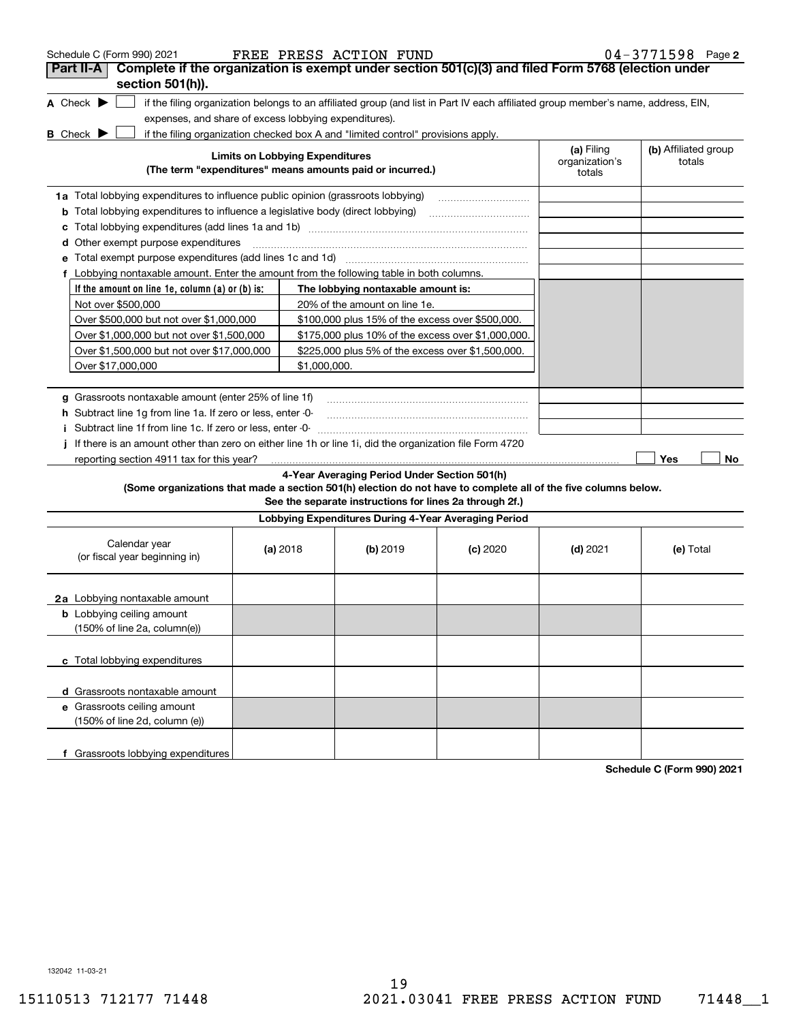| Schedule C (Form 990) 2021                                                                                      |                                                                                  |                                        | FREE PRESS ACTION FUND                                                           |                                                                                                                                   |                              | $04 - 3771598$ Page 2          |
|-----------------------------------------------------------------------------------------------------------------|----------------------------------------------------------------------------------|----------------------------------------|----------------------------------------------------------------------------------|-----------------------------------------------------------------------------------------------------------------------------------|------------------------------|--------------------------------|
| Complete if the organization is exempt under section 501(c)(3) and filed Form 5768 (election under<br>Part II-A |                                                                                  |                                        |                                                                                  |                                                                                                                                   |                              |                                |
| section 501(h)).                                                                                                |                                                                                  |                                        |                                                                                  |                                                                                                                                   |                              |                                |
| A Check $\blacktriangleright$                                                                                   |                                                                                  |                                        |                                                                                  | if the filing organization belongs to an affiliated group (and list in Part IV each affiliated group member's name, address, EIN, |                              |                                |
| expenses, and share of excess lobbying expenditures).                                                           |                                                                                  |                                        |                                                                                  |                                                                                                                                   |                              |                                |
| <b>B</b> Check $\blacktriangleright$                                                                            |                                                                                  |                                        | if the filing organization checked box A and "limited control" provisions apply. |                                                                                                                                   |                              |                                |
|                                                                                                                 |                                                                                  | <b>Limits on Lobbying Expenditures</b> | (The term "expenditures" means amounts paid or incurred.)                        |                                                                                                                                   | (a) Filing<br>organization's | (b) Affiliated group<br>totals |
|                                                                                                                 |                                                                                  |                                        |                                                                                  |                                                                                                                                   | totals                       |                                |
|                                                                                                                 | 1a Total lobbying expenditures to influence public opinion (grassroots lobbying) |                                        |                                                                                  |                                                                                                                                   |                              |                                |
| <b>b</b> Total lobbying expenditures to influence a legislative body (direct lobbying)                          |                                                                                  |                                        |                                                                                  |                                                                                                                                   |                              |                                |
| с                                                                                                               |                                                                                  |                                        |                                                                                  |                                                                                                                                   |                              |                                |
| Other exempt purpose expenditures<br>d                                                                          |                                                                                  |                                        |                                                                                  |                                                                                                                                   |                              |                                |
| Total exempt purpose expenditures (add lines 1c and 1d)                                                         |                                                                                  |                                        |                                                                                  |                                                                                                                                   |                              |                                |
| f Lobbying nontaxable amount. Enter the amount from the following table in both columns.                        |                                                                                  |                                        |                                                                                  |                                                                                                                                   |                              |                                |
| If the amount on line 1e, column $(a)$ or $(b)$ is:                                                             |                                                                                  |                                        | The lobbying nontaxable amount is:                                               |                                                                                                                                   |                              |                                |
| Not over \$500,000                                                                                              |                                                                                  |                                        | 20% of the amount on line 1e.                                                    |                                                                                                                                   |                              |                                |
| Over \$500,000 but not over \$1,000,000                                                                         |                                                                                  |                                        | \$100,000 plus 15% of the excess over \$500,000.                                 |                                                                                                                                   |                              |                                |
| Over \$1,000,000 but not over \$1,500,000                                                                       |                                                                                  |                                        | \$175,000 plus 10% of the excess over \$1,000,000.                               |                                                                                                                                   |                              |                                |
| Over \$1,500,000 but not over \$17,000,000                                                                      |                                                                                  |                                        | \$225,000 plus 5% of the excess over \$1,500,000.                                |                                                                                                                                   |                              |                                |
| Over \$17,000,000                                                                                               |                                                                                  | \$1,000,000.                           |                                                                                  |                                                                                                                                   |                              |                                |
|                                                                                                                 |                                                                                  |                                        |                                                                                  |                                                                                                                                   |                              |                                |
| g Grassroots nontaxable amount (enter 25% of line 1f)                                                           |                                                                                  |                                        |                                                                                  |                                                                                                                                   |                              |                                |
| h Subtract line 1g from line 1a. If zero or less, enter -0-                                                     |                                                                                  |                                        |                                                                                  |                                                                                                                                   |                              |                                |
| i Subtract line 1f from line 1c. If zero or less, enter 0                                                       |                                                                                  |                                        |                                                                                  |                                                                                                                                   |                              |                                |
| If there is an amount other than zero on either line 1h or line 1i, did the organization file Form 4720         |                                                                                  |                                        |                                                                                  |                                                                                                                                   |                              |                                |
| reporting section 4911 tax for this year?                                                                       |                                                                                  |                                        |                                                                                  |                                                                                                                                   |                              | Yes<br>No                      |
|                                                                                                                 |                                                                                  |                                        | 4-Year Averaging Period Under Section 501(h)                                     |                                                                                                                                   |                              |                                |
| (Some organizations that made a section 501(h) election do not have to complete all of the five columns below.  |                                                                                  |                                        | See the separate instructions for lines 2a through 2f.)                          |                                                                                                                                   |                              |                                |
|                                                                                                                 |                                                                                  |                                        | Lobbying Expenditures During 4-Year Averaging Period                             |                                                                                                                                   |                              |                                |
|                                                                                                                 |                                                                                  |                                        |                                                                                  |                                                                                                                                   |                              |                                |
| Calendar year                                                                                                   |                                                                                  | (a) 2018                               | (b) $2019$                                                                       | $(c)$ 2020                                                                                                                        | $(d)$ 2021                   | (e) Total                      |
| (or fiscal year beginning in)                                                                                   |                                                                                  |                                        |                                                                                  |                                                                                                                                   |                              |                                |
|                                                                                                                 |                                                                                  |                                        |                                                                                  |                                                                                                                                   |                              |                                |
| <b>2a</b> Lobbying nontaxable amount                                                                            |                                                                                  |                                        |                                                                                  |                                                                                                                                   |                              |                                |
| <b>b</b> Lobbying ceiling amount                                                                                |                                                                                  |                                        |                                                                                  |                                                                                                                                   |                              |                                |
| (150% of line 2a, column(e))                                                                                    |                                                                                  |                                        |                                                                                  |                                                                                                                                   |                              |                                |
|                                                                                                                 |                                                                                  |                                        |                                                                                  |                                                                                                                                   |                              |                                |
| c Total lobbying expenditures                                                                                   |                                                                                  |                                        |                                                                                  |                                                                                                                                   |                              |                                |
|                                                                                                                 |                                                                                  |                                        |                                                                                  |                                                                                                                                   |                              |                                |
| d Grassroots nontaxable amount                                                                                  |                                                                                  |                                        |                                                                                  |                                                                                                                                   |                              |                                |
| e Grassroots ceiling amount                                                                                     |                                                                                  |                                        |                                                                                  |                                                                                                                                   |                              |                                |
| (150% of line 2d, column (e))                                                                                   |                                                                                  |                                        |                                                                                  |                                                                                                                                   |                              |                                |
|                                                                                                                 |                                                                                  |                                        |                                                                                  |                                                                                                                                   |                              |                                |
| f Grassroots lobbying expenditures                                                                              |                                                                                  |                                        |                                                                                  |                                                                                                                                   |                              |                                |
|                                                                                                                 |                                                                                  |                                        |                                                                                  |                                                                                                                                   |                              | 0.0010004                      |

**Schedule C (Form 990) 2021**

132042 11-03-21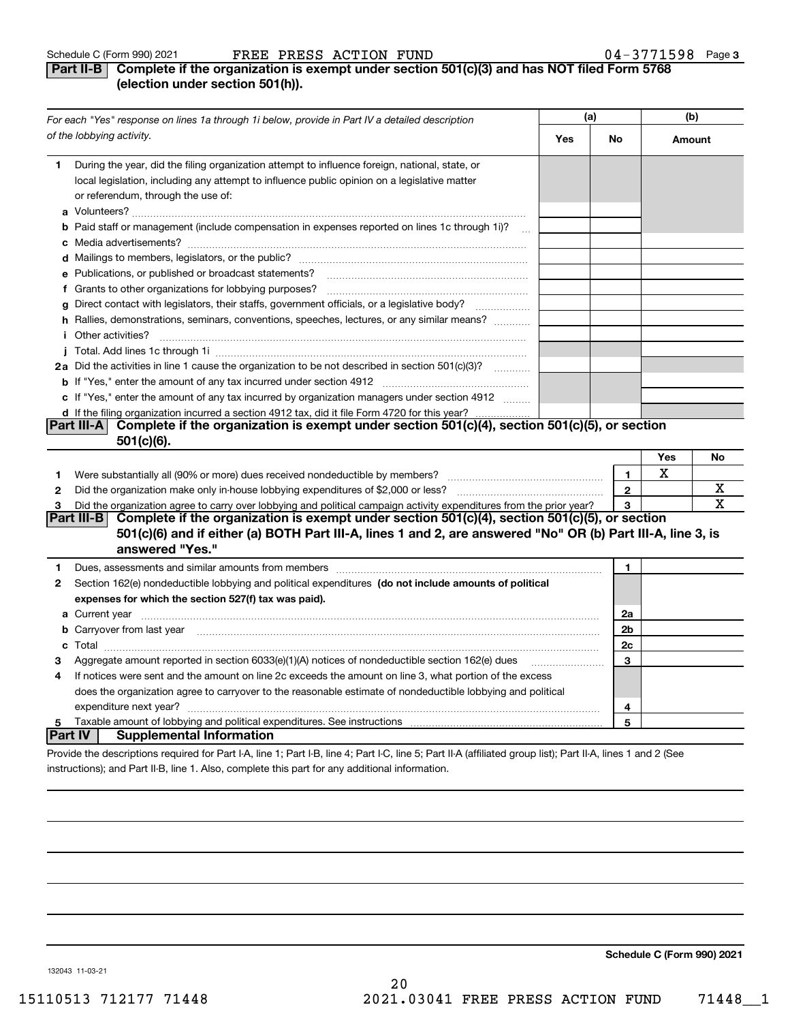#### **Part II-B** Complete if the organization is exempt under section 501(c)(3) and has NOT filed Form 5768 **(election under section 501(h)).**

|              | For each "Yes" response on lines 1a through 1i below, provide in Part IV a detailed description                                                                                                                                                 |            | (a)          | (b)         |             |  |  |
|--------------|-------------------------------------------------------------------------------------------------------------------------------------------------------------------------------------------------------------------------------------------------|------------|--------------|-------------|-------------|--|--|
|              | of the lobbying activity.                                                                                                                                                                                                                       | <b>Yes</b> | No           | Amount      |             |  |  |
| 1            | During the year, did the filing organization attempt to influence foreign, national, state, or<br>local legislation, including any attempt to influence public opinion on a legislative matter<br>or referendum, through the use of:            |            |              |             |             |  |  |
|              | <b>b</b> Paid staff or management (include compensation in expenses reported on lines 1c through 1i)?                                                                                                                                           |            |              |             |             |  |  |
|              |                                                                                                                                                                                                                                                 |            |              |             |             |  |  |
|              |                                                                                                                                                                                                                                                 |            |              |             |             |  |  |
|              | e Publications, or published or broadcast statements?                                                                                                                                                                                           |            |              |             |             |  |  |
|              |                                                                                                                                                                                                                                                 |            |              |             |             |  |  |
|              | g Direct contact with legislators, their staffs, government officials, or a legislative body?                                                                                                                                                   |            |              |             |             |  |  |
|              | h Rallies, demonstrations, seminars, conventions, speeches, lectures, or any similar means?                                                                                                                                                     |            |              |             |             |  |  |
|              | <i>i</i> Other activities?                                                                                                                                                                                                                      |            |              |             |             |  |  |
|              |                                                                                                                                                                                                                                                 |            |              |             |             |  |  |
|              | 2a Did the activities in line 1 cause the organization to be not described in section 501(c)(3)?                                                                                                                                                |            |              |             |             |  |  |
|              |                                                                                                                                                                                                                                                 |            |              |             |             |  |  |
|              | c If "Yes," enter the amount of any tax incurred by organization managers under section 4912                                                                                                                                                    |            |              |             |             |  |  |
|              | d If the filing organization incurred a section 4912 tax, did it file Form 4720 for this year?                                                                                                                                                  |            |              |             |             |  |  |
|              | Complete if the organization is exempt under section 501(c)(4), section 501(c)(5), or section<br><b>Part III-AI</b>                                                                                                                             |            |              |             |             |  |  |
|              | $501(c)(6)$ .                                                                                                                                                                                                                                   |            |              |             |             |  |  |
|              |                                                                                                                                                                                                                                                 |            |              | Yes         | No          |  |  |
| 1            |                                                                                                                                                                                                                                                 |            | $\mathbf{1}$ | $\mathbf X$ |             |  |  |
| $\mathbf{2}$ |                                                                                                                                                                                                                                                 |            | $\mathbf{2}$ |             | х           |  |  |
| 3            | Did the organization agree to carry over lobbying and political campaign activity expenditures from the prior year?                                                                                                                             |            | 3            |             | $\mathbf X$ |  |  |
|              | Complete if the organization is exempt under section 501(c)(4), section 501(c)(5), or section<br> Part III-B <br>501(c)(6) and if either (a) BOTH Part III-A, lines 1 and 2, are answered "No" OR (b) Part III-A, line 3, is<br>answered "Yes." |            |              |             |             |  |  |
| 1            |                                                                                                                                                                                                                                                 |            | 1            |             |             |  |  |
| 2            | Section 162(e) nondeductible lobbying and political expenditures (do not include amounts of political                                                                                                                                           |            |              |             |             |  |  |
|              | expenses for which the section 527(f) tax was paid).                                                                                                                                                                                            |            |              |             |             |  |  |
|              |                                                                                                                                                                                                                                                 |            | 2a           |             |             |  |  |
|              | <b>b</b> Carryover from last year manufactured and content to content the content of the content of the content of the content of the content of the content of the content of the content of the content of the content of the con             |            | 2b           |             |             |  |  |
|              |                                                                                                                                                                                                                                                 |            | 2c           |             |             |  |  |
| 3            | Aggregate amount reported in section 6033(e)(1)(A) notices of nondeductible section 162(e) dues                                                                                                                                                 |            | 3            |             |             |  |  |
| 4            | If notices were sent and the amount on line 2c exceeds the amount on line 3, what portion of the excess                                                                                                                                         |            |              |             |             |  |  |
|              | does the organization agree to carryover to the reasonable estimate of nondeductible lobbying and political                                                                                                                                     |            |              |             |             |  |  |
|              | expenditure next year?                                                                                                                                                                                                                          | 4          |              |             |             |  |  |
| 5.           |                                                                                                                                                                                                                                                 |            | 5            |             |             |  |  |
|              | <b>Supplemental Information</b><br><b>Part IV</b>                                                                                                                                                                                               |            |              |             |             |  |  |
|              | Provide the descriptions required for Part I-A, line 1; Part I-B, line 4; Part I-C, line 5; Part II-A (affiliated group list); Part II-A, lines 1 and 2 (See                                                                                    |            |              |             |             |  |  |

instructions); and Part II-B, line 1. Also, complete this part for any additional information.

**Schedule C (Form 990) 2021**

132043 11-03-21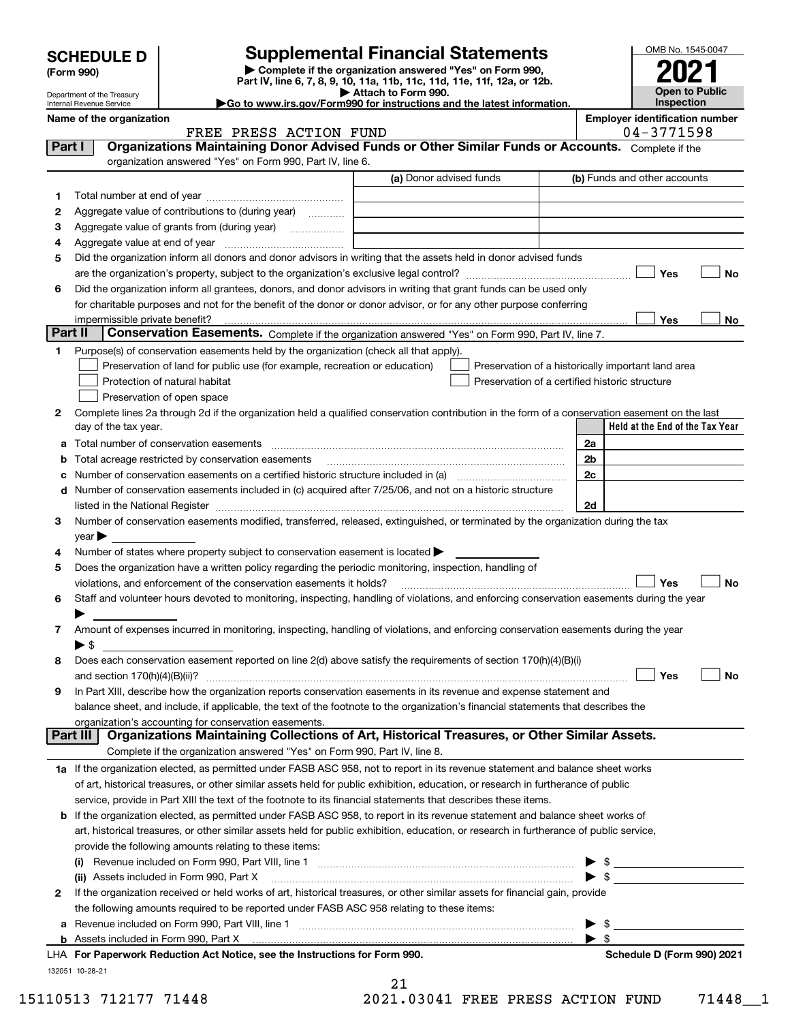|                                                                                                             |                                                      |                                                                                                                                                                                                                                    | <b>Supplemental Financial Statements</b>                                                             |  |                                 |                                       | OMB No. 1545-0047                   |  |       |
|-------------------------------------------------------------------------------------------------------------|------------------------------------------------------|------------------------------------------------------------------------------------------------------------------------------------------------------------------------------------------------------------------------------------|------------------------------------------------------------------------------------------------------|--|---------------------------------|---------------------------------------|-------------------------------------|--|-------|
|                                                                                                             | <b>SCHEDULE D</b>                                    |                                                                                                                                                                                                                                    | Complete if the organization answered "Yes" on Form 990,                                             |  |                                 |                                       |                                     |  |       |
|                                                                                                             | (Form 990)                                           |                                                                                                                                                                                                                                    | Part IV, line 6, 7, 8, 9, 10, 11a, 11b, 11c, 11d, 11e, 11f, 12a, or 12b.                             |  |                                 |                                       |                                     |  |       |
|                                                                                                             | Department of the Treasury                           |                                                                                                                                                                                                                                    | Attach to Form 990.<br>Go to www.irs.gov/Form990 for instructions and the latest information.        |  |                                 |                                       | <b>Open to Public</b><br>Inspection |  |       |
|                                                                                                             | Internal Revenue Service<br>Name of the organization |                                                                                                                                                                                                                                    |                                                                                                      |  |                                 | <b>Employer identification number</b> |                                     |  |       |
|                                                                                                             |                                                      | FREE PRESS ACTION FUND                                                                                                                                                                                                             |                                                                                                      |  |                                 |                                       | 04-3771598                          |  |       |
| Organizations Maintaining Donor Advised Funds or Other Similar Funds or Accounts. Complete if the<br>Part I |                                                      |                                                                                                                                                                                                                                    |                                                                                                      |  |                                 |                                       |                                     |  |       |
|                                                                                                             |                                                      | organization answered "Yes" on Form 990, Part IV, line 6.                                                                                                                                                                          |                                                                                                      |  |                                 |                                       |                                     |  |       |
|                                                                                                             |                                                      |                                                                                                                                                                                                                                    | (a) Donor advised funds                                                                              |  |                                 | (b) Funds and other accounts          |                                     |  |       |
| 1                                                                                                           |                                                      |                                                                                                                                                                                                                                    |                                                                                                      |  |                                 |                                       |                                     |  |       |
| 2                                                                                                           |                                                      | Aggregate value of contributions to (during year)                                                                                                                                                                                  |                                                                                                      |  |                                 |                                       |                                     |  |       |
| з                                                                                                           |                                                      |                                                                                                                                                                                                                                    |                                                                                                      |  |                                 |                                       |                                     |  |       |
| 4                                                                                                           |                                                      |                                                                                                                                                                                                                                    |                                                                                                      |  |                                 |                                       |                                     |  |       |
| 5                                                                                                           |                                                      | Did the organization inform all donors and donor advisors in writing that the assets held in donor advised funds                                                                                                                   |                                                                                                      |  |                                 |                                       |                                     |  |       |
|                                                                                                             |                                                      |                                                                                                                                                                                                                                    |                                                                                                      |  |                                 |                                       | Yes                                 |  | No    |
| 6                                                                                                           |                                                      | Did the organization inform all grantees, donors, and donor advisors in writing that grant funds can be used only                                                                                                                  |                                                                                                      |  |                                 |                                       |                                     |  |       |
|                                                                                                             |                                                      | for charitable purposes and not for the benefit of the donor or donor advisor, or for any other purpose conferring                                                                                                                 |                                                                                                      |  |                                 |                                       |                                     |  |       |
|                                                                                                             | impermissible private benefit?                       |                                                                                                                                                                                                                                    |                                                                                                      |  |                                 |                                       | Yes                                 |  | No l  |
|                                                                                                             | Part II                                              | Conservation Easements. Complete if the organization answered "Yes" on Form 990, Part IV, line 7.                                                                                                                                  |                                                                                                      |  |                                 |                                       |                                     |  |       |
| 1.                                                                                                          |                                                      | Purpose(s) of conservation easements held by the organization (check all that apply).<br>Preservation of land for public use (for example, recreation or education)<br>Protection of natural habitat<br>Preservation of open space | Preservation of a historically important land area<br>Preservation of a certified historic structure |  |                                 |                                       |                                     |  |       |
| 2                                                                                                           | day of the tax year.                                 | Complete lines 2a through 2d if the organization held a qualified conservation contribution in the form of a conservation easement on the last                                                                                     |                                                                                                      |  | Held at the End of the Tax Year |                                       |                                     |  |       |
|                                                                                                             |                                                      |                                                                                                                                                                                                                                    |                                                                                                      |  | 2a                              |                                       |                                     |  |       |
|                                                                                                             |                                                      | Total acreage restricted by conservation easements                                                                                                                                                                                 |                                                                                                      |  | 2b                              |                                       |                                     |  |       |
|                                                                                                             |                                                      | Number of conservation easements on a certified historic structure included in (a) manufacture of conservation                                                                                                                     |                                                                                                      |  | 2c                              |                                       |                                     |  |       |
|                                                                                                             |                                                      | d Number of conservation easements included in (c) acquired after 7/25/06, and not on a historic structure                                                                                                                         |                                                                                                      |  |                                 |                                       |                                     |  |       |
|                                                                                                             |                                                      | listed in the National Register [111] Marshall Register [11] Marshall Register [11] Marshall Register [11] Marshall Register [11] Marshall Register [11] Marshall Register [11] Marshall Register [11] Marshall Register [11]      |                                                                                                      |  | 2d                              |                                       |                                     |  |       |
| 3                                                                                                           |                                                      | Number of conservation easements modified, transferred, released, extinguished, or terminated by the organization during the tax                                                                                                   |                                                                                                      |  |                                 |                                       |                                     |  |       |
|                                                                                                             | year                                                 |                                                                                                                                                                                                                                    |                                                                                                      |  |                                 |                                       |                                     |  |       |
| 4                                                                                                           |                                                      | Number of states where property subject to conservation easement is located $\blacktriangleright$                                                                                                                                  |                                                                                                      |  |                                 |                                       |                                     |  |       |
| 5                                                                                                           |                                                      | Does the organization have a written policy regarding the periodic monitoring, inspection, handling of                                                                                                                             |                                                                                                      |  |                                 |                                       |                                     |  |       |
|                                                                                                             |                                                      | violations, and enforcement of the conservation easements it holds?                                                                                                                                                                |                                                                                                      |  |                                 |                                       | $\Box$ Yes                          |  | _∣ No |
| 6                                                                                                           |                                                      | Staff and volunteer hours devoted to monitoring, inspecting, handling of violations, and enforcing conservation easements during the year                                                                                          |                                                                                                      |  |                                 |                                       |                                     |  |       |
|                                                                                                             |                                                      |                                                                                                                                                                                                                                    |                                                                                                      |  |                                 |                                       |                                     |  |       |
| 7                                                                                                           |                                                      | Amount of expenses incurred in monitoring, inspecting, handling of violations, and enforcing conservation easements during the year                                                                                                |                                                                                                      |  |                                 |                                       |                                     |  |       |
|                                                                                                             | $\blacktriangleright$ \$                             |                                                                                                                                                                                                                                    |                                                                                                      |  |                                 |                                       |                                     |  |       |
| 8                                                                                                           |                                                      | Does each conservation easement reported on line 2(d) above satisfy the requirements of section 170(h)(4)(B)(i)                                                                                                                    |                                                                                                      |  |                                 |                                       |                                     |  |       |
|                                                                                                             |                                                      |                                                                                                                                                                                                                                    |                                                                                                      |  |                                 |                                       | Yes                                 |  | No    |

| 9 In Part XIII, describe how the organization reports conservation easements in its revenue and expense statement and             |  |  |  |  |  |  |  |
|-----------------------------------------------------------------------------------------------------------------------------------|--|--|--|--|--|--|--|
| balance sheet, and include, if applicable, the text of the footnote to the organization's financial statements that describes the |  |  |  |  |  |  |  |
| organization's accounting for conservation easements.<br>.                                                                        |  |  |  |  |  |  |  |

| Part III   Organizations Maintaining Collections of Art, Historical Treasures, or Other Similar Assets.                                     |
|---------------------------------------------------------------------------------------------------------------------------------------------|
| Complete if the organization answered "Yes" on Form 990, Part IV, line 8.                                                                   |
| $\blacksquare$ If the experiment of patod, as newsitiad under FACD ACC REQ, not to repeat in its reveause atotomont and belonge about werks |

**1a** If the organization elected, as permitted under FASB ASC 958, not to report in its revenue statement and balance sheet works of art, historical treasures, or other similar assets held for public exhibition, education, or research in furtherance of public service, provide in Part XIII the text of the footnote to its financial statements that describes these items.

| <b>b</b> If the organization elected, as permitted under FASB ASC 958, to report in its revenue statement and balance sheet works of    |  |
|-----------------------------------------------------------------------------------------------------------------------------------------|--|
| art, historical treasures, or other similar assets held for public exhibition, education, or research in furtherance of public service, |  |
| provide the following amounts relating to these items:                                                                                  |  |
| (i) Revenue included on Form 000 Part VIII line 1                                                                                       |  |

|   | LHA For Paperwork Reduction Act Notice, see the Instructions for Form 990.                                                   |                         | Schedule D (Form 990) 2021 |  |  |  |  |
|---|------------------------------------------------------------------------------------------------------------------------------|-------------------------|----------------------------|--|--|--|--|
|   |                                                                                                                              |                         |                            |  |  |  |  |
|   | <b>a</b> Revenue included on Form 990, Part VIII, line 1                                                                     | $\blacktriangleright$ s |                            |  |  |  |  |
|   | the following amounts required to be reported under FASB ASC 958 relating to these items:                                    |                         |                            |  |  |  |  |
| 2 | If the organization received or held works of art, historical treasures, or other similar assets for financial gain, provide |                         |                            |  |  |  |  |
|   | (ii) Assets included in Form 990, Part X                                                                                     |                         |                            |  |  |  |  |
|   | (i) Revenue included on Form 990, Part VIII, line 1                                                                          |                         |                            |  |  |  |  |

| 132051 10-28-21 |
|-----------------|

| -21          |  |
|--------------|--|
| 1.03041 FREE |  |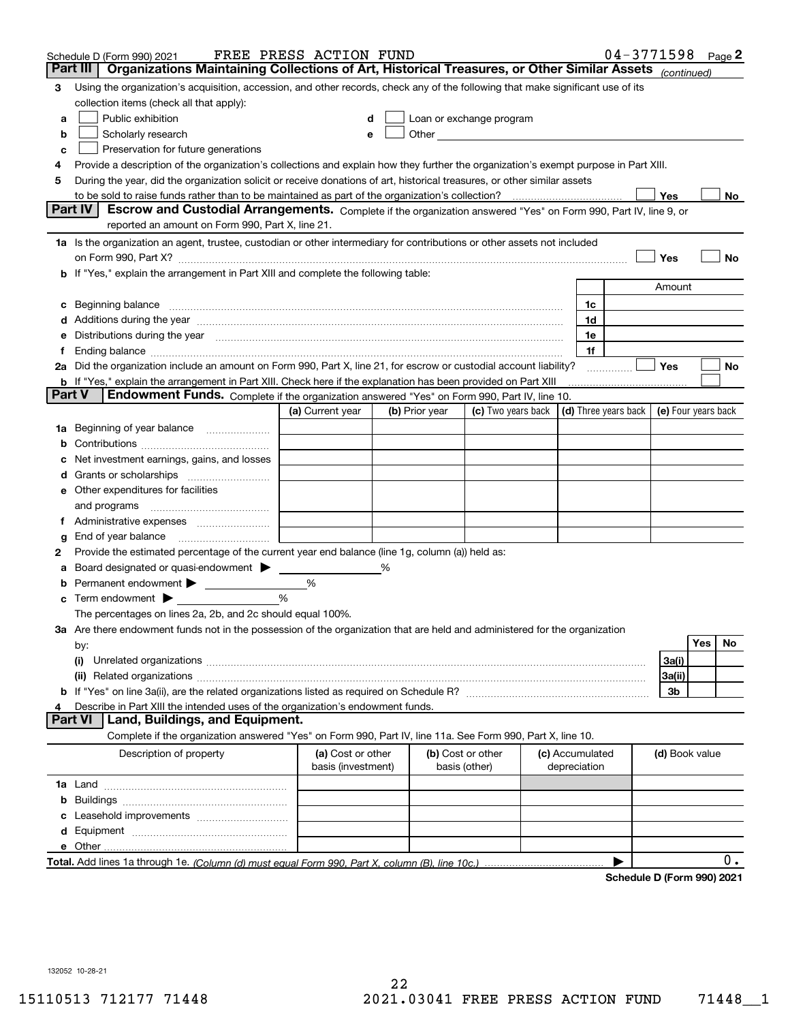|                                                                                    | Schedule D (Form 990) 2021                                                                                                                                                                                                     | FREE PRESS ACTION FUND |   |                |                                                                                                                                                                                                                                |  |                 | $04 - 3771598$ Page 2                |                     |     |    |
|------------------------------------------------------------------------------------|--------------------------------------------------------------------------------------------------------------------------------------------------------------------------------------------------------------------------------|------------------------|---|----------------|--------------------------------------------------------------------------------------------------------------------------------------------------------------------------------------------------------------------------------|--|-----------------|--------------------------------------|---------------------|-----|----|
|                                                                                    | Organizations Maintaining Collections of Art, Historical Treasures, or Other Similar Assets (continued)<br>Part III                                                                                                            |                        |   |                |                                                                                                                                                                                                                                |  |                 |                                      |                     |     |    |
| 3                                                                                  | Using the organization's acquisition, accession, and other records, check any of the following that make significant use of its                                                                                                |                        |   |                |                                                                                                                                                                                                                                |  |                 |                                      |                     |     |    |
|                                                                                    | collection items (check all that apply):                                                                                                                                                                                       |                        |   |                |                                                                                                                                                                                                                                |  |                 |                                      |                     |     |    |
| a                                                                                  | Public exhibition                                                                                                                                                                                                              |                        |   |                | Loan or exchange program                                                                                                                                                                                                       |  |                 |                                      |                     |     |    |
| b                                                                                  | Scholarly research                                                                                                                                                                                                             | е                      |   |                | Other experiences and the state of the state of the state of the state of the state of the state of the state of the state of the state of the state of the state of the state of the state of the state of the state of the s |  |                 |                                      |                     |     |    |
| с                                                                                  | Preservation for future generations                                                                                                                                                                                            |                        |   |                |                                                                                                                                                                                                                                |  |                 |                                      |                     |     |    |
| 4                                                                                  | Provide a description of the organization's collections and explain how they further the organization's exempt purpose in Part XIII.                                                                                           |                        |   |                |                                                                                                                                                                                                                                |  |                 |                                      |                     |     |    |
| 5                                                                                  | During the year, did the organization solicit or receive donations of art, historical treasures, or other similar assets                                                                                                       |                        |   |                |                                                                                                                                                                                                                                |  |                 |                                      |                     |     |    |
|                                                                                    | to be sold to raise funds rather than to be maintained as part of the organization's collection?                                                                                                                               |                        |   |                |                                                                                                                                                                                                                                |  |                 |                                      | Yes                 |     | No |
|                                                                                    | <b>Part IV</b><br>Escrow and Custodial Arrangements. Complete if the organization answered "Yes" on Form 990, Part IV, line 9, or                                                                                              |                        |   |                |                                                                                                                                                                                                                                |  |                 |                                      |                     |     |    |
|                                                                                    | reported an amount on Form 990, Part X, line 21.                                                                                                                                                                               |                        |   |                |                                                                                                                                                                                                                                |  |                 |                                      |                     |     |    |
|                                                                                    | 1a Is the organization an agent, trustee, custodian or other intermediary for contributions or other assets not included                                                                                                       |                        |   |                |                                                                                                                                                                                                                                |  |                 |                                      |                     |     |    |
|                                                                                    | on Form 990, Part X? [11] matter contracts and contracts and contracts are contracted and contracts are contracted and contract and contract of the contract of the contract of the contract of the contract of the contract o |                        |   |                |                                                                                                                                                                                                                                |  |                 |                                      | Yes                 |     | No |
| b If "Yes," explain the arrangement in Part XIII and complete the following table: |                                                                                                                                                                                                                                |                        |   |                |                                                                                                                                                                                                                                |  |                 |                                      |                     |     |    |
|                                                                                    |                                                                                                                                                                                                                                |                        |   |                |                                                                                                                                                                                                                                |  |                 |                                      | Amount              |     |    |
| c                                                                                  | Beginning balance measurements and contain a series of the series of the series of the series of the series of                                                                                                                 |                        |   |                |                                                                                                                                                                                                                                |  | 1c              |                                      |                     |     |    |
|                                                                                    | Additions during the year manufactured and an account of the state of the state of the state of the state of the state of the state of the state of the state of the state of the state of the state of the state of the state |                        |   |                |                                                                                                                                                                                                                                |  | 1d              |                                      |                     |     |    |
|                                                                                    | Distributions during the year manufactured and an account of the state of the state of the state of the state o                                                                                                                |                        |   |                |                                                                                                                                                                                                                                |  | 1e              |                                      |                     |     |    |
| Ť.,                                                                                | 2a Did the organization include an amount on Form 990, Part X, line 21, for escrow or custodial account liability?                                                                                                             |                        |   |                |                                                                                                                                                                                                                                |  | 1f              |                                      | Yes                 |     | No |
|                                                                                    | <b>b</b> If "Yes," explain the arrangement in Part XIII. Check here if the explanation has been provided on Part XIII                                                                                                          |                        |   |                |                                                                                                                                                                                                                                |  |                 | .                                    |                     |     |    |
| Part V                                                                             | Endowment Funds. Complete if the organization answered "Yes" on Form 990, Part IV, line 10.                                                                                                                                    |                        |   |                |                                                                                                                                                                                                                                |  |                 |                                      |                     |     |    |
|                                                                                    |                                                                                                                                                                                                                                | (a) Current year       |   | (b) Prior year | (c) Two years back                                                                                                                                                                                                             |  |                 | $\vert$ (d) Three years back $\vert$ | (e) Four years back |     |    |
| 1a                                                                                 | Beginning of year balance                                                                                                                                                                                                      |                        |   |                |                                                                                                                                                                                                                                |  |                 |                                      |                     |     |    |
|                                                                                    |                                                                                                                                                                                                                                |                        |   |                |                                                                                                                                                                                                                                |  |                 |                                      |                     |     |    |
|                                                                                    | Net investment earnings, gains, and losses                                                                                                                                                                                     |                        |   |                |                                                                                                                                                                                                                                |  |                 |                                      |                     |     |    |
| d                                                                                  |                                                                                                                                                                                                                                |                        |   |                |                                                                                                                                                                                                                                |  |                 |                                      |                     |     |    |
|                                                                                    | e Other expenditures for facilities                                                                                                                                                                                            |                        |   |                |                                                                                                                                                                                                                                |  |                 |                                      |                     |     |    |
|                                                                                    | and programs                                                                                                                                                                                                                   |                        |   |                |                                                                                                                                                                                                                                |  |                 |                                      |                     |     |    |
|                                                                                    |                                                                                                                                                                                                                                |                        |   |                |                                                                                                                                                                                                                                |  |                 |                                      |                     |     |    |
| g                                                                                  |                                                                                                                                                                                                                                |                        |   |                |                                                                                                                                                                                                                                |  |                 |                                      |                     |     |    |
| 2                                                                                  | Provide the estimated percentage of the current year end balance (line 1g, column (a)) held as:                                                                                                                                |                        |   |                |                                                                                                                                                                                                                                |  |                 |                                      |                     |     |    |
| а                                                                                  | Board designated or quasi-endowment                                                                                                                                                                                            |                        | ℅ |                |                                                                                                                                                                                                                                |  |                 |                                      |                     |     |    |
|                                                                                    | Permanent endowment > 1                                                                                                                                                                                                        | %                      |   |                |                                                                                                                                                                                                                                |  |                 |                                      |                     |     |    |
|                                                                                    | Term endowment $\blacktriangleright$                                                                                                                                                                                           | %                      |   |                |                                                                                                                                                                                                                                |  |                 |                                      |                     |     |    |
|                                                                                    | The percentages on lines 2a, 2b, and 2c should equal 100%.                                                                                                                                                                     |                        |   |                |                                                                                                                                                                                                                                |  |                 |                                      |                     |     |    |
|                                                                                    | 3a Are there endowment funds not in the possession of the organization that are held and administered for the organization                                                                                                     |                        |   |                |                                                                                                                                                                                                                                |  |                 |                                      |                     |     |    |
|                                                                                    | by:                                                                                                                                                                                                                            |                        |   |                |                                                                                                                                                                                                                                |  |                 |                                      |                     | Yes | No |
|                                                                                    | (i)                                                                                                                                                                                                                            |                        |   |                |                                                                                                                                                                                                                                |  |                 |                                      | 3a(i)               |     |    |
|                                                                                    |                                                                                                                                                                                                                                |                        |   |                |                                                                                                                                                                                                                                |  |                 |                                      | 3a(ii)              |     |    |
|                                                                                    |                                                                                                                                                                                                                                |                        |   |                |                                                                                                                                                                                                                                |  |                 |                                      | 3b                  |     |    |
|                                                                                    | Describe in Part XIII the intended uses of the organization's endowment funds.                                                                                                                                                 |                        |   |                |                                                                                                                                                                                                                                |  |                 |                                      |                     |     |    |
|                                                                                    | Land, Buildings, and Equipment.<br>Part VI                                                                                                                                                                                     |                        |   |                |                                                                                                                                                                                                                                |  |                 |                                      |                     |     |    |
|                                                                                    | Complete if the organization answered "Yes" on Form 990, Part IV, line 11a. See Form 990, Part X, line 10.                                                                                                                     |                        |   |                |                                                                                                                                                                                                                                |  |                 |                                      |                     |     |    |
|                                                                                    | Description of property                                                                                                                                                                                                        | (a) Cost or other      |   |                | (b) Cost or other                                                                                                                                                                                                              |  | (c) Accumulated |                                      | (d) Book value      |     |    |
|                                                                                    |                                                                                                                                                                                                                                | basis (investment)     |   |                | basis (other)                                                                                                                                                                                                                  |  | depreciation    |                                      |                     |     |    |
|                                                                                    |                                                                                                                                                                                                                                |                        |   |                |                                                                                                                                                                                                                                |  |                 |                                      |                     |     |    |
| b                                                                                  |                                                                                                                                                                                                                                |                        |   |                |                                                                                                                                                                                                                                |  |                 |                                      |                     |     |    |
|                                                                                    |                                                                                                                                                                                                                                |                        |   |                |                                                                                                                                                                                                                                |  |                 |                                      |                     |     |    |
|                                                                                    |                                                                                                                                                                                                                                |                        |   |                |                                                                                                                                                                                                                                |  |                 |                                      |                     |     |    |
|                                                                                    |                                                                                                                                                                                                                                |                        |   |                |                                                                                                                                                                                                                                |  |                 |                                      |                     |     |    |
|                                                                                    |                                                                                                                                                                                                                                |                        |   |                |                                                                                                                                                                                                                                |  |                 |                                      |                     |     | 0. |
|                                                                                    |                                                                                                                                                                                                                                |                        |   |                |                                                                                                                                                                                                                                |  |                 | Schedule D (Form 990) 2021           |                     |     |    |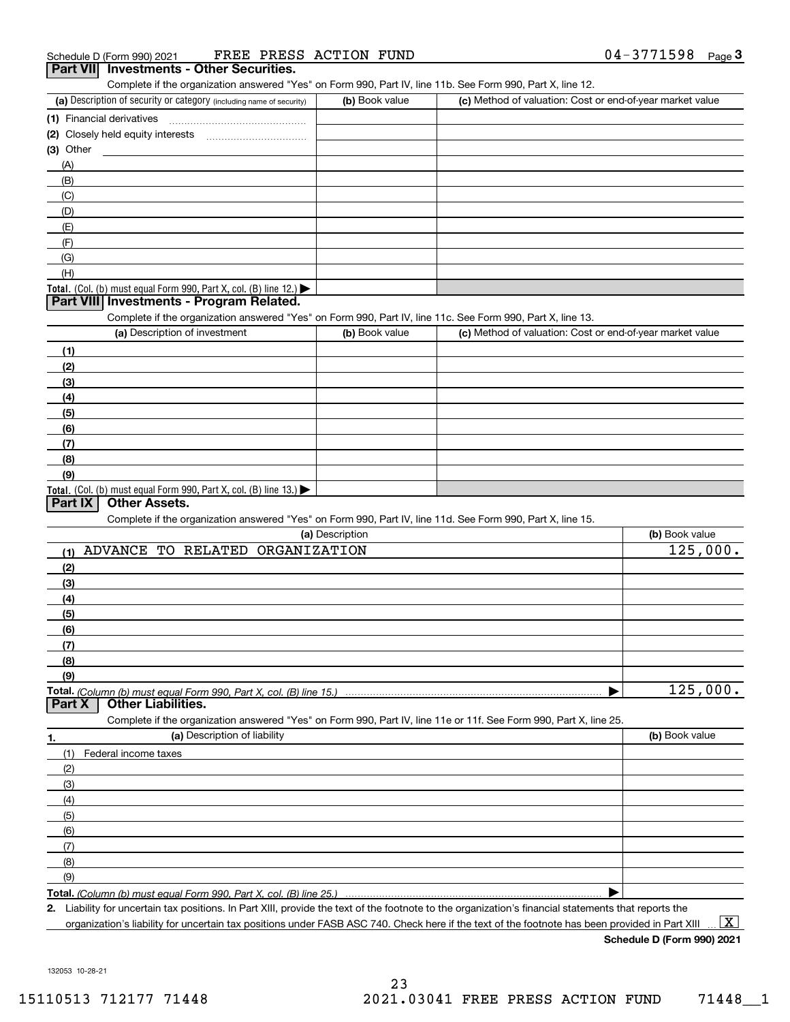| Schedule D (Form 990) 2021                      | FREE PRESS ACTION FUND |  | $04 - 3771598$ | Page |
|-------------------------------------------------|------------------------|--|----------------|------|
| <b>Part VII</b> Investments - Other Securities. |                        |  |                |      |

|                                                                                                                                               |                 | Complete if the organization answered "Yes" on Form 990, Part IV, line 11b. See Form 990, Part X, line 12. |                |
|-----------------------------------------------------------------------------------------------------------------------------------------------|-----------------|------------------------------------------------------------------------------------------------------------|----------------|
| (a) Description of security or category (including name of security)                                                                          | (b) Book value  | (c) Method of valuation: Cost or end-of-year market value                                                  |                |
| (1) Financial derivatives                                                                                                                     |                 |                                                                                                            |                |
| (2) Closely held equity interests                                                                                                             |                 |                                                                                                            |                |
| $(3)$ Other                                                                                                                                   |                 |                                                                                                            |                |
| (A)                                                                                                                                           |                 |                                                                                                            |                |
| (B)                                                                                                                                           |                 |                                                                                                            |                |
| (C)                                                                                                                                           |                 |                                                                                                            |                |
| (D)                                                                                                                                           |                 |                                                                                                            |                |
| (E)                                                                                                                                           |                 |                                                                                                            |                |
| (F)                                                                                                                                           |                 |                                                                                                            |                |
| (G)                                                                                                                                           |                 |                                                                                                            |                |
| (H)                                                                                                                                           |                 |                                                                                                            |                |
| Total. (Col. (b) must equal Form 990, Part X, col. (B) line 12.)                                                                              |                 |                                                                                                            |                |
| Part VIII Investments - Program Related.                                                                                                      |                 |                                                                                                            |                |
| Complete if the organization answered "Yes" on Form 990, Part IV, line 11c. See Form 990, Part X, line 13.                                    |                 |                                                                                                            |                |
| (a) Description of investment                                                                                                                 | (b) Book value  | (c) Method of valuation: Cost or end-of-year market value                                                  |                |
| (1)                                                                                                                                           |                 |                                                                                                            |                |
| (2)                                                                                                                                           |                 |                                                                                                            |                |
| (3)                                                                                                                                           |                 |                                                                                                            |                |
| (4)                                                                                                                                           |                 |                                                                                                            |                |
| (5)                                                                                                                                           |                 |                                                                                                            |                |
| (6)                                                                                                                                           |                 |                                                                                                            |                |
| (7)                                                                                                                                           |                 |                                                                                                            |                |
| (8)                                                                                                                                           |                 |                                                                                                            |                |
| (9)                                                                                                                                           |                 |                                                                                                            |                |
| <b>Other Assets.</b><br>Part IX<br>Complete if the organization answered "Yes" on Form 990, Part IV, line 11d. See Form 990, Part X, line 15. | (a) Description |                                                                                                            | (b) Book value |
| ADVANCE TO RELATED ORGANIZATION<br>(1)                                                                                                        |                 |                                                                                                            | 125,000.       |
| (2)                                                                                                                                           |                 |                                                                                                            |                |
| (3)                                                                                                                                           |                 |                                                                                                            |                |
|                                                                                                                                               |                 |                                                                                                            |                |
|                                                                                                                                               |                 |                                                                                                            |                |
| (4)                                                                                                                                           |                 |                                                                                                            |                |
| (5)                                                                                                                                           |                 |                                                                                                            |                |
| (6)                                                                                                                                           |                 |                                                                                                            |                |
| (7)                                                                                                                                           |                 |                                                                                                            |                |
| (8)                                                                                                                                           |                 |                                                                                                            |                |
| (9)<br><b>Other Liabilities.</b>                                                                                                              |                 |                                                                                                            | 125,000.       |
| Complete if the organization answered "Yes" on Form 990, Part IV, line 11e or 11f. See Form 990, Part X, line 25.                             |                 |                                                                                                            |                |
| (a) Description of liability                                                                                                                  |                 |                                                                                                            | (b) Book value |
| (1)<br>Federal income taxes                                                                                                                   |                 |                                                                                                            |                |
| (2)                                                                                                                                           |                 |                                                                                                            |                |
| (3)                                                                                                                                           |                 |                                                                                                            |                |
| (4)                                                                                                                                           |                 |                                                                                                            |                |
| (5)                                                                                                                                           |                 |                                                                                                            |                |
| (6)                                                                                                                                           |                 |                                                                                                            |                |
|                                                                                                                                               |                 |                                                                                                            |                |
| Total. (Column (b) must equal Form 990, Part X, col. (B) line 15.)<br>Part X<br>1.<br>(7)                                                     |                 |                                                                                                            |                |
| (8)<br>(9)                                                                                                                                    |                 |                                                                                                            |                |

**2.** Liability for uncertain tax positions. In Part XIII, provide the text of the footnote to the organization's financial statements that reports the

organization's liability for uncertain tax positions under FASB ASC 740. Check here if the text of the footnote has been provided in Part XIII

**Schedule D (Form 990) 2021**

 $\boxed{\text{X}}$ 

132053 10-28-21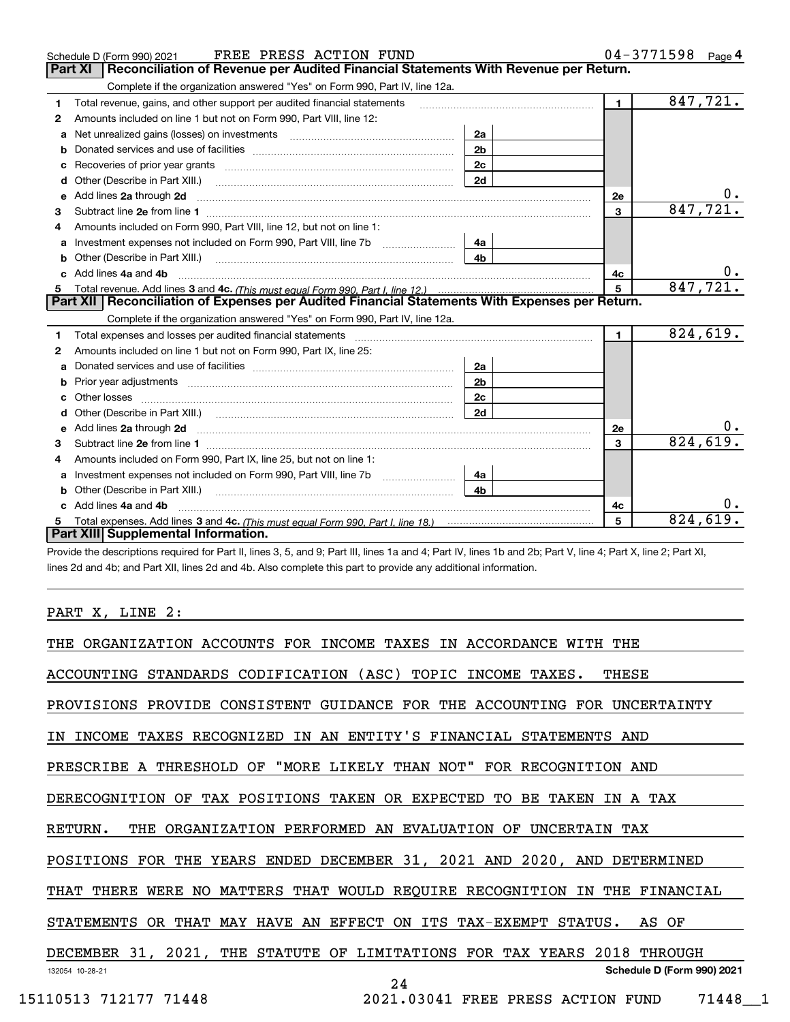|              | FREE PRESS ACTION FUND<br>Schedule D (Form 990) 2021                                                                |                | $04 - 3771598$ Page 4 |                         |
|--------------|---------------------------------------------------------------------------------------------------------------------|----------------|-----------------------|-------------------------|
|              | Reconciliation of Revenue per Audited Financial Statements With Revenue per Return.<br><b>Part XI</b>               |                |                       |                         |
|              | Complete if the organization answered "Yes" on Form 990, Part IV, line 12a.                                         |                |                       |                         |
| 1            | Total revenue, gains, and other support per audited financial statements                                            | $\mathbf{1}$   | 847,721.              |                         |
| $\mathbf{2}$ | Amounts included on line 1 but not on Form 990, Part VIII, line 12:                                                 |                |                       |                         |
| a            | Net unrealized gains (losses) on investments [11] matter contracts and the unrealized gains (losses) on investments |                |                       |                         |
| b            |                                                                                                                     | 2 <sub>b</sub> |                       |                         |
| c            |                                                                                                                     | 2c             |                       |                         |
| d            | Other (Describe in Part XIII.)                                                                                      | 2d             |                       |                         |
| e            | Add lines 2a through 2d                                                                                             |                | 2e                    |                         |
| 3            |                                                                                                                     |                | 3                     | 847,721                 |
|              | Amounts included on Form 990, Part VIII, line 12, but not on line 1:                                                |                |                       |                         |
| a            |                                                                                                                     | 4a             |                       |                         |
|              | <b>b</b> Other (Describe in Part XIII.)                                                                             | 4b             |                       |                         |
|              | Add lines 4a and 4b                                                                                                 |                | 4с                    |                         |
| 5            |                                                                                                                     | 5              | 847,721               |                         |
|              | Part XII   Reconciliation of Expenses per Audited Financial Statements With Expenses per Return.                    |                |                       |                         |
|              | Complete if the organization answered "Yes" on Form 990, Part IV, line 12a.                                         |                |                       |                         |
| 1.           |                                                                                                                     |                | $\mathbf{1}$          | 824,619.                |
| 2            | Amounts included on line 1 but not on Form 990, Part IX, line 25:                                                   |                |                       |                         |
| a            |                                                                                                                     | 2a             |                       |                         |
| b            |                                                                                                                     | 2 <sub>b</sub> |                       |                         |
| c            |                                                                                                                     | 2c             |                       |                         |
|              |                                                                                                                     | 2d             |                       |                         |
|              |                                                                                                                     |                | 2e                    |                         |
| 3            |                                                                                                                     |                | 3                     | 824,619.                |
| 4            | Amounts included on Form 990, Part IX, line 25, but not on line 1:                                                  |                |                       |                         |
| a            |                                                                                                                     | 4a             |                       |                         |
| b            |                                                                                                                     | 4b             |                       |                         |
|              | Add lines 4a and 4b                                                                                                 |                | 4c                    |                         |
|              |                                                                                                                     |                | 5                     | $\overline{824}$ , 619. |
|              | Part XIII Supplemental Information.                                                                                 |                |                       |                         |

Provide the descriptions required for Part II, lines 3, 5, and 9; Part III, lines 1a and 4; Part IV, lines 1b and 2b; Part V, line 4; Part X, line 2; Part XI, lines 2d and 4b; and Part XII, lines 2d and 4b. Also complete this part to provide any additional information.

#### PART X, LINE 2:

| THE ORGANIZATION ACCOUNTS FOR INCOME TAXES IN ACCORDANCE WITH THE           |
|-----------------------------------------------------------------------------|
| ACCOUNTING STANDARDS CODIFICATION (ASC) TOPIC INCOME TAXES.<br>THESE        |
| PROVISIONS PROVIDE CONSISTENT GUIDANCE FOR THE ACCOUNTING FOR UNCERTAINTY   |
| IN INCOME TAXES RECOGNIZED IN AN ENTITY'S FINANCIAL STATEMENTS AND          |
| PRESCRIBE A THRESHOLD OF "MORE LIKELY THAN NOT" FOR RECOGNITION AND         |
| DERECOGNITION OF TAX POSITIONS TAKEN OR EXPECTED TO BE TAKEN IN A TAX       |
| RETURN.<br>THE ORGANIZATION PERFORMED AN EVALUATION OF UNCERTAIN TAX        |
| POSITIONS FOR THE YEARS ENDED DECEMBER 31, 2021 AND 2020, AND DETERMINED    |
| THAT THERE WERE NO MATTERS THAT WOULD REQUIRE RECOGNITION IN THE FINANCIAL  |
| STATEMENTS OR THAT MAY HAVE AN EFFECT ON ITS TAX-EXEMPT STATUS.<br>AS OF    |
| DECEMBER 31, 2021, THE STATUTE OF LIMITATIONS FOR TAX YEARS 2018<br>THROUGH |
| Schedule D (Form 990) 2021<br>132054 10-28-21<br>24                         |
| 15110513 712177 71448<br>2021.03041 FREE PRESS ACTION FUND<br>71448 1       |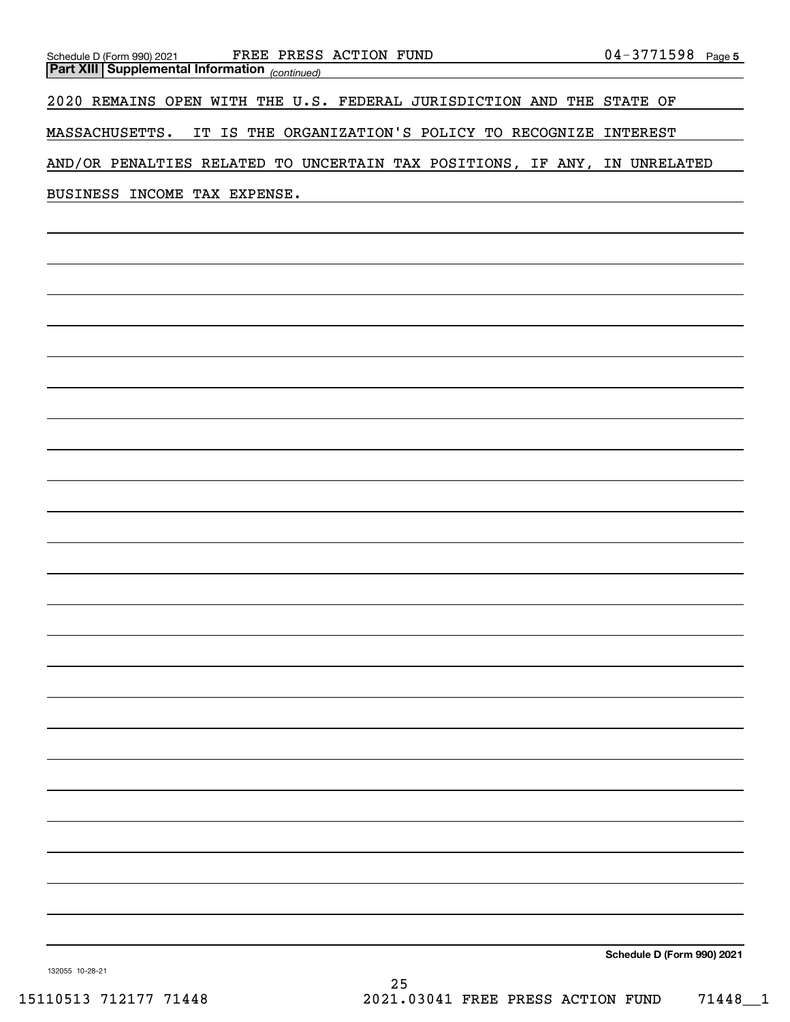| Schedule D (Form 990) 2021 FREE PRESS ACTION FUND<br><b>Part XIII Supplemental Information</b> (continued) | $04 - 3771598$ Page 5      |
|------------------------------------------------------------------------------------------------------------|----------------------------|
| 2020 REMAINS OPEN WITH THE U.S. FEDERAL JURISDICTION AND THE STATE OF                                      |                            |
| MASSACHUSETTS. IT IS THE ORGANIZATION'S POLICY TO RECOGNIZE INTEREST                                       |                            |
| AND/OR PENALTIES RELATED TO UNCERTAIN TAX POSITIONS, IF ANY, IN UNRELATED                                  |                            |
| BUSINESS INCOME TAX EXPENSE.                                                                               |                            |
|                                                                                                            |                            |
|                                                                                                            |                            |
|                                                                                                            |                            |
|                                                                                                            |                            |
|                                                                                                            |                            |
|                                                                                                            |                            |
|                                                                                                            |                            |
|                                                                                                            |                            |
|                                                                                                            |                            |
|                                                                                                            |                            |
|                                                                                                            |                            |
|                                                                                                            |                            |
|                                                                                                            |                            |
|                                                                                                            |                            |
|                                                                                                            |                            |
|                                                                                                            |                            |
|                                                                                                            |                            |
|                                                                                                            |                            |
|                                                                                                            |                            |
|                                                                                                            |                            |
|                                                                                                            |                            |
|                                                                                                            |                            |
|                                                                                                            | Schedule D (Form 990) 2021 |

132055 10-28-21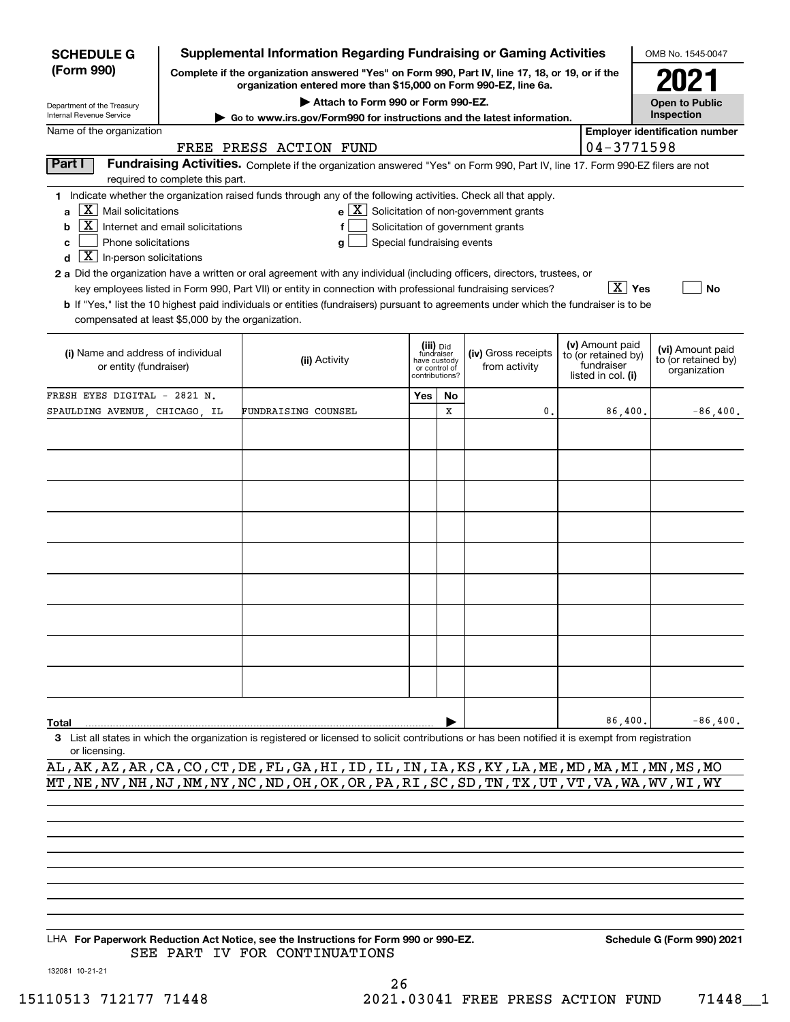| <b>SCHEDULE G</b>                                                                                                                                                                 |                                  | <b>Supplemental Information Regarding Fundraising or Gaming Activities</b>                                                                                                                                                                                                                                                                                                                                                                                                                                                               |                                      |    |                                                                                                              |                                                         |                        | OMB No. 1545-0047                     |  |
|-----------------------------------------------------------------------------------------------------------------------------------------------------------------------------------|----------------------------------|------------------------------------------------------------------------------------------------------------------------------------------------------------------------------------------------------------------------------------------------------------------------------------------------------------------------------------------------------------------------------------------------------------------------------------------------------------------------------------------------------------------------------------------|--------------------------------------|----|--------------------------------------------------------------------------------------------------------------|---------------------------------------------------------|------------------------|---------------------------------------|--|
| (Form 990)<br>Complete if the organization answered "Yes" on Form 990, Part IV, line 17, 18, or 19, or if the<br>organization entered more than \$15,000 on Form 990-EZ, line 6a. |                                  |                                                                                                                                                                                                                                                                                                                                                                                                                                                                                                                                          |                                      |    |                                                                                                              |                                                         |                        | 2021                                  |  |
| Department of the Treasury                                                                                                                                                        |                                  | Attach to Form 990 or Form 990-EZ.                                                                                                                                                                                                                                                                                                                                                                                                                                                                                                       |                                      |    |                                                                                                              |                                                         |                        | <b>Open to Public</b>                 |  |
| Internal Revenue Service                                                                                                                                                          |                                  | Go to www.irs.gov/Form990 for instructions and the latest information.                                                                                                                                                                                                                                                                                                                                                                                                                                                                   |                                      |    |                                                                                                              |                                                         |                        | Inspection                            |  |
| Name of the organization                                                                                                                                                          |                                  |                                                                                                                                                                                                                                                                                                                                                                                                                                                                                                                                          |                                      |    |                                                                                                              |                                                         |                        | <b>Employer identification number</b> |  |
|                                                                                                                                                                                   |                                  | FREE PRESS ACTION FUND                                                                                                                                                                                                                                                                                                                                                                                                                                                                                                                   |                                      |    |                                                                                                              |                                                         | 04-3771598             |                                       |  |
| Part I                                                                                                                                                                            | required to complete this part.  | Fundraising Activities. Complete if the organization answered "Yes" on Form 990, Part IV, line 17. Form 990-EZ filers are not                                                                                                                                                                                                                                                                                                                                                                                                            |                                      |    |                                                                                                              |                                                         |                        |                                       |  |
| $X$   Mail solicitations<br>a<br>b<br>Phone solicitations<br>c<br>$\overline{\mathbf{X}}$ In-person solicitations<br>d<br>compensated at least \$5,000 by the organization.       | Internet and email solicitations | 1 Indicate whether the organization raised funds through any of the following activities. Check all that apply.<br>Special fundraising events<br>g<br>2 a Did the organization have a written or oral agreement with any individual (including officers, directors, trustees, or<br>key employees listed in Form 990, Part VII) or entity in connection with professional fundraising services?<br>b If "Yes," list the 10 highest paid individuals or entities (fundraisers) pursuant to agreements under which the fundraiser is to be |                                      |    | $\mathbf{e}$ $\boxed{\mathbf{X}}$ Solicitation of non-government grants<br>Solicitation of government grants |                                                         | $\boxed{\text{X}}$ Yes | <b>No</b>                             |  |
| (iii) Did<br>fundraiser<br>(i) Name and address of individual<br>(ii) Activity<br>have custody<br>or entity (fundraiser)<br>or control of<br>contributions?                       |                                  |                                                                                                                                                                                                                                                                                                                                                                                                                                                                                                                                          | (iv) Gross receipts<br>from activity |    | (v) Amount paid<br>to (or retained by)<br>fundraiser<br>listed in col. (i)                                   | (vi) Amount paid<br>to (or retained by)<br>organization |                        |                                       |  |
| FRESH EYES DIGITAL - 2821 N.                                                                                                                                                      |                                  |                                                                                                                                                                                                                                                                                                                                                                                                                                                                                                                                          | Yes                                  | No |                                                                                                              |                                                         |                        |                                       |  |
| SPAULDING AVENUE, CHICAGO, IL                                                                                                                                                     |                                  | FUNDRAISING COUNSEL                                                                                                                                                                                                                                                                                                                                                                                                                                                                                                                      |                                      | X  | 0                                                                                                            |                                                         | 86,400.                | $-86,400.$                            |  |
|                                                                                                                                                                                   |                                  |                                                                                                                                                                                                                                                                                                                                                                                                                                                                                                                                          |                                      |    |                                                                                                              |                                                         |                        |                                       |  |
|                                                                                                                                                                                   |                                  |                                                                                                                                                                                                                                                                                                                                                                                                                                                                                                                                          |                                      |    |                                                                                                              |                                                         |                        |                                       |  |
|                                                                                                                                                                                   |                                  |                                                                                                                                                                                                                                                                                                                                                                                                                                                                                                                                          |                                      |    |                                                                                                              |                                                         |                        |                                       |  |
|                                                                                                                                                                                   |                                  |                                                                                                                                                                                                                                                                                                                                                                                                                                                                                                                                          |                                      |    |                                                                                                              |                                                         |                        |                                       |  |
|                                                                                                                                                                                   |                                  |                                                                                                                                                                                                                                                                                                                                                                                                                                                                                                                                          |                                      |    |                                                                                                              |                                                         |                        |                                       |  |
|                                                                                                                                                                                   |                                  |                                                                                                                                                                                                                                                                                                                                                                                                                                                                                                                                          |                                      |    |                                                                                                              |                                                         |                        |                                       |  |
|                                                                                                                                                                                   |                                  |                                                                                                                                                                                                                                                                                                                                                                                                                                                                                                                                          |                                      |    |                                                                                                              |                                                         |                        |                                       |  |
|                                                                                                                                                                                   |                                  |                                                                                                                                                                                                                                                                                                                                                                                                                                                                                                                                          |                                      |    |                                                                                                              |                                                         |                        |                                       |  |
|                                                                                                                                                                                   |                                  |                                                                                                                                                                                                                                                                                                                                                                                                                                                                                                                                          |                                      |    |                                                                                                              |                                                         |                        |                                       |  |
|                                                                                                                                                                                   |                                  |                                                                                                                                                                                                                                                                                                                                                                                                                                                                                                                                          |                                      |    |                                                                                                              |                                                         |                        |                                       |  |
| Total                                                                                                                                                                             |                                  |                                                                                                                                                                                                                                                                                                                                                                                                                                                                                                                                          |                                      |    |                                                                                                              |                                                         | 86,400.                | $-86,400.$                            |  |
| or licensing.                                                                                                                                                                     |                                  | 3 List all states in which the organization is registered or licensed to solicit contributions or has been notified it is exempt from registration<br>או והע זה מה שם האו הוא הוא היו עם את היה לא ידי הוא היה שם היה מה שם של היה שה זה                                                                                                                                                                                                                                                                                                 |                                      |    |                                                                                                              |                                                         |                        |                                       |  |

AL,AK,AZ,AR,CA,CO,CT,DE,FL,GA,HI,ID,IL,IN,IA,KS,KY,LA,ME,MD,MA,MI,MN,MS,MO MT, NE, NV, NH, NJ, NM, NY, NC, ND, OH, OK, OR, PA, RI, SC, SD, TN, TX, UT, VT, VA, WA, WV, WI, WY

LHA For Paperwork Reduction Act Notice, see the Instructions for Form 990 or 990-EZ. Schedule G (Form 990) 2021 SEE PART IV FOR CONTINUATIONS

132081 10-21-21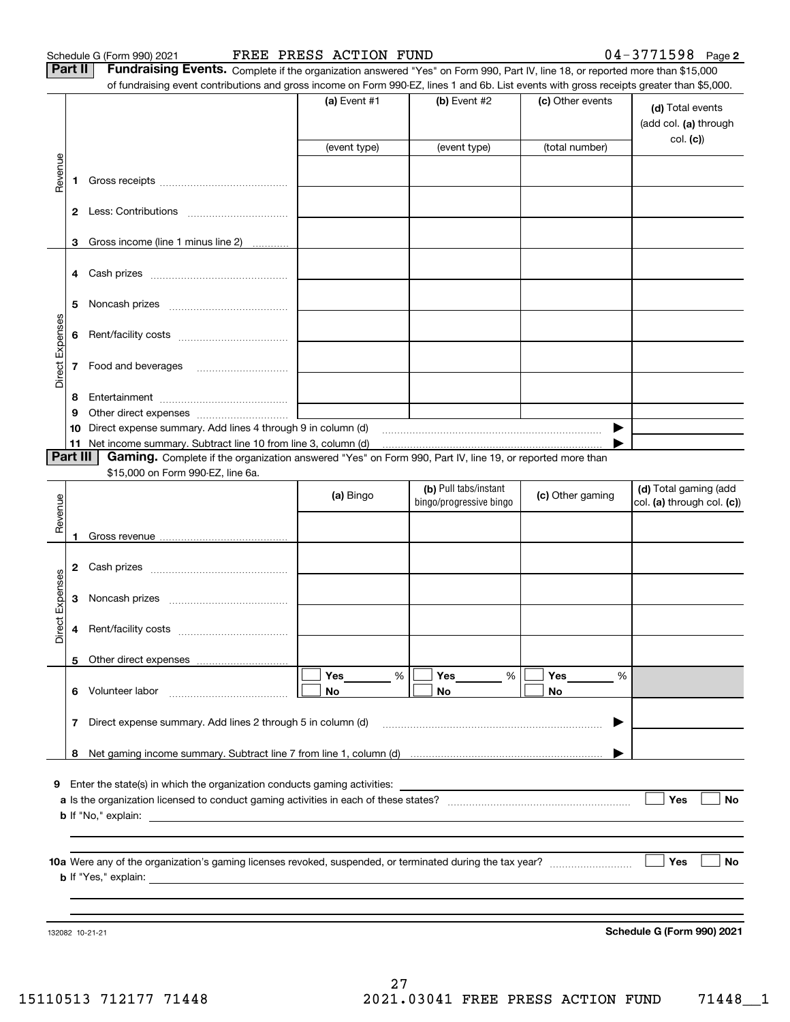Schedule G (Form 990) 2021 **FREE PRESS ACTION FUND** 0 4-3 7 7 1 5 9 8 Page

**Part II** | Fundraising Events. Complete if the organization answered "Yes" on Form 990, Part IV, line 18, or reported more than \$15,000

|                 |                | of fundraising event contributions and gross income on Form 990-EZ, lines 1 and 6b. List events with gross receipts greater than \$5,000. |              |                         |                  |                                           |
|-----------------|----------------|-------------------------------------------------------------------------------------------------------------------------------------------|--------------|-------------------------|------------------|-------------------------------------------|
|                 |                |                                                                                                                                           | (a) Event #1 | $(b)$ Event #2          | (c) Other events | (d) Total events<br>(add col. (a) through |
|                 |                |                                                                                                                                           | (event type) | (event type)            | (total number)   | col. (c)                                  |
|                 |                |                                                                                                                                           |              |                         |                  |                                           |
| Revenue         | 1              |                                                                                                                                           |              |                         |                  |                                           |
|                 |                |                                                                                                                                           |              |                         |                  |                                           |
|                 | 3              | Gross income (line 1 minus line 2)                                                                                                        |              |                         |                  |                                           |
|                 |                |                                                                                                                                           |              |                         |                  |                                           |
|                 | 5              |                                                                                                                                           |              |                         |                  |                                           |
|                 | 6              |                                                                                                                                           |              |                         |                  |                                           |
| Direct Expenses | 7              |                                                                                                                                           |              |                         |                  |                                           |
|                 | 8              |                                                                                                                                           |              |                         |                  |                                           |
|                 | 9              |                                                                                                                                           |              |                         |                  |                                           |
|                 | 10             | Direct expense summary. Add lines 4 through 9 in column (d) matures and the content of the summan content of the                          |              |                         | ▶                |                                           |
|                 | 11<br>Part III | Gaming. Complete if the organization answered "Yes" on Form 990, Part IV, line 19, or reported more than                                  |              |                         |                  |                                           |
|                 |                | \$15,000 on Form 990-EZ, line 6a.                                                                                                         |              |                         |                  |                                           |
|                 |                |                                                                                                                                           |              | (b) Pull tabs/instant   |                  | (d) Total gaming (add                     |
| Revenue         |                |                                                                                                                                           | (a) Bingo    | bingo/progressive bingo | (c) Other gaming | col. (a) through col. (c))                |
|                 |                |                                                                                                                                           |              |                         |                  |                                           |
|                 |                |                                                                                                                                           |              |                         |                  |                                           |
|                 | 2              |                                                                                                                                           |              |                         |                  |                                           |
| Direct Expenses | 3              |                                                                                                                                           |              |                         |                  |                                           |
|                 | 4              |                                                                                                                                           |              |                         |                  |                                           |
|                 |                |                                                                                                                                           |              |                         |                  |                                           |
|                 |                |                                                                                                                                           | Yes<br>%     | <b>Yes</b><br>$\%$      | <b>Yes</b><br>%  |                                           |
|                 |                | 6 Volunteer labor                                                                                                                         | No           | No                      | No               |                                           |
|                 | 7              | Direct expense summary. Add lines 2 through 5 in column (d)                                                                               |              |                         | ▶                |                                           |
|                 | 8              |                                                                                                                                           |              |                         |                  |                                           |
|                 |                | <b>9</b> Enter the state(s) in which the organization conducts gaming activities:                                                         |              |                         |                  |                                           |
|                 |                |                                                                                                                                           |              |                         |                  | Yes<br><b>No</b>                          |
|                 |                |                                                                                                                                           |              |                         |                  |                                           |
|                 |                |                                                                                                                                           |              |                         |                  |                                           |
|                 |                |                                                                                                                                           |              |                         |                  | Yes<br>No                                 |
|                 |                |                                                                                                                                           |              |                         |                  |                                           |
|                 |                |                                                                                                                                           |              |                         |                  |                                           |
|                 |                | 132082 10-21-21                                                                                                                           |              |                         |                  | Schedule G (Form 990) 2021                |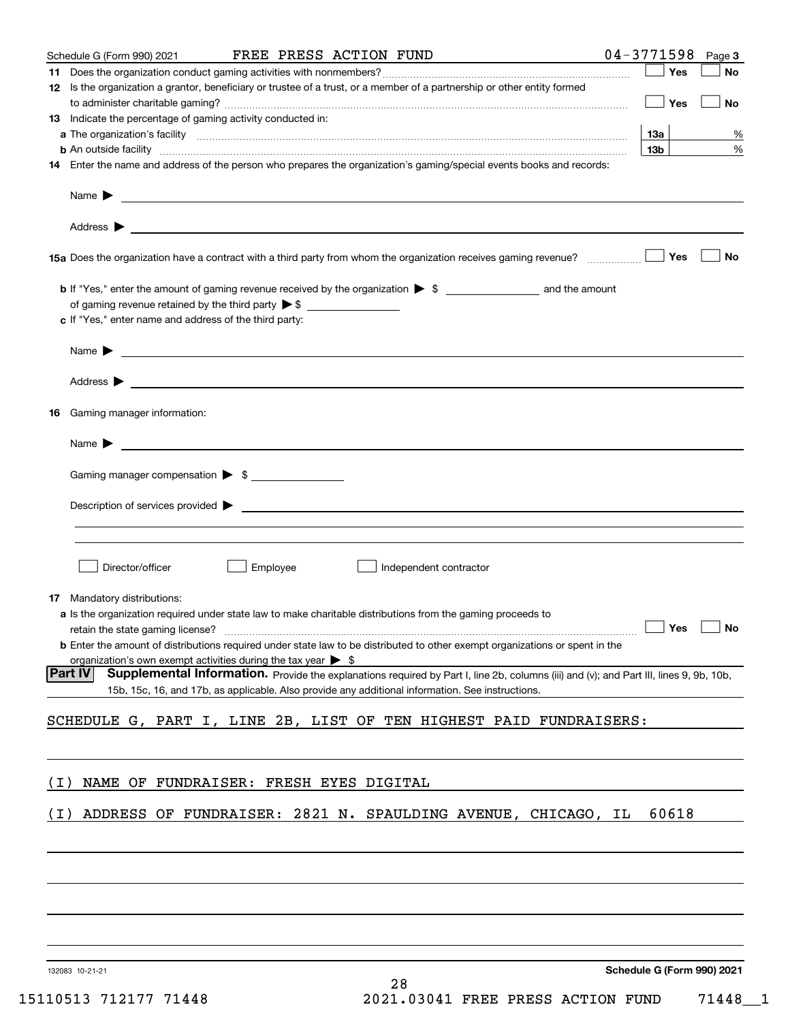|       | Schedule G (Form 990) 2021                                                                                                   |          | FREE PRESS ACTION FUND                                                                                                                                                                                                                    | $04 - 3771598$<br>Page 3   |
|-------|------------------------------------------------------------------------------------------------------------------------------|----------|-------------------------------------------------------------------------------------------------------------------------------------------------------------------------------------------------------------------------------------------|----------------------------|
|       |                                                                                                                              |          |                                                                                                                                                                                                                                           | Yes<br>No                  |
|       |                                                                                                                              |          | 12 Is the organization a grantor, beneficiary or trustee of a trust, or a member of a partnership or other entity formed                                                                                                                  |                            |
|       |                                                                                                                              |          |                                                                                                                                                                                                                                           | Yes<br>No                  |
|       | <b>13</b> Indicate the percentage of gaming activity conducted in:                                                           |          |                                                                                                                                                                                                                                           |                            |
|       |                                                                                                                              |          |                                                                                                                                                                                                                                           | 13a<br>%                   |
|       |                                                                                                                              |          | <b>b</b> An outside facility <i>www.communically.communically.communically.communically.communically.communically.communically.communically.communically.communically.communically.communically.communically.communically.communicall</i> | 13 <sub>b</sub><br>$\%$    |
|       |                                                                                                                              |          | 14 Enter the name and address of the person who prepares the organization's gaming/special events books and records:                                                                                                                      |                            |
|       |                                                                                                                              |          |                                                                                                                                                                                                                                           |                            |
|       |                                                                                                                              |          | Name $\triangleright$ $\underbrace{\qquad \qquad }$                                                                                                                                                                                       |                            |
|       |                                                                                                                              |          |                                                                                                                                                                                                                                           |                            |
|       |                                                                                                                              |          |                                                                                                                                                                                                                                           |                            |
|       |                                                                                                                              |          |                                                                                                                                                                                                                                           |                            |
|       |                                                                                                                              |          | 15a Does the organization have a contract with a third party from whom the organization receives gaming revenue?                                                                                                                          | Yes<br><b>No</b>           |
|       |                                                                                                                              |          |                                                                                                                                                                                                                                           |                            |
|       |                                                                                                                              |          |                                                                                                                                                                                                                                           |                            |
|       | of gaming revenue retained by the third party $\triangleright$ \$ $\_\_\_\_\_\_\_\_\_\_\_\_\_\_\_\_\_\_\_\_\_\_\_\_\_\_\_\_$ |          |                                                                                                                                                                                                                                           |                            |
|       | c If "Yes," enter name and address of the third party:                                                                       |          |                                                                                                                                                                                                                                           |                            |
|       |                                                                                                                              |          |                                                                                                                                                                                                                                           |                            |
|       |                                                                                                                              |          | Name $\blacktriangleright$ $\blacksquare$                                                                                                                                                                                                 |                            |
|       |                                                                                                                              |          |                                                                                                                                                                                                                                           |                            |
|       |                                                                                                                              |          |                                                                                                                                                                                                                                           |                            |
|       |                                                                                                                              |          |                                                                                                                                                                                                                                           |                            |
|       | 16 Gaming manager information:                                                                                               |          |                                                                                                                                                                                                                                           |                            |
|       |                                                                                                                              |          |                                                                                                                                                                                                                                           |                            |
|       |                                                                                                                              |          | Name $\triangleright$ $\square$                                                                                                                                                                                                           |                            |
|       |                                                                                                                              |          |                                                                                                                                                                                                                                           |                            |
|       | Gaming manager compensation > \$                                                                                             |          |                                                                                                                                                                                                                                           |                            |
|       |                                                                                                                              |          |                                                                                                                                                                                                                                           |                            |
|       |                                                                                                                              |          |                                                                                                                                                                                                                                           |                            |
|       |                                                                                                                              |          |                                                                                                                                                                                                                                           |                            |
|       |                                                                                                                              |          |                                                                                                                                                                                                                                           |                            |
|       |                                                                                                                              |          |                                                                                                                                                                                                                                           |                            |
|       | Director/officer                                                                                                             | Employee | Independent contractor                                                                                                                                                                                                                    |                            |
|       |                                                                                                                              |          |                                                                                                                                                                                                                                           |                            |
|       | <b>17</b> Mandatory distributions:                                                                                           |          |                                                                                                                                                                                                                                           |                            |
|       |                                                                                                                              |          | a Is the organization required under state law to make charitable distributions from the gaming proceeds to                                                                                                                               |                            |
|       |                                                                                                                              |          | retain the state gaming license? $\Box$ No                                                                                                                                                                                                |                            |
|       |                                                                                                                              |          | <b>b</b> Enter the amount of distributions required under state law to be distributed to other exempt organizations or spent in the                                                                                                       |                            |
|       | organization's own exempt activities during the tax year $\triangleright$ \$                                                 |          |                                                                                                                                                                                                                                           |                            |
|       | Part IV                                                                                                                      |          | Supplemental Information. Provide the explanations required by Part I, line 2b, columns (iii) and (v); and Part III, lines 9, 9b, 10b,                                                                                                    |                            |
|       |                                                                                                                              |          | 15b, 15c, 16, and 17b, as applicable. Also provide any additional information. See instructions.                                                                                                                                          |                            |
|       |                                                                                                                              |          |                                                                                                                                                                                                                                           |                            |
|       |                                                                                                                              |          | SCHEDULE G, PART I, LINE 2B, LIST OF TEN HIGHEST PAID FUNDRAISERS:                                                                                                                                                                        |                            |
|       |                                                                                                                              |          |                                                                                                                                                                                                                                           |                            |
|       |                                                                                                                              |          |                                                                                                                                                                                                                                           |                            |
| ( I ) | NAME OF FUNDRAISER: FRESH EYES DIGITAL                                                                                       |          |                                                                                                                                                                                                                                           |                            |
|       |                                                                                                                              |          |                                                                                                                                                                                                                                           |                            |
| ( I ) |                                                                                                                              |          | ADDRESS OF FUNDRAISER: 2821 N. SPAULDING AVENUE, CHICAGO, IL                                                                                                                                                                              | 60618                      |
|       |                                                                                                                              |          |                                                                                                                                                                                                                                           |                            |
|       |                                                                                                                              |          |                                                                                                                                                                                                                                           |                            |
|       |                                                                                                                              |          |                                                                                                                                                                                                                                           |                            |
|       |                                                                                                                              |          |                                                                                                                                                                                                                                           |                            |
|       |                                                                                                                              |          |                                                                                                                                                                                                                                           |                            |
|       |                                                                                                                              |          |                                                                                                                                                                                                                                           |                            |
|       |                                                                                                                              |          |                                                                                                                                                                                                                                           |                            |
|       |                                                                                                                              |          |                                                                                                                                                                                                                                           |                            |
|       |                                                                                                                              |          |                                                                                                                                                                                                                                           |                            |
|       |                                                                                                                              |          |                                                                                                                                                                                                                                           | Schodule C (Form 000) 2024 |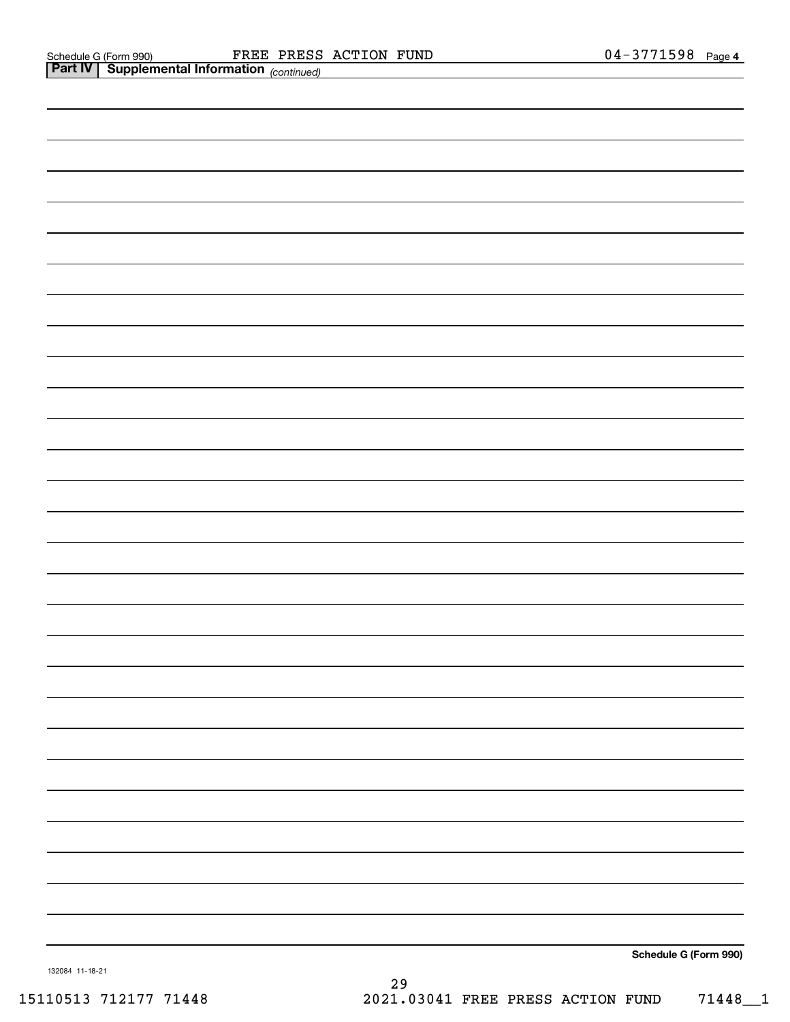|                 | <b>Part IV   Supplemental Information</b> (continued) |  |
|-----------------|-------------------------------------------------------|--|
|                 |                                                       |  |
|                 |                                                       |  |
|                 |                                                       |  |
|                 |                                                       |  |
|                 |                                                       |  |
|                 |                                                       |  |
|                 |                                                       |  |
|                 |                                                       |  |
|                 |                                                       |  |
|                 |                                                       |  |
|                 |                                                       |  |
|                 |                                                       |  |
|                 |                                                       |  |
|                 |                                                       |  |
|                 |                                                       |  |
|                 |                                                       |  |
|                 |                                                       |  |
|                 |                                                       |  |
|                 |                                                       |  |
|                 |                                                       |  |
|                 |                                                       |  |
|                 |                                                       |  |
|                 |                                                       |  |
|                 |                                                       |  |
|                 |                                                       |  |
|                 |                                                       |  |
|                 |                                                       |  |
|                 |                                                       |  |
| 132084 11-18-21 | Schedule G (Form 990)                                 |  |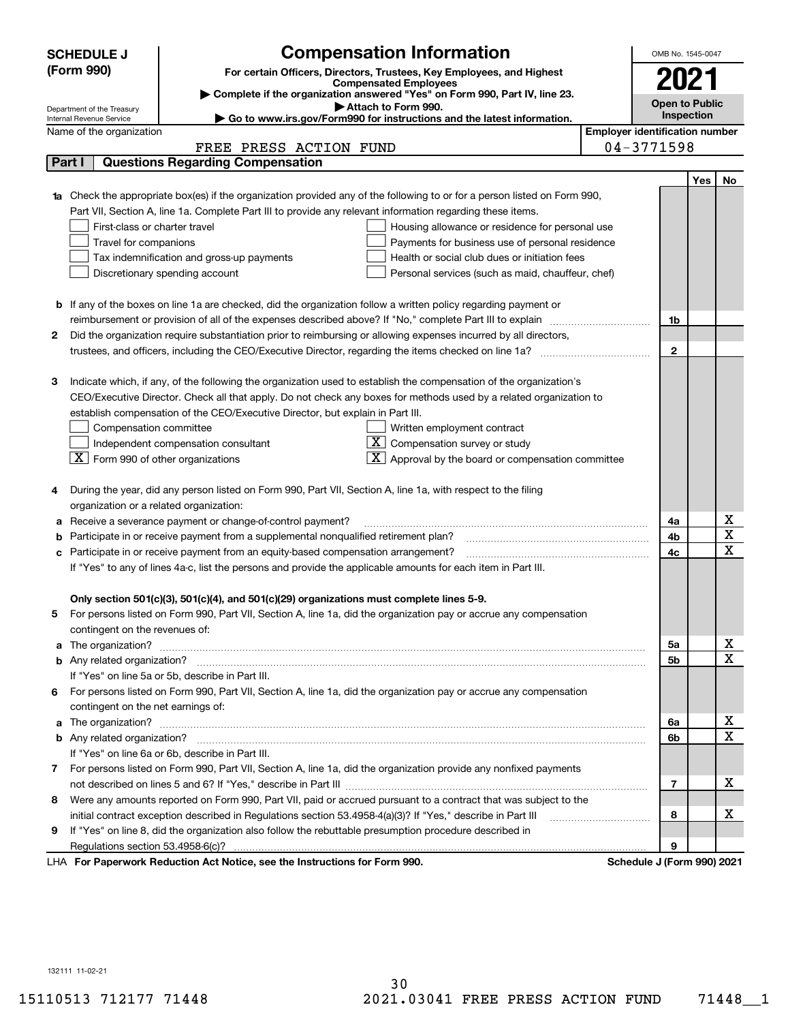| <b>SCHEDULE J</b><br>(Form 990) |                                                                                                             | <b>Compensation Information</b><br>For certain Officers, Directors, Trustees, Key Employees, and Highest               |                                       | OMB No. 1545-0047          |     |             |  |  |
|---------------------------------|-------------------------------------------------------------------------------------------------------------|------------------------------------------------------------------------------------------------------------------------|---------------------------------------|----------------------------|-----|-------------|--|--|
|                                 |                                                                                                             | <b>Compensated Employees</b>                                                                                           |                                       | 2021                       |     |             |  |  |
|                                 |                                                                                                             | Complete if the organization answered "Yes" on Form 990, Part IV, line 23.                                             |                                       | <b>Open to Public</b>      |     |             |  |  |
|                                 | Department of the Treasury<br>Internal Revenue Service                                                      | Attach to Form 990.<br>$\blacktriangleright$ Go to www.irs.gov/Form990 for instructions and the latest information.    |                                       | Inspection                 |     |             |  |  |
|                                 | Name of the organization                                                                                    |                                                                                                                        | <b>Employer identification number</b> |                            |     |             |  |  |
|                                 |                                                                                                             | FREE PRESS ACTION FUND                                                                                                 |                                       | $04 - 3771598$             |     |             |  |  |
| Part I                          |                                                                                                             | <b>Questions Regarding Compensation</b>                                                                                |                                       |                            |     |             |  |  |
|                                 |                                                                                                             |                                                                                                                        |                                       |                            | Yes | No          |  |  |
|                                 |                                                                                                             | Check the appropriate box(es) if the organization provided any of the following to or for a person listed on Form 990, |                                       |                            |     |             |  |  |
|                                 |                                                                                                             | Part VII, Section A, line 1a. Complete Part III to provide any relevant information regarding these items.             |                                       |                            |     |             |  |  |
|                                 | First-class or charter travel                                                                               | Housing allowance or residence for personal use                                                                        |                                       |                            |     |             |  |  |
|                                 | Travel for companions                                                                                       | Payments for business use of personal residence                                                                        |                                       |                            |     |             |  |  |
|                                 |                                                                                                             | Tax indemnification and gross-up payments<br>Health or social club dues or initiation fees                             |                                       |                            |     |             |  |  |
|                                 |                                                                                                             | Discretionary spending account<br>Personal services (such as maid, chauffeur, chef)                                    |                                       |                            |     |             |  |  |
|                                 |                                                                                                             |                                                                                                                        |                                       |                            |     |             |  |  |
|                                 |                                                                                                             | <b>b</b> If any of the boxes on line 1a are checked, did the organization follow a written policy regarding payment or |                                       |                            |     |             |  |  |
|                                 |                                                                                                             | reimbursement or provision of all of the expenses described above? If "No," complete Part III to explain               |                                       | 1b                         |     |             |  |  |
| 2                               |                                                                                                             | Did the organization require substantiation prior to reimbursing or allowing expenses incurred by all directors,       |                                       |                            |     |             |  |  |
|                                 |                                                                                                             |                                                                                                                        |                                       | $\mathbf{2}$               |     |             |  |  |
|                                 |                                                                                                             |                                                                                                                        |                                       |                            |     |             |  |  |
| з                               |                                                                                                             | Indicate which, if any, of the following the organization used to establish the compensation of the organization's     |                                       |                            |     |             |  |  |
|                                 |                                                                                                             | CEO/Executive Director. Check all that apply. Do not check any boxes for methods used by a related organization to     |                                       |                            |     |             |  |  |
|                                 |                                                                                                             | establish compensation of the CEO/Executive Director, but explain in Part III.                                         |                                       |                            |     |             |  |  |
|                                 | Compensation committee                                                                                      | Written employment contract                                                                                            |                                       |                            |     |             |  |  |
|                                 |                                                                                                             | $\overline{X}$ Compensation survey or study<br>Independent compensation consultant                                     |                                       |                            |     |             |  |  |
|                                 | $\boxed{\textbf{X}}$ Form 990 of other organizations                                                        | $\overline{\mathbf{X}}$ Approval by the board or compensation committee                                                |                                       |                            |     |             |  |  |
|                                 |                                                                                                             |                                                                                                                        |                                       |                            |     |             |  |  |
| 4                               |                                                                                                             | During the year, did any person listed on Form 990, Part VII, Section A, line 1a, with respect to the filing           |                                       |                            |     |             |  |  |
|                                 | organization or a related organization:                                                                     |                                                                                                                        |                                       |                            |     |             |  |  |
| а                               |                                                                                                             | Receive a severance payment or change-of-control payment?                                                              |                                       | 4a                         |     | х           |  |  |
| b                               |                                                                                                             | Participate in or receive payment from a supplemental nonqualified retirement plan?                                    |                                       | 4b                         |     | X           |  |  |
| с                               |                                                                                                             | Participate in or receive payment from an equity-based compensation arrangement?                                       |                                       | 4c                         |     | $\mathbf X$ |  |  |
|                                 |                                                                                                             | If "Yes" to any of lines 4a-c, list the persons and provide the applicable amounts for each item in Part III.          |                                       |                            |     |             |  |  |
|                                 |                                                                                                             |                                                                                                                        |                                       |                            |     |             |  |  |
|                                 |                                                                                                             | Only section 501(c)(3), 501(c)(4), and 501(c)(29) organizations must complete lines 5-9.                               |                                       |                            |     |             |  |  |
| 5                               |                                                                                                             | For persons listed on Form 990, Part VII, Section A, line 1a, did the organization pay or accrue any compensation      |                                       |                            |     |             |  |  |
|                                 | contingent on the revenues of:                                                                              |                                                                                                                        |                                       |                            |     |             |  |  |
| a                               |                                                                                                             |                                                                                                                        |                                       | 5a                         |     | x           |  |  |
|                                 |                                                                                                             |                                                                                                                        |                                       | 5b                         |     | $\mathbf X$ |  |  |
|                                 |                                                                                                             | If "Yes" on line 5a or 5b, describe in Part III.                                                                       |                                       |                            |     |             |  |  |
| 6.                              |                                                                                                             | For persons listed on Form 990, Part VII, Section A, line 1a, did the organization pay or accrue any compensation      |                                       |                            |     |             |  |  |
|                                 | contingent on the net earnings of:                                                                          |                                                                                                                        |                                       |                            |     |             |  |  |
| a                               |                                                                                                             |                                                                                                                        |                                       | 6a                         |     | х           |  |  |
|                                 |                                                                                                             |                                                                                                                        |                                       | 6b                         |     | $\mathbf X$ |  |  |
|                                 |                                                                                                             | If "Yes" on line 6a or 6b, describe in Part III.                                                                       |                                       |                            |     |             |  |  |
|                                 |                                                                                                             | 7 For persons listed on Form 990, Part VII, Section A, line 1a, did the organization provide any nonfixed payments     |                                       |                            |     |             |  |  |
|                                 |                                                                                                             |                                                                                                                        |                                       | $\overline{7}$             |     | х           |  |  |
| 8                               |                                                                                                             | Were any amounts reported on Form 990, Part VII, paid or accrued pursuant to a contract that was subject to the        |                                       |                            |     |             |  |  |
|                                 | initial contract exception described in Regulations section 53.4958-4(a)(3)? If "Yes," describe in Part III |                                                                                                                        |                                       |                            |     | х           |  |  |
| 9                               |                                                                                                             | If "Yes" on line 8, did the organization also follow the rebuttable presumption procedure described in                 |                                       | 8                          |     |             |  |  |
|                                 |                                                                                                             |                                                                                                                        |                                       | 9                          |     |             |  |  |
|                                 |                                                                                                             | LHA For Paperwork Reduction Act Notice, see the Instructions for Form 990.                                             |                                       | Schedule J (Form 990) 2021 |     |             |  |  |

132111 11-02-21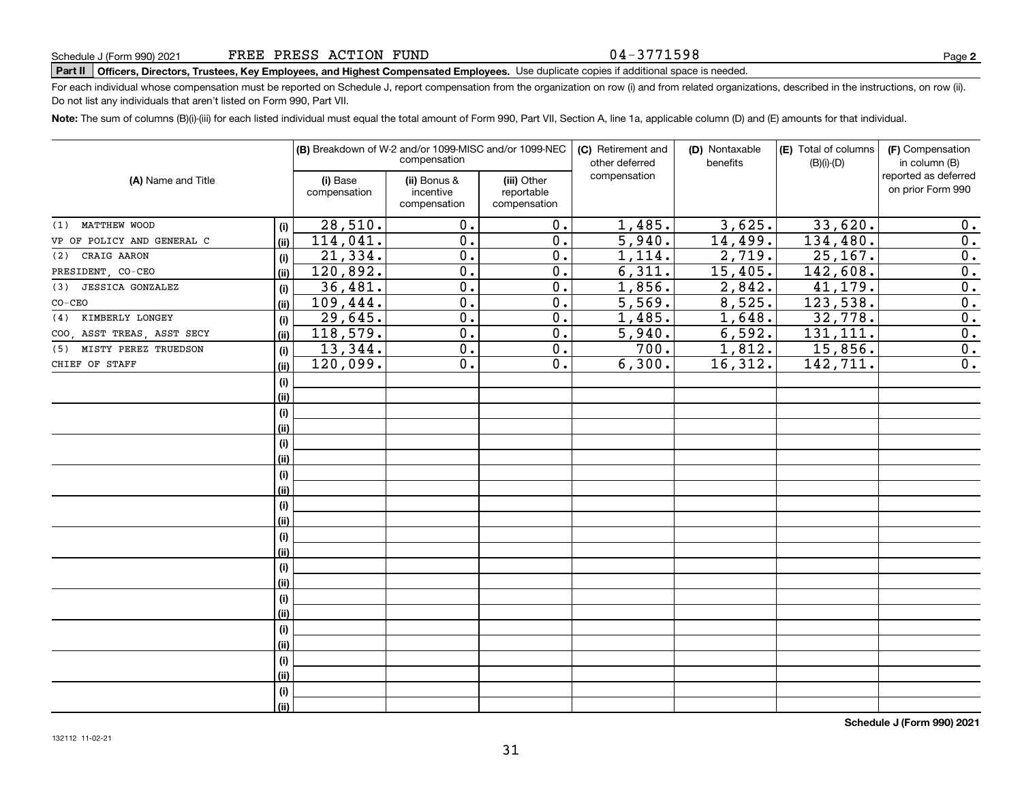#### 04-3771598

## **Part II Officers, Directors, Trustees, Key Employees, and Highest Compensated Employees.**  Schedule J (Form 990) 2021 Page Use duplicate copies if additional space is needed.

For each individual whose compensation must be reported on Schedule J, report compensation from the organization on row (i) and from related organizations, described in the instructions, on row (ii). Do not list any individuals that aren't listed on Form 990, Part VII.

**Note:**  The sum of columns (B)(i)-(iii) for each listed individual must equal the total amount of Form 990, Part VII, Section A, line 1a, applicable column (D) and (E) amounts for that individual.

|                             |      |                          | (B) Breakdown of W-2 and/or 1099-MISC and/or 1099-NEC<br>compensation |                                           | (C) Retirement and<br>other deferred | (D) Nontaxable<br>benefits | (E) Total of columns<br>$(B)(i)-(D)$ | (F) Compensation<br>in column (B)         |
|-----------------------------|------|--------------------------|-----------------------------------------------------------------------|-------------------------------------------|--------------------------------------|----------------------------|--------------------------------------|-------------------------------------------|
| (A) Name and Title          |      | (i) Base<br>compensation | (ii) Bonus &<br>incentive<br>compensation                             | (iii) Other<br>reportable<br>compensation | compensation                         |                            |                                      | reported as deferred<br>on prior Form 990 |
| (1) MATTHEW WOOD            | (i)  | 28,510.                  | 0.                                                                    | 0.                                        | 1,485.                               | 3,625.                     | 33,620.                              | 0.                                        |
| VP OF POLICY AND GENERAL C  | (ii) | 114,041.                 | 0.                                                                    | $\overline{0}$ .                          | 5,940.                               | 14,499.                    | 134,480.                             | $\overline{0}$ .                          |
| CRAIG AARON<br>(2)          | (i)  | 21,334.                  | $\mathbf 0$ .                                                         | $\overline{0}$ .                          | 1,114.                               | 2,719.                     | 25, 167.                             | $\overline{0}$ .                          |
| PRESIDENT, CO-CEO           | (ii) | 120,892.                 | $\mathbf 0$ .                                                         | $\overline{0}$ .                          | 6,311.                               | 15,405.                    | 142,608.                             | $\overline{0}$ .                          |
| (3) JESSICA GONZALEZ        | (i)  | 36,481.                  | 0.                                                                    | $\overline{0}$ .                          | 1,856.                               | 2,842.                     | 41,179.                              | $\overline{\mathbf{0}}$ .                 |
| $CO-CEO$                    | (ii) | 109,444.                 | $\mathbf 0$ .                                                         | 0.                                        | 5,569.                               | 8,525.                     | 123,538.                             | $\overline{0}$ .                          |
| KIMBERLY LONGEY<br>(4)      | (i)  | 29,645.                  | $\overline{0}$ .                                                      | $\overline{0}$ .                          | 1,485.                               | 1,648.                     | 32,778.                              | $\overline{0}$ .                          |
| COO, ASST TREAS, ASST SECY  | (ii) | 118,579.                 | $\mathbf 0$ .                                                         | $\overline{0}$ .                          | 5,940.                               | 6,592.                     | 131, 111.                            | $\overline{0}$ .                          |
| MISTY PEREZ TRUEDSON<br>(5) | (i)  | 13,344.                  | 0.                                                                    | 0.                                        | 700.                                 | 1,812.                     | 15,856.                              | $\overline{0}$ .                          |
| CHIEF OF STAFF              | (ii) | 120,099.                 | 0.                                                                    | 0.                                        | 6,300.                               | 16,312.                    | 142,711.                             | 0.                                        |
|                             | (i)  |                          |                                                                       |                                           |                                      |                            |                                      |                                           |
|                             | (ii) |                          |                                                                       |                                           |                                      |                            |                                      |                                           |
|                             | (i)  |                          |                                                                       |                                           |                                      |                            |                                      |                                           |
|                             | (ii) |                          |                                                                       |                                           |                                      |                            |                                      |                                           |
|                             | (i)  |                          |                                                                       |                                           |                                      |                            |                                      |                                           |
|                             | (ii) |                          |                                                                       |                                           |                                      |                            |                                      |                                           |
|                             | (i)  |                          |                                                                       |                                           |                                      |                            |                                      |                                           |
|                             | (ii) |                          |                                                                       |                                           |                                      |                            |                                      |                                           |
|                             | (i)  |                          |                                                                       |                                           |                                      |                            |                                      |                                           |
|                             | (ii) |                          |                                                                       |                                           |                                      |                            |                                      |                                           |
|                             | (i)  |                          |                                                                       |                                           |                                      |                            |                                      |                                           |
|                             | (ii) |                          |                                                                       |                                           |                                      |                            |                                      |                                           |
|                             | (i)  |                          |                                                                       |                                           |                                      |                            |                                      |                                           |
|                             | (ii) |                          |                                                                       |                                           |                                      |                            |                                      |                                           |
|                             | (i)  |                          |                                                                       |                                           |                                      |                            |                                      |                                           |
|                             | (ii) |                          |                                                                       |                                           |                                      |                            |                                      |                                           |
|                             | (i)  |                          |                                                                       |                                           |                                      |                            |                                      |                                           |
|                             | (ii) |                          |                                                                       |                                           |                                      |                            |                                      |                                           |
|                             | (i)  |                          |                                                                       |                                           |                                      |                            |                                      |                                           |
|                             | (ii) |                          |                                                                       |                                           |                                      |                            |                                      |                                           |
|                             | (i)  |                          |                                                                       |                                           |                                      |                            |                                      |                                           |
|                             | (ii) |                          |                                                                       |                                           |                                      |                            |                                      |                                           |

**Schedule J (Form 990) 2021**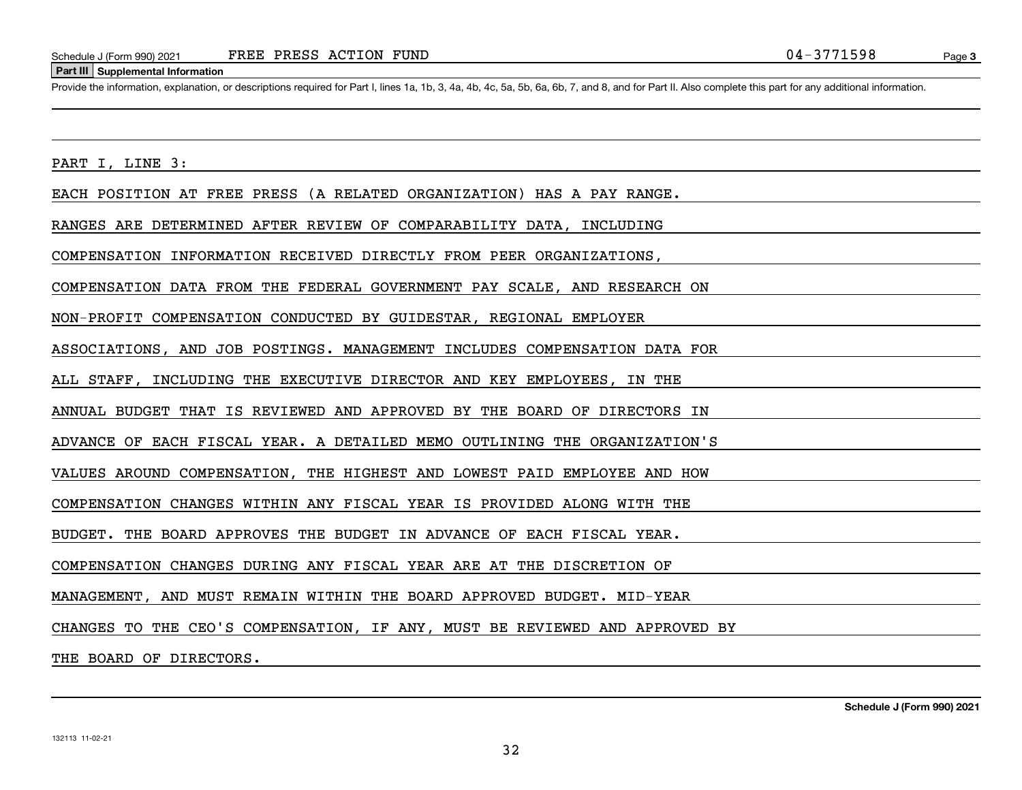#### **Part III Supplemental Information**

Schedule J (Form 990) 2021 FREE PRESS ACTION FUND<br>
Part III Supplemental Information<br>
Provide the information, explanation, or descriptions required for Part I. lines 1a, 1b, 3, 4a, 4b, 4c, 5a, 5b, 6a, 6b, 7, and 8, and fo

PART I, LINE 3:

EACH POSITION AT FREE PRESS (A RELATED ORGANIZATION) HAS A PAY RANGE.

RANGES ARE DETERMINED AFTER REVIEW OF COMPARABILITY DATA, INCLUDING

COMPENSATION INFORMATION RECEIVED DIRECTLY FROM PEER ORGANIZATIONS,

COMPENSATION DATA FROM THE FEDERAL GOVERNMENT PAY SCALE, AND RESEARCH ON

NON-PROFIT COMPENSATION CONDUCTED BY GUIDESTAR, REGIONAL EMPLOYER

ASSOCIATIONS, AND JOB POSTINGS. MANAGEMENT INCLUDES COMPENSATION DATA FOR

ALL STAFF, INCLUDING THE EXECUTIVE DIRECTOR AND KEY EMPLOYEES, IN THE

ANNUAL BUDGET THAT IS REVIEWED AND APPROVED BY THE BOARD OF DIRECTORS IN

ADVANCE OF EACH FISCAL YEAR. A DETAILED MEMO OUTLINING THE ORGANIZATION'S

VALUES AROUND COMPENSATION, THE HIGHEST AND LOWEST PAID EMPLOYEE AND HOW

COMPENSATION CHANGES WITHIN ANY FISCAL YEAR IS PROVIDED ALONG WITH THE

BUDGET. THE BOARD APPROVES THE BUDGET IN ADVANCE OF EACH FISCAL YEAR.

COMPENSATION CHANGES DURING ANY FISCAL YEAR ARE AT THE DISCRETION OF

MANAGEMENT, AND MUST REMAIN WITHIN THE BOARD APPROVED BUDGET. MID-YEAR

CHANGES TO THE CEO'S COMPENSATION, IF ANY, MUST BE REVIEWED AND APPROVED BY

THE BOARD OF DIRECTORS.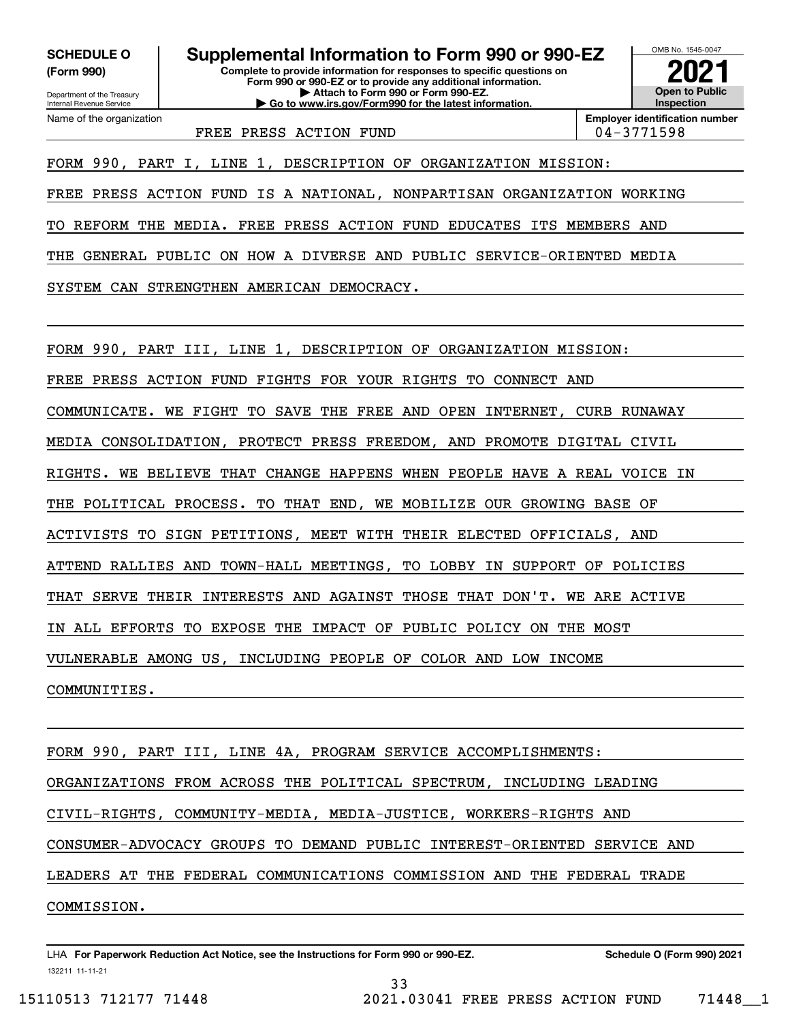**(Form 990)**

Name of the organization

**Complete to provide information for responses to specific questions on Form 990 or 990-EZ or to provide any additional information. | Attach to Form 990 or Form 990-EZ. | Go to www.irs.gov/Form990 for the latest information. SCHEDULE O Supplemental Information to Form 990 or 990-EZ**



FREE PRESS ACTION FUND  $\vert$  04-3771598

**Employer identification number**

FORM 990, PART I, LINE 1, DESCRIPTION OF ORGANIZATION MISSION:

FREE PRESS ACTION FUND IS A NATIONAL, NONPARTISAN ORGANIZATION WORKING

TO REFORM THE MEDIA. FREE PRESS ACTION FUND EDUCATES ITS MEMBERS AND

THE GENERAL PUBLIC ON HOW A DIVERSE AND PUBLIC SERVICE-ORIENTED MEDIA

SYSTEM CAN STRENGTHEN AMERICAN DEMOCRACY.

FORM 990, PART III, LINE 1, DESCRIPTION OF ORGANIZATION MISSION:

FREE PRESS ACTION FUND FIGHTS FOR YOUR RIGHTS TO CONNECT AND

COMMUNICATE. WE FIGHT TO SAVE THE FREE AND OPEN INTERNET, CURB RUNAWAY

MEDIA CONSOLIDATION, PROTECT PRESS FREEDOM, AND PROMOTE DIGITAL CIVIL

RIGHTS. WE BELIEVE THAT CHANGE HAPPENS WHEN PEOPLE HAVE A REAL VOICE IN

THE POLITICAL PROCESS. TO THAT END, WE MOBILIZE OUR GROWING BASE OF

ACTIVISTS TO SIGN PETITIONS, MEET WITH THEIR ELECTED OFFICIALS, AND

ATTEND RALLIES AND TOWN-HALL MEETINGS, TO LOBBY IN SUPPORT OF POLICIES

THAT SERVE THEIR INTERESTS AND AGAINST THOSE THAT DON'T. WE ARE ACTIVE

IN ALL EFFORTS TO EXPOSE THE IMPACT OF PUBLIC POLICY ON THE MOST

VULNERABLE AMONG US, INCLUDING PEOPLE OF COLOR AND LOW INCOME

COMMUNITIES.

FORM 990, PART III, LINE 4A, PROGRAM SERVICE ACCOMPLISHMENTS: ORGANIZATIONS FROM ACROSS THE POLITICAL SPECTRUM, INCLUDING LEADING CIVIL-RIGHTS, COMMUNITY-MEDIA, MEDIA-JUSTICE, WORKERS-RIGHTS AND CONSUMER-ADVOCACY GROUPS TO DEMAND PUBLIC INTEREST-ORIENTED SERVICE AND LEADERS AT THE FEDERAL COMMUNICATIONS COMMISSION AND THE FEDERAL TRADE COMMISSION.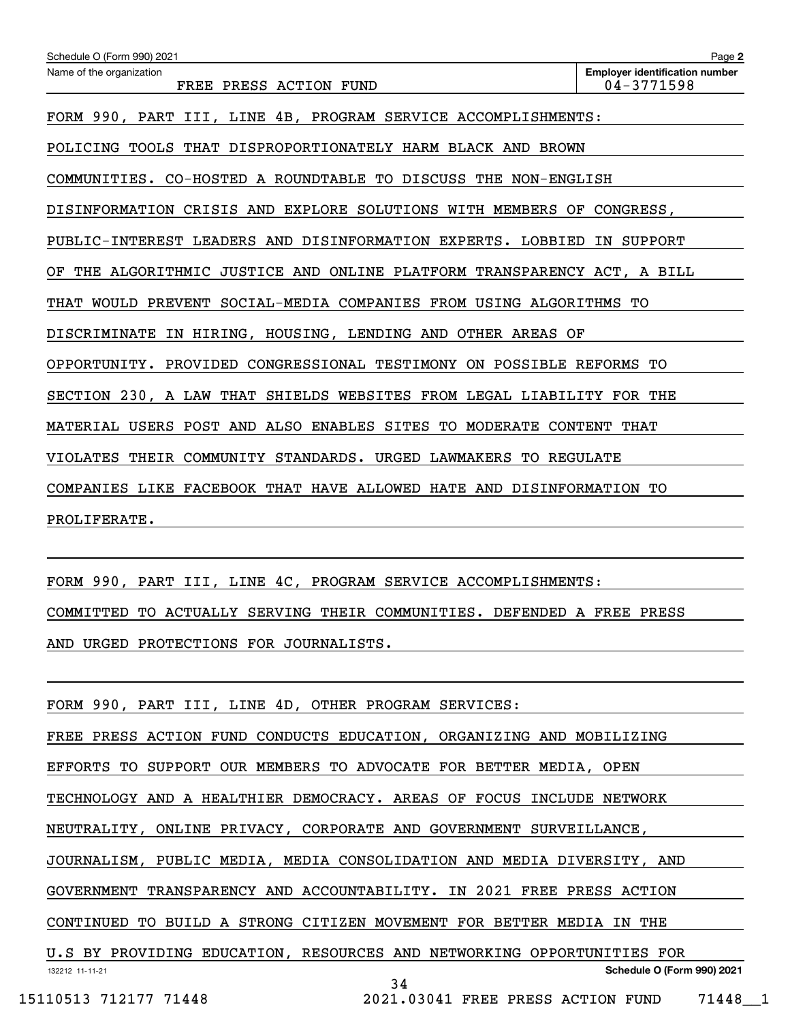| Schedule O (Form 990) 2021                                                 | Page 2                                              |  |  |  |  |  |  |
|----------------------------------------------------------------------------|-----------------------------------------------------|--|--|--|--|--|--|
| Name of the organization<br>FREE PRESS ACTION FUND                         | <b>Emplover identification number</b><br>04-3771598 |  |  |  |  |  |  |
| FORM 990, PART III, LINE 4B, PROGRAM SERVICE ACCOMPLISHMENTS:              |                                                     |  |  |  |  |  |  |
| POLICING TOOLS THAT DISPROPORTIONATELY HARM BLACK AND BROWN                |                                                     |  |  |  |  |  |  |
| COMMUNITIES. CO-HOSTED A ROUNDTABLE TO DISCUSS THE NON-ENGLISH             |                                                     |  |  |  |  |  |  |
| DISINFORMATION CRISIS AND EXPLORE SOLUTIONS WITH MEMBERS OF CONGRESS,      |                                                     |  |  |  |  |  |  |
| PUBLIC-INTEREST LEADERS AND DISINFORMATION EXPERTS. LOBBIED IN SUPPORT     |                                                     |  |  |  |  |  |  |
| THE ALGORITHMIC JUSTICE AND ONLINE PLATFORM TRANSPARENCY ACT, A BILL<br>OF |                                                     |  |  |  |  |  |  |
| THAT WOULD PREVENT SOCIAL-MEDIA COMPANIES FROM USING ALGORITHMS TO         |                                                     |  |  |  |  |  |  |
| DISCRIMINATE IN HIRING, HOUSING, LENDING AND OTHER AREAS OF                |                                                     |  |  |  |  |  |  |
| OPPORTUNITY. PROVIDED CONGRESSIONAL TESTIMONY ON POSSIBLE REFORMS TO       |                                                     |  |  |  |  |  |  |
| SECTION 230, A LAW THAT SHIELDS WEBSITES FROM LEGAL LIABILITY FOR THE      |                                                     |  |  |  |  |  |  |
| MATERIAL USERS POST AND ALSO ENABLES SITES TO MODERATE CONTENT THAT        |                                                     |  |  |  |  |  |  |
| VIOLATES THEIR COMMUNITY STANDARDS. URGED LAWMAKERS TO REGULATE            |                                                     |  |  |  |  |  |  |
| COMPANIES LIKE FACEBOOK THAT HAVE ALLOWED HATE AND DISINFORMATION TO       |                                                     |  |  |  |  |  |  |
| PROLIFERATE.                                                               |                                                     |  |  |  |  |  |  |
|                                                                            |                                                     |  |  |  |  |  |  |
| FORM 990, PART III, LINE 4C, PROGRAM SERVICE ACCOMPLISHMENTS:              |                                                     |  |  |  |  |  |  |
| COMMITTED TO ACTUALLY SERVING THEIR COMMUNITIES. DEFENDED A FREE PRESS     |                                                     |  |  |  |  |  |  |
| AND URGED PROTECTIONS FOR JOURNALISTS.                                     |                                                     |  |  |  |  |  |  |
|                                                                            |                                                     |  |  |  |  |  |  |

FORM 990, PART III, LINE 4D, OTHER PROGRAM SERVICES:

FREE PRESS ACTION FUND CONDUCTS EDUCATION, ORGANIZING AND MOBILIZING

EFFORTS TO SUPPORT OUR MEMBERS TO ADVOCATE FOR BETTER MEDIA, OPEN

TECHNOLOGY AND A HEALTHIER DEMOCRACY. AREAS OF FOCUS INCLUDE NETWORK

NEUTRALITY, ONLINE PRIVACY, CORPORATE AND GOVERNMENT SURVEILLANCE,

JOURNALISM, PUBLIC MEDIA, MEDIA CONSOLIDATION AND MEDIA DIVERSITY, AND

GOVERNMENT TRANSPARENCY AND ACCOUNTABILITY. IN 2021 FREE PRESS ACTION

CONTINUED TO BUILD A STRONG CITIZEN MOVEMENT FOR BETTER MEDIA IN THE

| U.S BY PROVIDING EDUCATION, RESOURCES AND NETWORKING OPPORTUNITIES FOR |  |  |                                   |
|------------------------------------------------------------------------|--|--|-----------------------------------|
| 132212 11-11-21                                                        |  |  | <b>Schedule O (Form 990) 2021</b> |
|                                                                        |  |  |                                   |

15110513 712177 71448 2021.03041 FREE PRESS ACTION FUND 71448\_\_1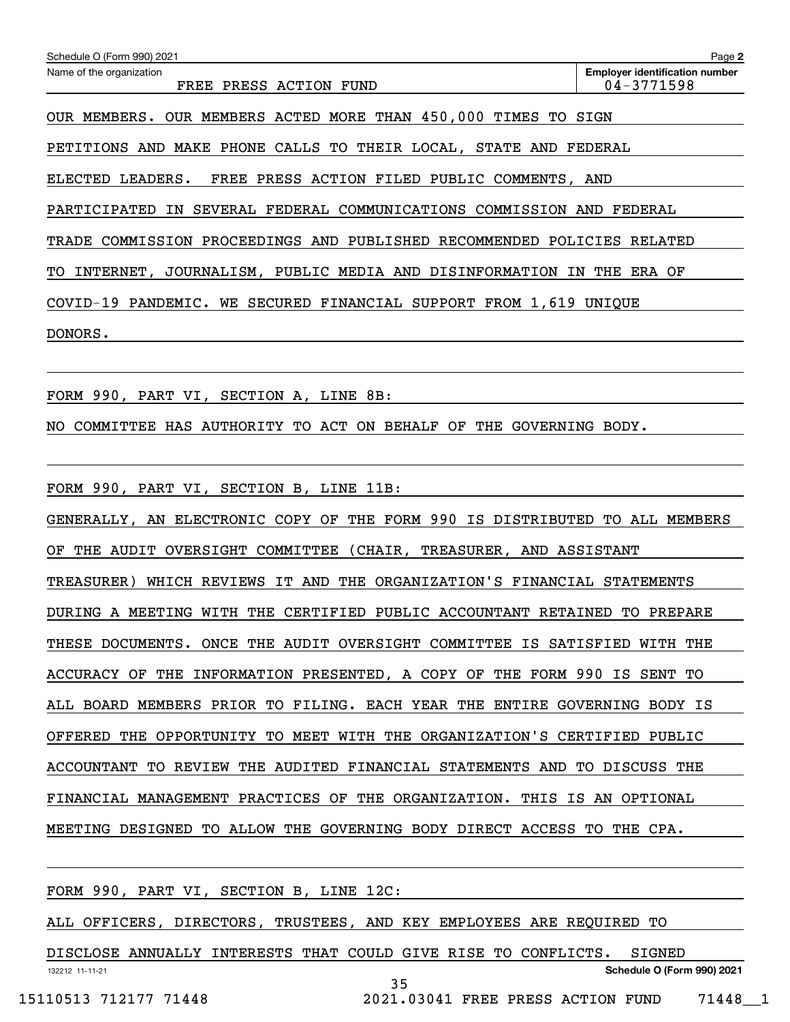| Schedule O (Form 990) 2021                                                 | Page 2                                                  |
|----------------------------------------------------------------------------|---------------------------------------------------------|
| Name of the organization<br>FREE PRESS ACTION FUND                         | <b>Employer identification number</b><br>$04 - 3771598$ |
| OUR MEMBERS. OUR MEMBERS ACTED MORE THAN 450,000 TIMES TO SIGN             |                                                         |
| PETITIONS AND MAKE PHONE CALLS TO THEIR LOCAL, STATE AND FEDERAL           |                                                         |
| FREE PRESS ACTION FILED PUBLIC COMMENTS, AND<br>ELECTED LEADERS.           |                                                         |
| PARTICIPATED IN SEVERAL FEDERAL COMMUNICATIONS COMMISSION AND FEDERAL      |                                                         |
| TRADE COMMISSION PROCEEDINGS AND PUBLISHED RECOMMENDED POLICIES RELATED    |                                                         |
| INTERNET, JOURNALISM, PUBLIC MEDIA AND DISINFORMATION IN THE ERA OF<br>TO. |                                                         |
| COVID-19 PANDEMIC. WE SECURED FINANCIAL SUPPORT FROM 1,619 UNIQUE          |                                                         |
| DONORS.                                                                    |                                                         |
|                                                                            |                                                         |
|                                                                            |                                                         |

FORM 990, PART VI, SECTION A, LINE 8B:

NO COMMITTEE HAS AUTHORITY TO ACT ON BEHALF OF THE GOVERNING BODY.

FORM 990, PART VI, SECTION B, LINE 11B:

GENERALLY, AN ELECTRONIC COPY OF THE FORM 990 IS DISTRIBUTED TO ALL MEMBERS OF THE AUDIT OVERSIGHT COMMITTEE (CHAIR, TREASURER, AND ASSISTANT TREASURER) WHICH REVIEWS IT AND THE ORGANIZATION'S FINANCIAL STATEMENTS DURING A MEETING WITH THE CERTIFIED PUBLIC ACCOUNTANT RETAINED TO PREPARE THESE DOCUMENTS. ONCE THE AUDIT OVERSIGHT COMMITTEE IS SATISFIED WITH THE ACCURACY OF THE INFORMATION PRESENTED, A COPY OF THE FORM 990 IS SENT TO ALL BOARD MEMBERS PRIOR TO FILING. EACH YEAR THE ENTIRE GOVERNING BODY IS OFFERED THE OPPORTUNITY TO MEET WITH THE ORGANIZATION'S CERTIFIED PUBLIC ACCOUNTANT TO REVIEW THE AUDITED FINANCIAL STATEMENTS AND TO DISCUSS THE FINANCIAL MANAGEMENT PRACTICES OF THE ORGANIZATION. THIS IS AN OPTIONAL MEETING DESIGNED TO ALLOW THE GOVERNING BODY DIRECT ACCESS TO THE CPA.

132212 11-11-21 **Schedule O (Form 990) 2021** FORM 990, PART VI, SECTION B, LINE 12C: ALL OFFICERS, DIRECTORS, TRUSTEES, AND KEY EMPLOYEES ARE REQUIRED TO DISCLOSE ANNUALLY INTERESTS THAT COULD GIVE RISE TO CONFLICTS. SIGNED

35

15110513 712177 71448 2021.03041 FREE PRESS ACTION FUND 71448\_\_1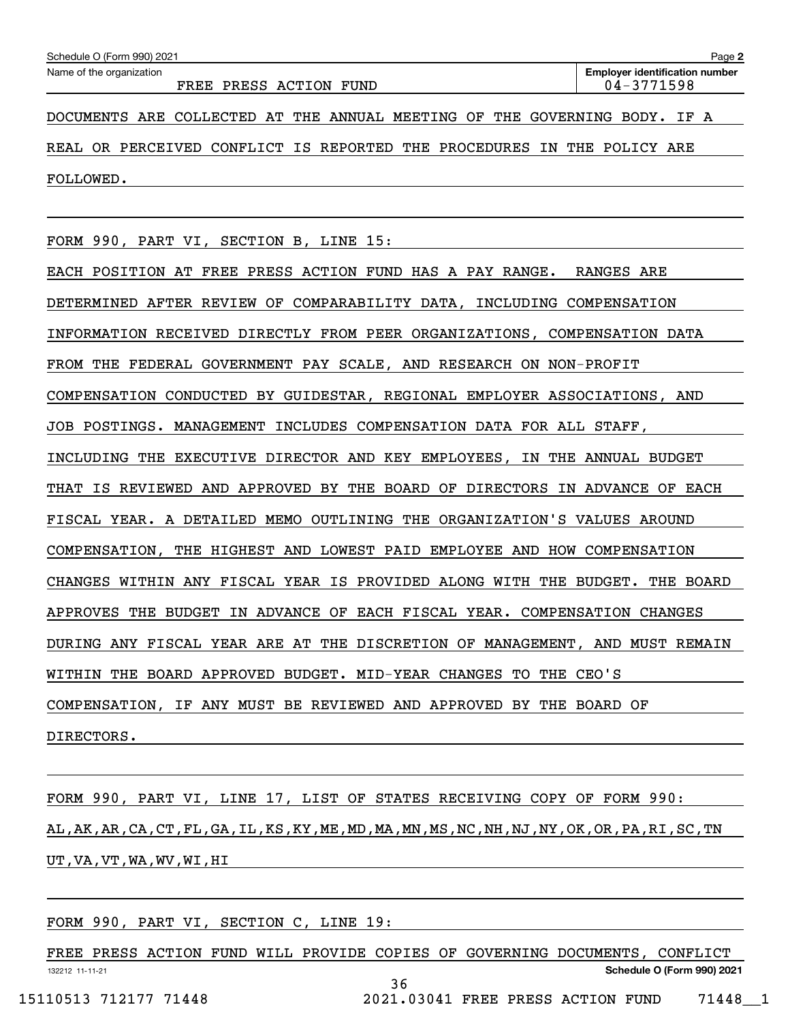|                                                                         | $04 - 3771598$ |
|-------------------------------------------------------------------------|----------------|
| DOCUMENTS ARE COLLECTED AT THE ANNUAL MEETING OF THE GOVERNING BODY.    | IF A           |
| REAL OR PERCEIVED CONFLICT IS REPORTED THE PROCEDURES IN THE POLICY ARE |                |
| FOLLOWED.                                                               |                |

FORM 990, PART VI, SECTION B, LINE 15:

EACH POSITION AT FREE PRESS ACTION FUND HAS A PAY RANGE. RANGES ARE DETERMINED AFTER REVIEW OF COMPARABILITY DATA, INCLUDING COMPENSATION INFORMATION RECEIVED DIRECTLY FROM PEER ORGANIZATIONS, COMPENSATION DATA FROM THE FEDERAL GOVERNMENT PAY SCALE, AND RESEARCH ON NON-PROFIT COMPENSATION CONDUCTED BY GUIDESTAR, REGIONAL EMPLOYER ASSOCIATIONS, AND JOB POSTINGS. MANAGEMENT INCLUDES COMPENSATION DATA FOR ALL STAFF, INCLUDING THE EXECUTIVE DIRECTOR AND KEY EMPLOYEES, IN THE ANNUAL BUDGET THAT IS REVIEWED AND APPROVED BY THE BOARD OF DIRECTORS IN ADVANCE OF EACH FISCAL YEAR. A DETAILED MEMO OUTLINING THE ORGANIZATION'S VALUES AROUND COMPENSATION, THE HIGHEST AND LOWEST PAID EMPLOYEE AND HOW COMPENSATION CHANGES WITHIN ANY FISCAL YEAR IS PROVIDED ALONG WITH THE BUDGET. THE BOARD APPROVES THE BUDGET IN ADVANCE OF EACH FISCAL YEAR. COMPENSATION CHANGES DURING ANY FISCAL YEAR ARE AT THE DISCRETION OF MANAGEMENT, AND MUST REMAIN WITHIN THE BOARD APPROVED BUDGET. MID-YEAR CHANGES TO THE CEO'S COMPENSATION, IF ANY MUST BE REVIEWED AND APPROVED BY THE BOARD OF DIRECTORS.

FORM 990, PART VI, LINE 17, LIST OF STATES RECEIVING COPY OF FORM 990: AL,AK,AR,CA,CT,FL,GA,IL,KS,KY,ME,MD,MA,MN,MS,NC,NH,NJ,NY,OK,OR,PA,RI,SC,TN UT,VA,VT,WA,WV,WI,HI

FORM 990, PART VI, SECTION C, LINE 19:

132212 11-11-21 **Schedule O (Form 990) 2021** FREE PRESS ACTION FUND WILL PROVIDE COPIES OF GOVERNING DOCUMENTS, CONFLICT 36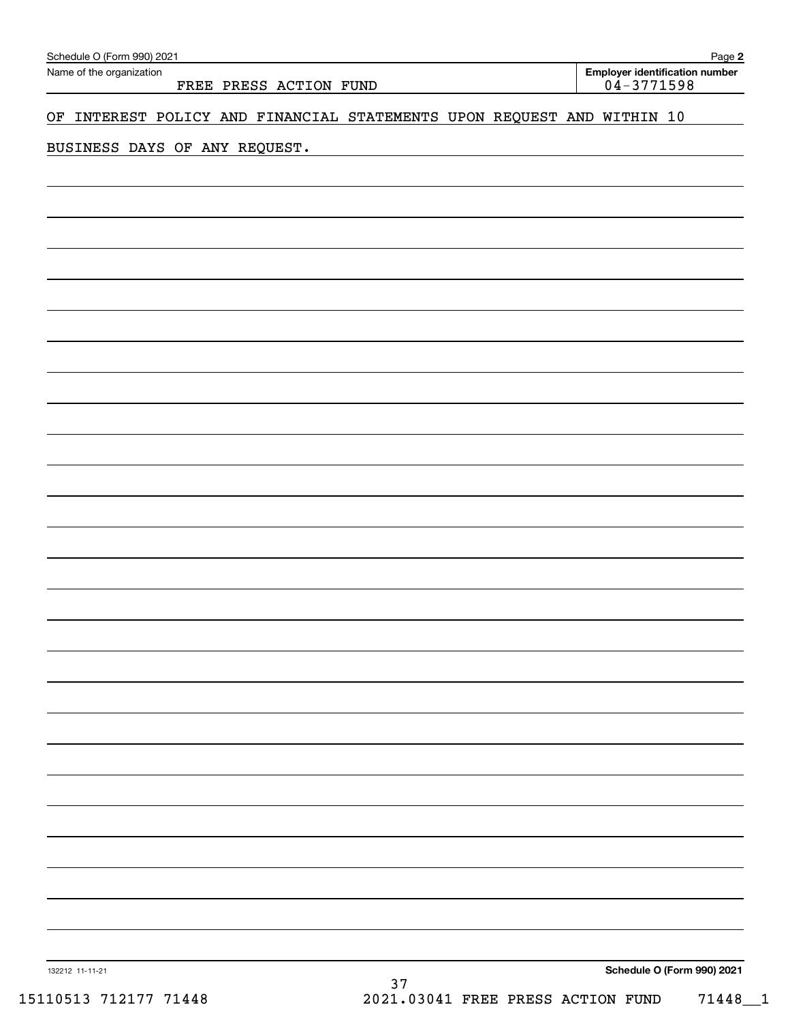| Name of the organization | Schedule O (Form 990) 2021<br>FREE PRESS ACTION FUND<br>OF INTEREST POLICY AND FINANCIAL STATEMENTS UPON REQUEST AND WITHIN 10<br>BUSINESS DAYS OF ANY REQUEST.<br>$37\,$ |                            |
|--------------------------|---------------------------------------------------------------------------------------------------------------------------------------------------------------------------|----------------------------|
|                          |                                                                                                                                                                           | $04 - 3771598$             |
|                          |                                                                                                                                                                           |                            |
|                          |                                                                                                                                                                           |                            |
|                          |                                                                                                                                                                           |                            |
|                          |                                                                                                                                                                           |                            |
|                          |                                                                                                                                                                           |                            |
|                          |                                                                                                                                                                           |                            |
|                          |                                                                                                                                                                           |                            |
|                          |                                                                                                                                                                           |                            |
|                          |                                                                                                                                                                           |                            |
|                          |                                                                                                                                                                           |                            |
|                          |                                                                                                                                                                           |                            |
|                          |                                                                                                                                                                           |                            |
|                          |                                                                                                                                                                           |                            |
|                          |                                                                                                                                                                           |                            |
|                          |                                                                                                                                                                           |                            |
|                          |                                                                                                                                                                           |                            |
|                          |                                                                                                                                                                           |                            |
|                          |                                                                                                                                                                           |                            |
|                          |                                                                                                                                                                           |                            |
|                          |                                                                                                                                                                           |                            |
|                          |                                                                                                                                                                           |                            |
|                          |                                                                                                                                                                           |                            |
|                          |                                                                                                                                                                           |                            |
|                          |                                                                                                                                                                           |                            |
|                          |                                                                                                                                                                           |                            |
|                          |                                                                                                                                                                           |                            |
|                          |                                                                                                                                                                           |                            |
|                          |                                                                                                                                                                           |                            |
|                          |                                                                                                                                                                           |                            |
|                          |                                                                                                                                                                           |                            |
|                          |                                                                                                                                                                           |                            |
|                          |                                                                                                                                                                           |                            |
|                          |                                                                                                                                                                           |                            |
|                          |                                                                                                                                                                           |                            |
|                          |                                                                                                                                                                           |                            |
|                          |                                                                                                                                                                           |                            |
|                          |                                                                                                                                                                           |                            |
| 132212 11-11-21          |                                                                                                                                                                           | Schedule O (Form 990) 2021 |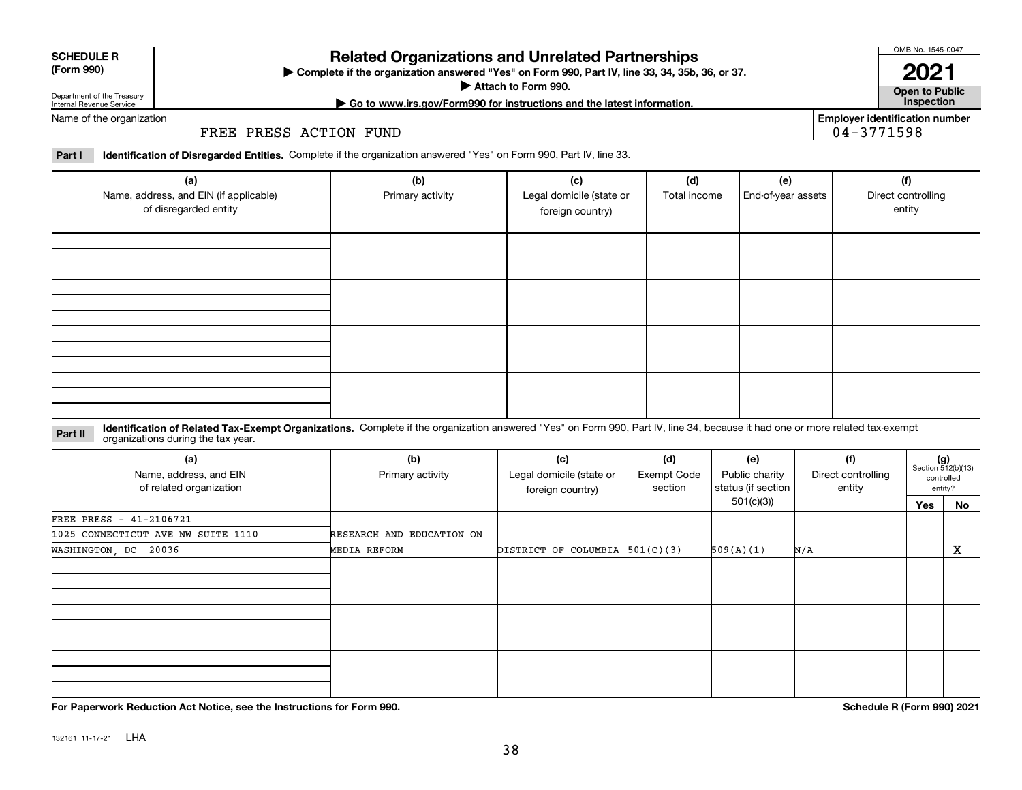**For Paperwork Reduction Act Notice, see the Instructions for Form 990. Schedule R (Form 990) 2021**

## **SCHEDULE R**

### **(Form 990)**

**Attach to Form 990.**  | **| Go to www.irs.gov/Form990 for instructions and the latest information. Inspection**

**Complete if the organization answered "Yes" on Form 990, Part IV, line 33, 34, 35b, 36, or 37.** |

**Related Organizations and Unrelated Partnerships**

#### Department of the Treasury Internal Revenue Service Name of the organization

FREE PRESS ACTION FUND

#### **Part I Identification of Disregarded Entities.**  Complete if the organization answered "Yes" on Form 990, Part IV, line 33.

| (a)<br>Name, address, and EIN (if applicable)<br>of disregarded entity | (b)<br>Primary activity | (c)<br>Legal domicile (state or<br>foreign country) | (d)<br>Total income | (e)<br>End-of-year assets | (f)<br>Direct controlling<br>entity |
|------------------------------------------------------------------------|-------------------------|-----------------------------------------------------|---------------------|---------------------------|-------------------------------------|
|                                                                        |                         |                                                     |                     |                           |                                     |
|                                                                        |                         |                                                     |                     |                           |                                     |
|                                                                        |                         |                                                     |                     |                           |                                     |
|                                                                        |                         |                                                     |                     |                           |                                     |

#### **Identification of Related Tax-Exempt Organizations.** Complete if the organization answered "Yes" on Form 990, Part IV, line 34, because it had one or more related tax-exempt **Part II** organizations during the tax year.

| (a)<br>Name, address, and EIN<br>of related organization | (b)<br>Primary activity   | (c)<br>(d)<br>Legal domicile (state or<br>Exempt Code<br>section<br>foreign country) |  | (e)<br>Public charity<br>status (if section | (f)<br>Direct controlling<br>entity |     | $(g)$<br>Section 512(b)(13)<br>controlled<br>entity? |
|----------------------------------------------------------|---------------------------|--------------------------------------------------------------------------------------|--|---------------------------------------------|-------------------------------------|-----|------------------------------------------------------|
|                                                          |                           |                                                                                      |  | 501(c)(3))                                  |                                     | Yes | No                                                   |
| FREE PRESS - 41-2106721                                  |                           |                                                                                      |  |                                             |                                     |     |                                                      |
| 1025 CONNECTICUT AVE NW SUITE 1110                       | RESEARCH AND EDUCATION ON |                                                                                      |  |                                             |                                     |     |                                                      |
| WASHINGTON, DC 20036                                     | MEDIA REFORM              | DISTRICT OF COLUMBIA $501(C)(3)$                                                     |  | 509(A)(1)                                   | N/A                                 |     | X                                                    |
|                                                          |                           |                                                                                      |  |                                             |                                     |     |                                                      |
|                                                          |                           |                                                                                      |  |                                             |                                     |     |                                                      |
|                                                          |                           |                                                                                      |  |                                             |                                     |     |                                                      |

**Employer identification number**

04-3771598

OMB No. 1545-0047

**Open to Public**

**2021**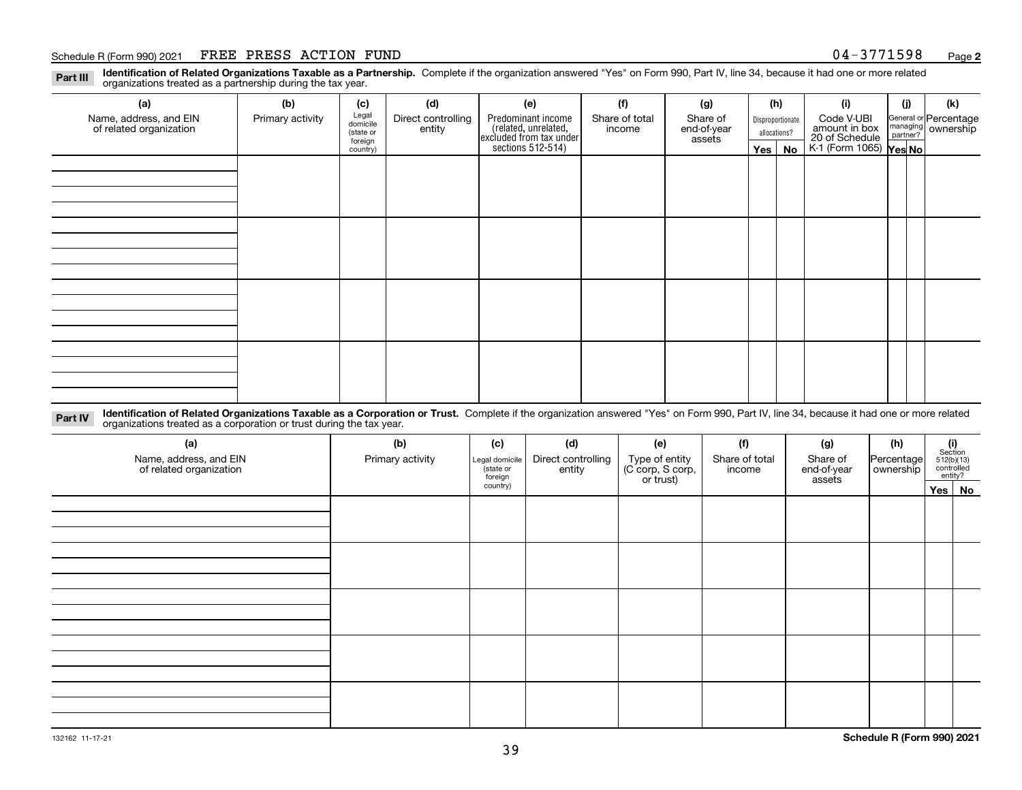#### Schedule R (Form 990) 2021 FREE PRESS ACTION FUND 0 4-3 7 7 1 5 9 8 <sub>Page</sub>

**Identification of Related Organizations Taxable as a Partnership.** Complete if the organization answered "Yes" on Form 990, Part IV, line 34, because it had one or more related **Part III** organizations treated as a partnership during the tax year.

| (b)              | (c)      | (d)                                       | (e)                | (f)            | (g)                                                                            |                       | (i)                                                 | (i) | (k)                                                                                                                         |
|------------------|----------|-------------------------------------------|--------------------|----------------|--------------------------------------------------------------------------------|-----------------------|-----------------------------------------------------|-----|-----------------------------------------------------------------------------------------------------------------------------|
| Primary activity |          | Direct controlling                        | Predominant income | Share of total | Share of                                                                       |                       | Code V-UBI                                          |     |                                                                                                                             |
|                  |          |                                           |                    |                |                                                                                |                       |                                                     |     |                                                                                                                             |
|                  | country) |                                           |                    |                |                                                                                |                       |                                                     |     |                                                                                                                             |
|                  |          |                                           |                    |                |                                                                                |                       |                                                     |     |                                                                                                                             |
|                  |          |                                           |                    |                |                                                                                |                       |                                                     |     |                                                                                                                             |
|                  |          |                                           |                    |                |                                                                                |                       |                                                     |     |                                                                                                                             |
|                  |          |                                           |                    |                |                                                                                |                       |                                                     |     |                                                                                                                             |
|                  |          |                                           |                    |                |                                                                                |                       |                                                     |     |                                                                                                                             |
|                  |          |                                           |                    |                |                                                                                |                       |                                                     |     |                                                                                                                             |
|                  |          |                                           |                    |                |                                                                                |                       |                                                     |     |                                                                                                                             |
|                  |          |                                           |                    |                |                                                                                |                       |                                                     |     |                                                                                                                             |
|                  |          |                                           |                    |                |                                                                                |                       |                                                     |     |                                                                                                                             |
|                  |          |                                           |                    |                |                                                                                |                       |                                                     |     |                                                                                                                             |
|                  |          |                                           |                    |                |                                                                                |                       |                                                     |     |                                                                                                                             |
|                  |          |                                           |                    |                |                                                                                |                       |                                                     |     |                                                                                                                             |
|                  |          |                                           |                    |                |                                                                                |                       |                                                     |     |                                                                                                                             |
|                  |          |                                           |                    |                |                                                                                |                       |                                                     |     |                                                                                                                             |
|                  |          |                                           |                    |                |                                                                                |                       |                                                     |     |                                                                                                                             |
|                  |          |                                           |                    |                |                                                                                |                       |                                                     |     |                                                                                                                             |
|                  |          | Legal<br>domicile<br>(state or<br>foreign | entity             |                | (related, unrelated,<br>excluded from tax under<br>sections 512-514)<br>income | end-of-year<br>assets | (h)<br>Disproportionate<br>allocations?<br>Yes   No |     | General or Percentage<br>managing ownership<br>partner?<br>amount in box<br>20 of Schedule<br>K-1 (Form 1065) <b>Yes No</b> |

**Identification of Related Organizations Taxable as a Corporation or Trust.** Complete if the organization answered "Yes" on Form 990, Part IV, line 34, because it had one or more related **Part IV** organizations treated as a corporation or trust during the tax year.

| (a)<br>Name, address, and EIN<br>of related organization | (b)<br>Primary activity | (c)<br>Legal domicile<br>(state or<br>foreign | (d)<br>Direct controlling<br>entity | (e)<br>Type of entity<br>(C corp, S corp,<br>or trust) | (f)<br>Share of total<br>income | (g)<br>Share of<br>end-of-year<br>assets | (h)<br>Percentage<br>ownership | $\begin{array}{c} \textbf{(i)}\\ \text{Section}\\ 512 \text{(b)} \text{(13)}\\ \text{controlled}\\ \text{entity?} \end{array}$ |
|----------------------------------------------------------|-------------------------|-----------------------------------------------|-------------------------------------|--------------------------------------------------------|---------------------------------|------------------------------------------|--------------------------------|--------------------------------------------------------------------------------------------------------------------------------|
|                                                          |                         | country)                                      |                                     |                                                        |                                 |                                          |                                | Yes No                                                                                                                         |
|                                                          |                         |                                               |                                     |                                                        |                                 |                                          |                                |                                                                                                                                |
|                                                          |                         |                                               |                                     |                                                        |                                 |                                          |                                |                                                                                                                                |
|                                                          |                         |                                               |                                     |                                                        |                                 |                                          |                                |                                                                                                                                |
|                                                          |                         |                                               |                                     |                                                        |                                 |                                          |                                |                                                                                                                                |
|                                                          |                         |                                               |                                     |                                                        |                                 |                                          |                                |                                                                                                                                |
|                                                          |                         |                                               |                                     |                                                        |                                 |                                          |                                |                                                                                                                                |
|                                                          |                         |                                               |                                     |                                                        |                                 |                                          |                                |                                                                                                                                |
|                                                          |                         |                                               |                                     |                                                        |                                 |                                          |                                |                                                                                                                                |
|                                                          |                         |                                               |                                     |                                                        |                                 |                                          |                                |                                                                                                                                |
|                                                          |                         |                                               |                                     |                                                        |                                 |                                          |                                |                                                                                                                                |
|                                                          |                         |                                               |                                     |                                                        |                                 |                                          |                                |                                                                                                                                |
|                                                          |                         |                                               |                                     |                                                        |                                 |                                          |                                |                                                                                                                                |
|                                                          |                         |                                               |                                     |                                                        |                                 |                                          |                                |                                                                                                                                |
|                                                          |                         |                                               |                                     |                                                        |                                 |                                          |                                |                                                                                                                                |
|                                                          |                         |                                               |                                     |                                                        |                                 |                                          |                                |                                                                                                                                |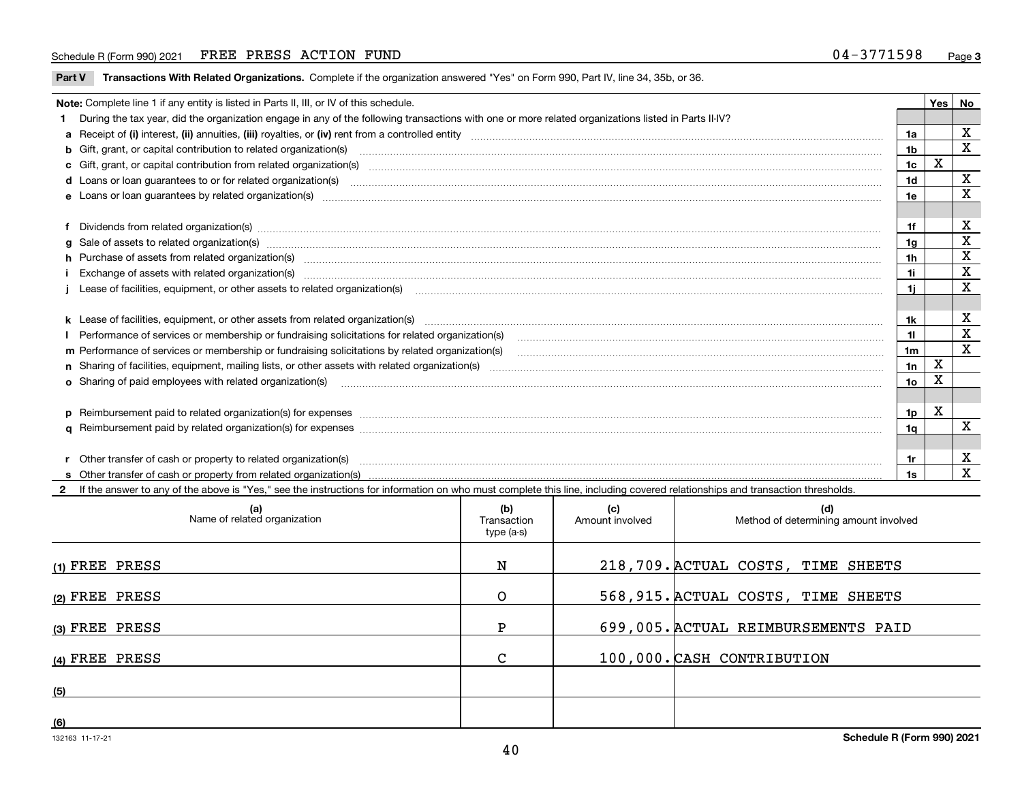#### Schedule R (Form 990) 2021 FREE PRESS ACTION FUND 0 4-3 7 7 1 5 9 8 <sub>Page</sub>

**Part V** T**ransactions With Related Organizations.** Complete if the organization answered "Yes" on Form 990, Part IV, line 34, 35b, or 36.

| Note: Complete line 1 if any entity is listed in Parts II, III, or IV of this schedule.                                                                                                                                        |                | Yes | No           |
|--------------------------------------------------------------------------------------------------------------------------------------------------------------------------------------------------------------------------------|----------------|-----|--------------|
| 1 During the tax year, did the organization engage in any of the following transactions with one or more related organizations listed in Parts II-IV?                                                                          |                |     |              |
|                                                                                                                                                                                                                                | 1a             |     | X            |
| b Gift, grant, or capital contribution to related organization(s) manufactured and contribution to related organization(s)                                                                                                     | 1 <sub>b</sub> |     | х            |
| c Gift, grant, or capital contribution from related organization(s) material contents and contribution from related organization(s) material contents and content of the content of the content of content of content of the c | 1 <sub>c</sub> | х   |              |
|                                                                                                                                                                                                                                | 1 <sub>d</sub> |     | х            |
|                                                                                                                                                                                                                                | 1e             |     | X            |
|                                                                                                                                                                                                                                |                |     |              |
| f Dividends from related organization(s) manufactured contains and contained a series of the contact of the contact of the contact of the contact of the contact of the contact of the contact of the contact of the contact o | 1f             |     | х            |
| g Sale of assets to related organization(s) www.assettion.com/www.assettion.com/www.assettion.com/www.assettion.com/www.assettion.com/www.assettion.com/www.assettion.com/www.assettion.com/www.assettion.com/www.assettion.co | 1q             |     | X            |
| h Purchase of assets from related organization(s) www.assettion.com/www.assettion.com/www.assettion.com/www.assettion.com/www.assettion.com/www.assettion.com/www.assettion.com/www.assettion.com/www.assettion.com/www.assett | 1 <sub>h</sub> |     | X            |
| Exchange of assets with related organization(s) Example 2006 and the control of the control of the control of the control of the control of the control of the control of the control of the control of the control of the con | 1i             |     | X            |
| j Lease of facilities, equipment, or other assets to related organization(s) manufactured content to the set of facilities, equipment, or other assets to related organization(s) manufactured content to the set of the set o | 1i.            |     | X            |
|                                                                                                                                                                                                                                |                |     |              |
|                                                                                                                                                                                                                                | 1k             |     | X            |
|                                                                                                                                                                                                                                | 11             |     | X            |
| m Performance of services or membership or fundraising solicitations by related organization(s)                                                                                                                                | 1 <sub>m</sub> |     | X            |
|                                                                                                                                                                                                                                | 1n             | X   |              |
| <b>o</b> Sharing of paid employees with related organization(s)                                                                                                                                                                | 1o             | Χ   |              |
|                                                                                                                                                                                                                                |                |     |              |
| p Reimbursement paid to related organization(s) for expenses [1111] and the content of the content of the content of the content of the content of the content of the content of the content of the content of the content of  | 1p             | х   |              |
|                                                                                                                                                                                                                                | 1 <sub>q</sub> |     | X            |
|                                                                                                                                                                                                                                |                |     |              |
| r Other transfer of cash or property to related organization(s)                                                                                                                                                                | 1r             |     | X            |
|                                                                                                                                                                                                                                | 1s             |     | $\mathbf{x}$ |
| 2 If the answer to any of the above is "Yes," see the instructions for information on who must complete this line, including covered relationships and transaction thresholds.                                                 |                |     |              |

| (a)<br>Name of related organization | (b)<br>Transaction<br>type (a-s) | (c)<br>Amount involved | (d)<br>Method of determining amount involved |
|-------------------------------------|----------------------------------|------------------------|----------------------------------------------|
| $(1)$ FREE PRESS                    | N                                |                        | 218, 709. ACTUAL COSTS, TIME SHEETS          |
| (2) FREE PRESS                      | $\Omega$                         |                        | 568, 915. ACTUAL COSTS, TIME SHEETS          |
| (3) FREE PRESS                      | P                                |                        | 699,005. ACTUAL REIMBURSEMENTS PAID          |
| $(4)$ FREE PRESS                    | C                                |                        | 100,000. CASH CONTRIBUTION                   |
| (5)                                 |                                  |                        |                                              |
| (6)                                 |                                  |                        |                                              |

 $\overline{\phantom{a}}$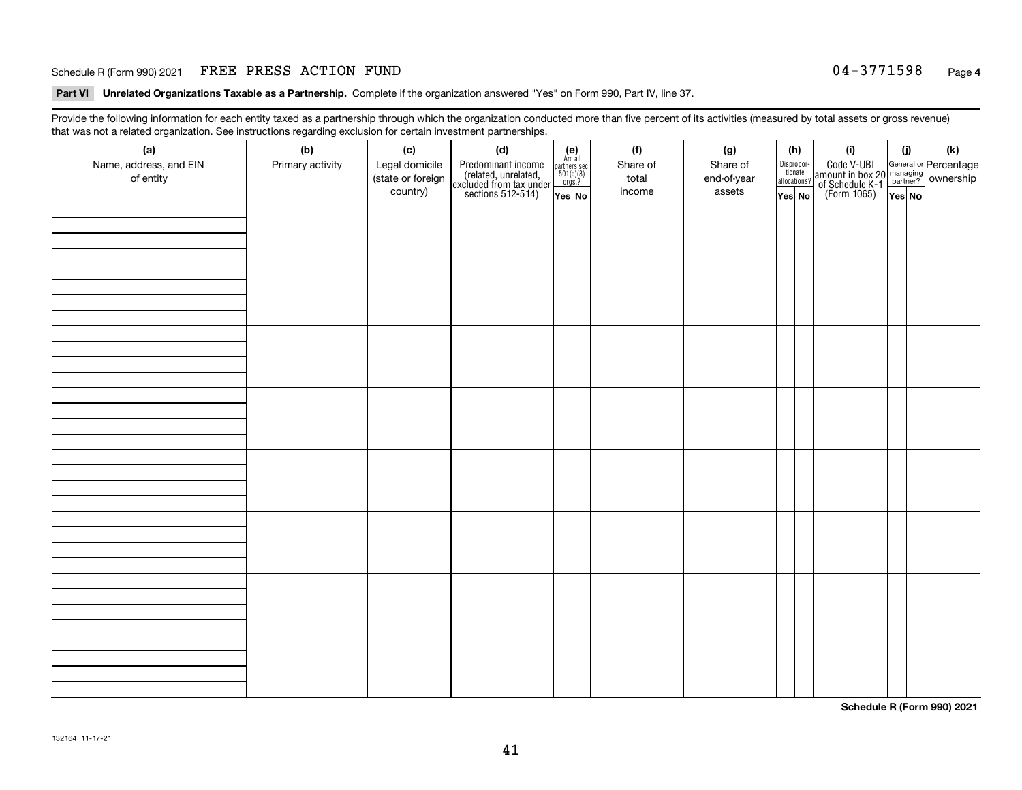#### Schedule R (Form 990) 2021 FREE PRESS ACTION FUND 0 4-3 7 7 1 5 9 8 Page

**Part VI Unrelated Organizations Taxable as a Partnership. Complete if the organization answered "Yes" on Form 990, Part IV, line 37.** 

Provide the following information for each entity taxed as a partnership through which the organization conducted more than five percent of its activities (measured by total assets or gross revenue) that was not a related organization. See instructions regarding exclusion for certain investment partnerships.

| - - - - -<br>(a)<br>Name, address, and EIN<br>of entity | ----- <del>-</del> -------<br>(b)<br>Primary activity | (c)<br>Legal domicile<br>(state or foreign<br>country) | (d)<br>Predominant income<br>(related, unrelated,<br>excluded from tax under<br>sections 512-514) | (e)<br>Are all<br>partners sec.<br>$501(c)(3)$<br>orgs.?<br>Yes No | (f)<br>Share of<br>total<br>income | (g)<br>Share of<br>end-of-year<br>assets | (h)<br>Dispropor-<br>tionate<br>allocations?<br>Yes No | (i)<br>Code V-UBI<br>amount in box 20 managing<br>of Schedule K-1<br>(Form 1065)<br>$\overline{Yes}$ No | (i)<br>Yes No | (k) |
|---------------------------------------------------------|-------------------------------------------------------|--------------------------------------------------------|---------------------------------------------------------------------------------------------------|--------------------------------------------------------------------|------------------------------------|------------------------------------------|--------------------------------------------------------|---------------------------------------------------------------------------------------------------------|---------------|-----|
|                                                         |                                                       |                                                        |                                                                                                   |                                                                    |                                    |                                          |                                                        |                                                                                                         |               |     |
|                                                         |                                                       |                                                        |                                                                                                   |                                                                    |                                    |                                          |                                                        |                                                                                                         |               |     |
|                                                         |                                                       |                                                        |                                                                                                   |                                                                    |                                    |                                          |                                                        |                                                                                                         |               |     |
|                                                         |                                                       |                                                        |                                                                                                   |                                                                    |                                    |                                          |                                                        |                                                                                                         |               |     |
|                                                         |                                                       |                                                        |                                                                                                   |                                                                    |                                    |                                          |                                                        |                                                                                                         |               |     |
|                                                         |                                                       |                                                        |                                                                                                   |                                                                    |                                    |                                          |                                                        |                                                                                                         |               |     |
|                                                         |                                                       |                                                        |                                                                                                   |                                                                    |                                    |                                          |                                                        |                                                                                                         |               |     |
|                                                         |                                                       |                                                        |                                                                                                   |                                                                    |                                    |                                          |                                                        |                                                                                                         |               |     |

**Schedule R (Form 990) 2021**